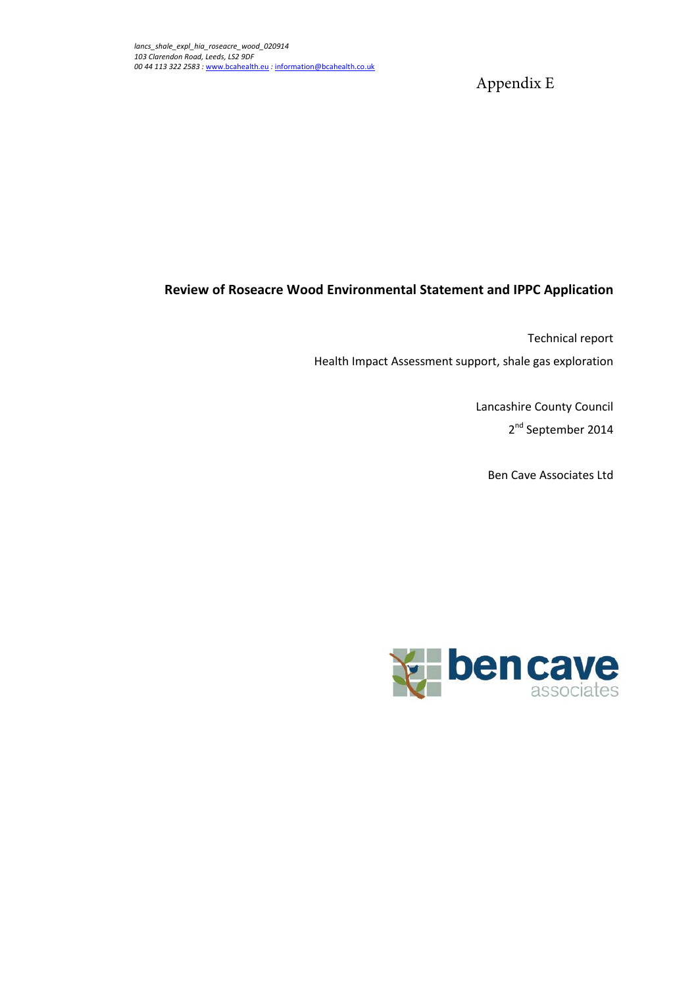Appendix E

### **Review of Roseacre Wood Environmental Statement and IPPC Application**

Technical report Health Impact Assessment support, shale gas exploration

> Lancashire County Council 2<sup>nd</sup> September 2014

Ben Cave Associates Ltd

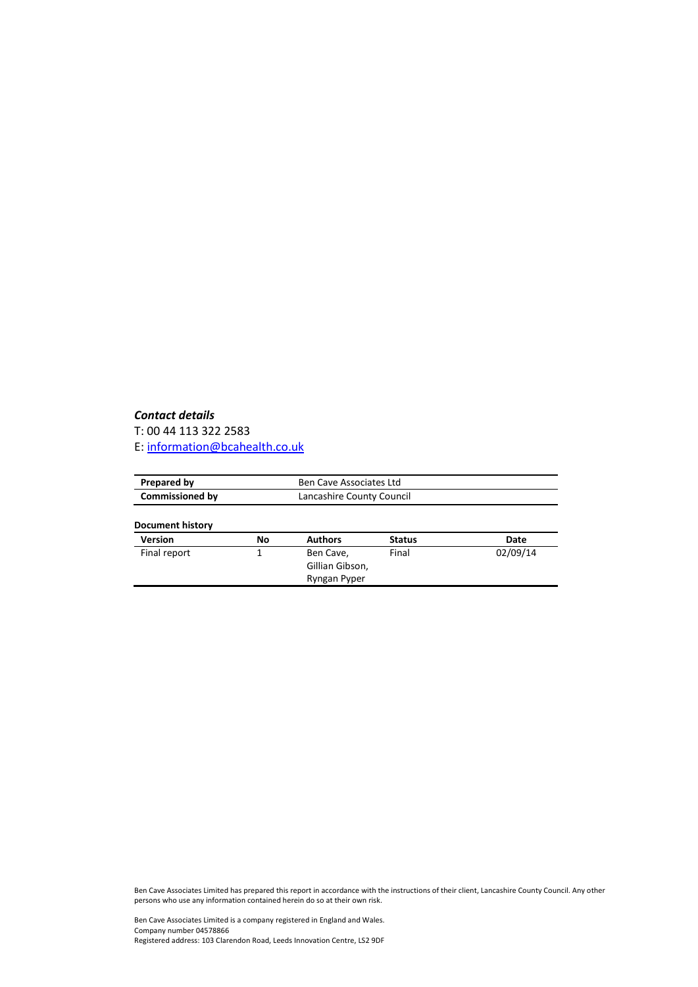#### *Contact details*

T: 00 44 113 322 2583 E: [information@bcahealth.co.uk](mailto:information@bcahealth.co.uk)

| Prepared by             | Ben Cave Associates Ltd |                                              |               |          |
|-------------------------|-------------------------|----------------------------------------------|---------------|----------|
| <b>Commissioned by</b>  |                         | Lancashire County Council                    |               |          |
| <b>Document history</b> |                         |                                              |               |          |
| <b>Version</b>          | No                      | <b>Authors</b>                               | <b>Status</b> | Date     |
| Final report            |                         | Ben Cave,<br>Gillian Gibson,<br>Ryngan Pyper | Final         | 02/09/14 |

Ben Cave Associates Limited has prepared this report in accordance with the instructions of their client, Lancashire County Council. Any other persons who use any information contained herein do so at their own risk.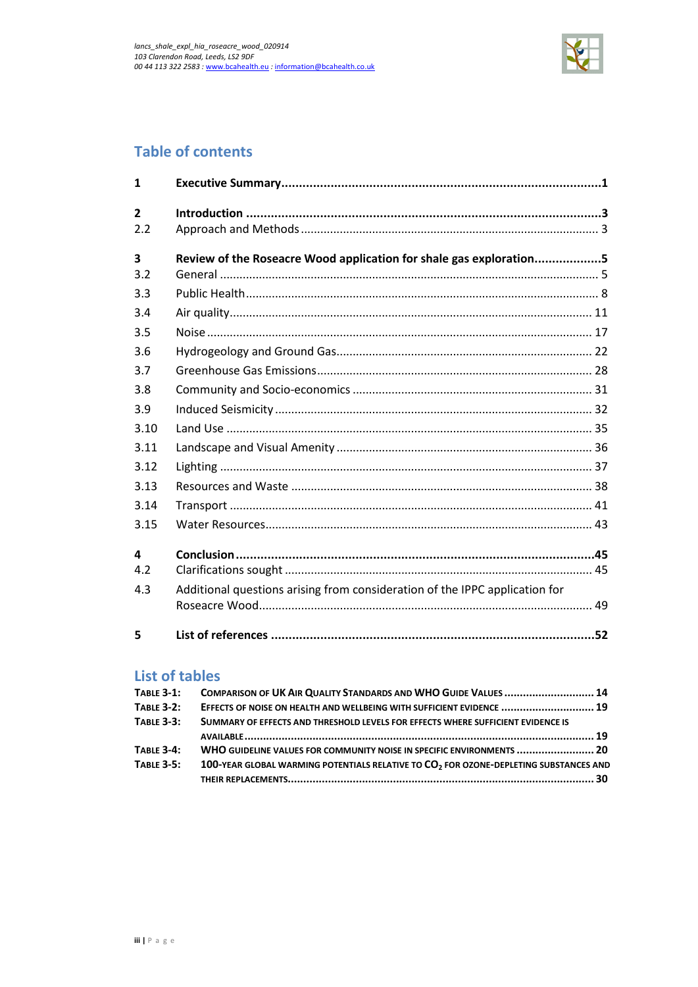

# **Table of contents**

| $\mathbf{1}$            |                                                                             |  |
|-------------------------|-----------------------------------------------------------------------------|--|
| $\overline{2}$          |                                                                             |  |
| 2.2                     |                                                                             |  |
| $\overline{\mathbf{3}}$ | Review of the Roseacre Wood application for shale gas exploration5          |  |
| 3.2                     |                                                                             |  |
| 3.3                     |                                                                             |  |
| 3.4                     |                                                                             |  |
| 3.5                     |                                                                             |  |
| 3.6                     |                                                                             |  |
| 3.7                     |                                                                             |  |
| 3.8                     |                                                                             |  |
| 3.9                     |                                                                             |  |
| 3.10                    |                                                                             |  |
| 3.11                    |                                                                             |  |
| 3.12                    |                                                                             |  |
| 3.13                    |                                                                             |  |
| 3.14                    |                                                                             |  |
| 3.15                    |                                                                             |  |
| 4                       |                                                                             |  |
| 4.2                     |                                                                             |  |
| 4.3                     | Additional questions arising from consideration of the IPPC application for |  |
|                         |                                                                             |  |
| 5                       |                                                                             |  |

## **List of tables**

| <b>TABLE 3-1:</b> | COMPARISON OF UK AIR QUALITY STANDARDS AND WHO GUIDE VALUES  14                                   |
|-------------------|---------------------------------------------------------------------------------------------------|
| <b>TABLE 3-2:</b> | EFFECTS OF NOISE ON HEALTH AND WELLBEING WITH SUFFICIENT EVIDENCE  19                             |
| <b>TABLE 3-3:</b> | SUMMARY OF EFFECTS AND THRESHOLD LEVELS FOR EFFECTS WHERE SUFFICIENT EVIDENCE IS                  |
|                   |                                                                                                   |
| <b>TABLE 3-4:</b> | WHO GUIDELINE VALUES FOR COMMUNITY NOISE IN SPECIFIC ENVIRONMENTS  20                             |
| <b>TABLE 3-5:</b> | 100-YEAR GLOBAL WARMING POTENTIALS RELATIVE TO CO <sub>2</sub> FOR OZONE-DEPLETING SUBSTANCES AND |
|                   |                                                                                                   |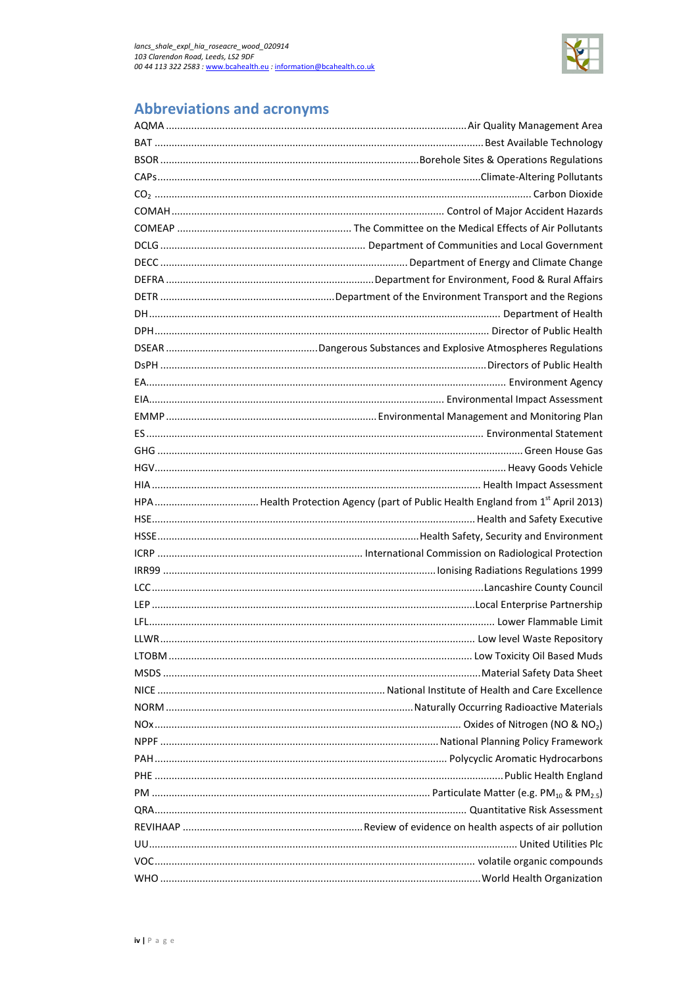

# **Abbreviations and acronyms**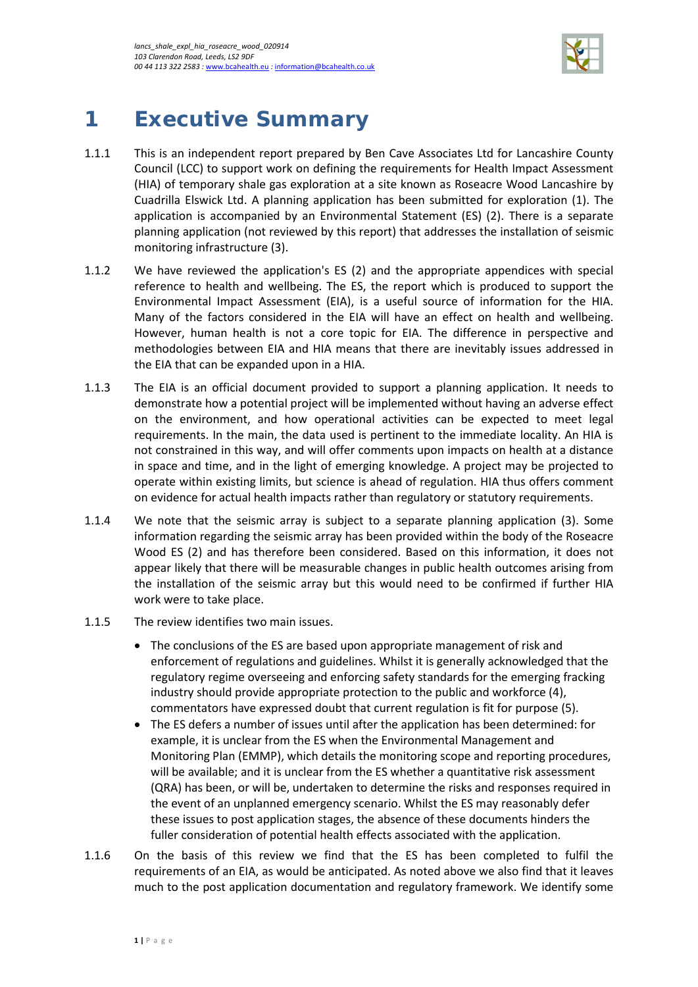

# <span id="page-4-0"></span>**1 Executive Summary**

- 1.1.1 This is an independent report prepared by Ben Cave Associates Ltd for Lancashire County Council (LCC) to support work on defining the requirements for Health Impact Assessment (HIA) of temporary shale gas exploration at a site known as Roseacre Wood Lancashire by Cuadrilla Elswick Ltd. A planning application has been submitted for exploration (1). The application is accompanied by an Environmental Statement (ES) (2). There is a separate planning application (not reviewed by this report) that addresses the installation of seismic monitoring infrastructure (3).
- 1.1.2 We have reviewed the application's ES (2) and the appropriate appendices with special reference to health and wellbeing. The ES, the report which is produced to support the Environmental Impact Assessment (EIA), is a useful source of information for the HIA. Many of the factors considered in the EIA will have an effect on health and wellbeing. However, human health is not a core topic for EIA. The difference in perspective and methodologies between EIA and HIA means that there are inevitably issues addressed in the EIA that can be expanded upon in a HIA.
- 1.1.3 The EIA is an official document provided to support a planning application. It needs to demonstrate how a potential project will be implemented without having an adverse effect on the environment, and how operational activities can be expected to meet legal requirements. In the main, the data used is pertinent to the immediate locality. An HIA is not constrained in this way, and will offer comments upon impacts on health at a distance in space and time, and in the light of emerging knowledge. A project may be projected to operate within existing limits, but science is ahead of regulation. HIA thus offers comment on evidence for actual health impacts rather than regulatory or statutory requirements.
- 1.1.4 We note that the seismic array is subject to a separate planning application (3). Some information regarding the seismic array has been provided within the body of the Roseacre Wood ES (2) and has therefore been considered. Based on this information, it does not appear likely that there will be measurable changes in public health outcomes arising from the installation of the seismic array but this would need to be confirmed if further HIA work were to take place.
- 1.1.5 The review identifies two main issues.
	- The conclusions of the ES are based upon appropriate management of risk and enforcement of regulations and guidelines. Whilst it is generally acknowledged that the regulatory regime overseeing and enforcing safety standards for the emerging fracking industry should provide appropriate protection to the public and workforce (4), commentators have expressed doubt that current regulation is fit for purpose (5).
	- The ES defers a number of issues until after the application has been determined: for example, it is unclear from the ES when the Environmental Management and Monitoring Plan (EMMP), which details the monitoring scope and reporting procedures, will be available; and it is unclear from the ES whether a quantitative risk assessment (QRA) has been, or will be, undertaken to determine the risks and responses required in the event of an unplanned emergency scenario. Whilst the ES may reasonably defer these issues to post application stages, the absence of these documents hinders the fuller consideration of potential health effects associated with the application.
- 1.1.6 On the basis of this review we find that the ES has been completed to fulfil the requirements of an EIA, as would be anticipated. As noted above we also find that it leaves much to the post application documentation and regulatory framework. We identify some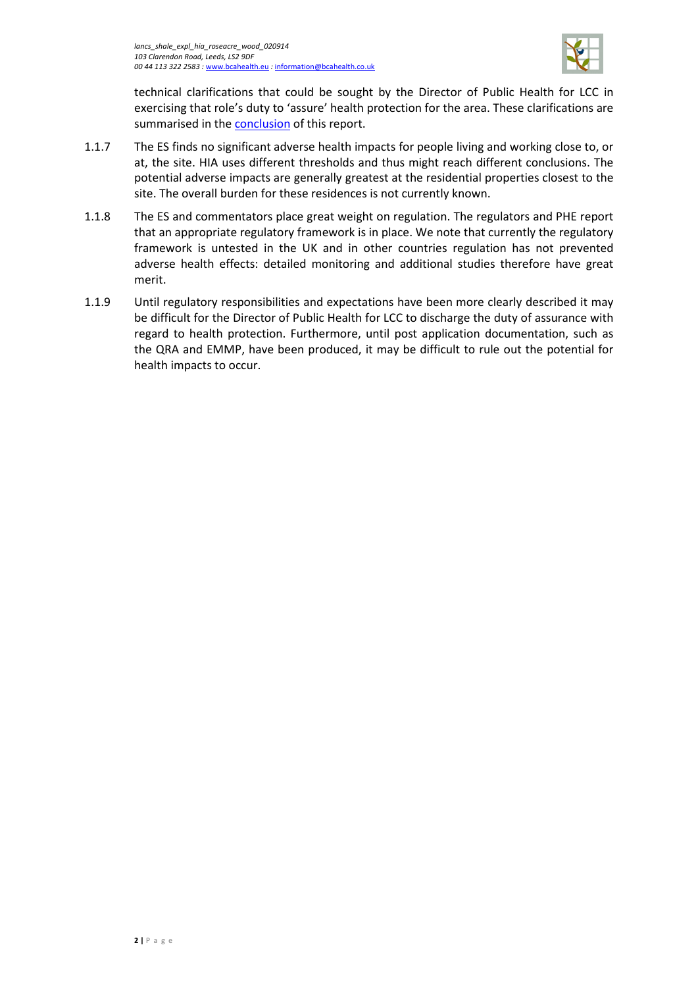

technical clarifications that could be sought by the Director of Public Health for LCC in exercising that role's duty to 'assure' health protection for the area. These clarifications are summarised in the [conclusion](#page-48-0) of this report.

- 1.1.7 The ES finds no significant adverse health impacts for people living and working close to, or at, the site. HIA uses different thresholds and thus might reach different conclusions. The potential adverse impacts are generally greatest at the residential properties closest to the site. The overall burden for these residences is not currently known.
- 1.1.8 The ES and commentators place great weight on regulation. The regulators and PHE report that an appropriate regulatory framework is in place. We note that currently the regulatory framework is untested in the UK and in other countries regulation has not prevented adverse health effects: detailed monitoring and additional studies therefore have great merit.
- 1.1.9 Until regulatory responsibilities and expectations have been more clearly described it may be difficult for the Director of Public Health for LCC to discharge the duty of assurance with regard to health protection. Furthermore, until post application documentation, such as the QRA and EMMP, have been produced, it may be difficult to rule out the potential for health impacts to occur.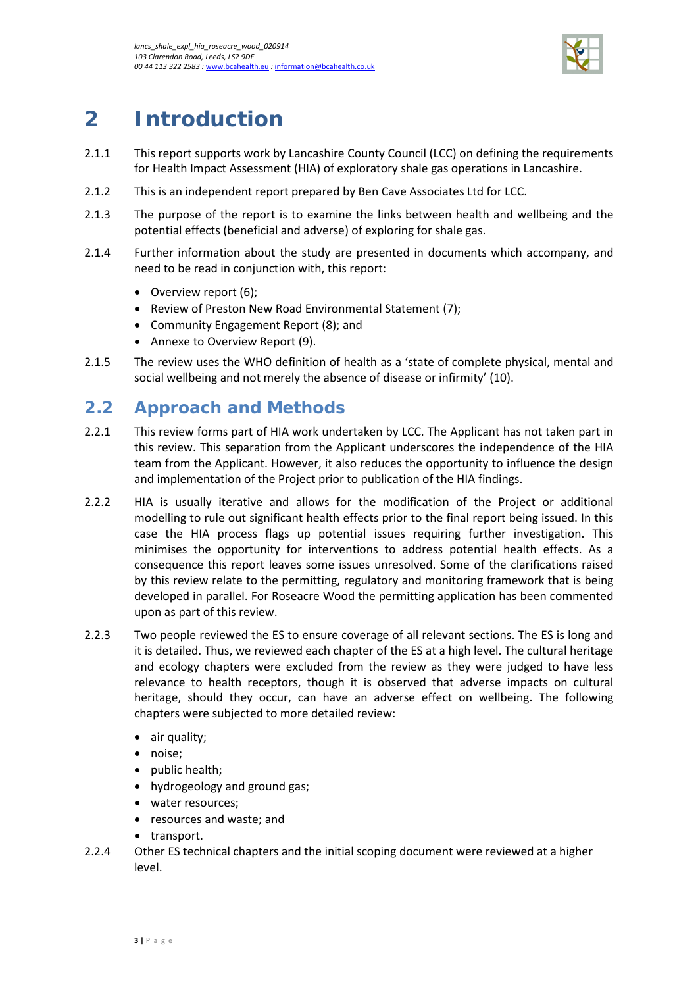

# <span id="page-6-0"></span>**2 Introduction**

- 2.1.1 This report supports work by Lancashire County Council (LCC) on defining the requirements for Health Impact Assessment (HIA) of exploratory shale gas operations in Lancashire.
- 2.1.2 This is an independent report prepared by Ben Cave Associates Ltd for LCC.
- 2.1.3 The purpose of the report is to examine the links between health and wellbeing and the potential effects (beneficial and adverse) of exploring for shale gas.
- 2.1.4 Further information about the study are presented in documents which accompany, and need to be read in conjunction with, this report:
	- Overview report (6);
	- Review of Preston New Road Environmental Statement (7);
	- Community Engagement Report (8); and
	- Annexe to Overview Report (9).
- 2.1.5 The review uses the WHO definition of health as a 'state of complete physical, mental and social wellbeing and not merely the absence of disease or infirmity' (10).

## <span id="page-6-1"></span>**2.2 Approach and Methods**

- 2.2.1 This review forms part of HIA work undertaken by LCC. The Applicant has not taken part in this review. This separation from the Applicant underscores the independence of the HIA team from the Applicant. However, it also reduces the opportunity to influence the design and implementation of the Project prior to publication of the HIA findings.
- 2.2.2 HIA is usually iterative and allows for the modification of the Project or additional modelling to rule out significant health effects prior to the final report being issued. In this case the HIA process flags up potential issues requiring further investigation. This minimises the opportunity for interventions to address potential health effects. As a consequence this report leaves some issues unresolved. Some of the clarifications raised by this review relate to the permitting, regulatory and monitoring framework that is being developed in parallel. For Roseacre Wood the permitting application has been commented upon as part of this review.
- 2.2.3 Two people reviewed the ES to ensure coverage of all relevant sections. The ES is long and it is detailed. Thus, we reviewed each chapter of the ES at a high level. The cultural heritage and ecology chapters were excluded from the review as they were judged to have less relevance to health receptors, though it is observed that adverse impacts on cultural heritage, should they occur, can have an adverse effect on wellbeing. The following chapters were subjected to more detailed review:
	- air quality;
	- noise;
	- public health;
	- hydrogeology and ground gas;
	- water resources;
	- resources and waste; and
	- transport.
- 2.2.4 Other ES technical chapters and the initial scoping document were reviewed at a higher level.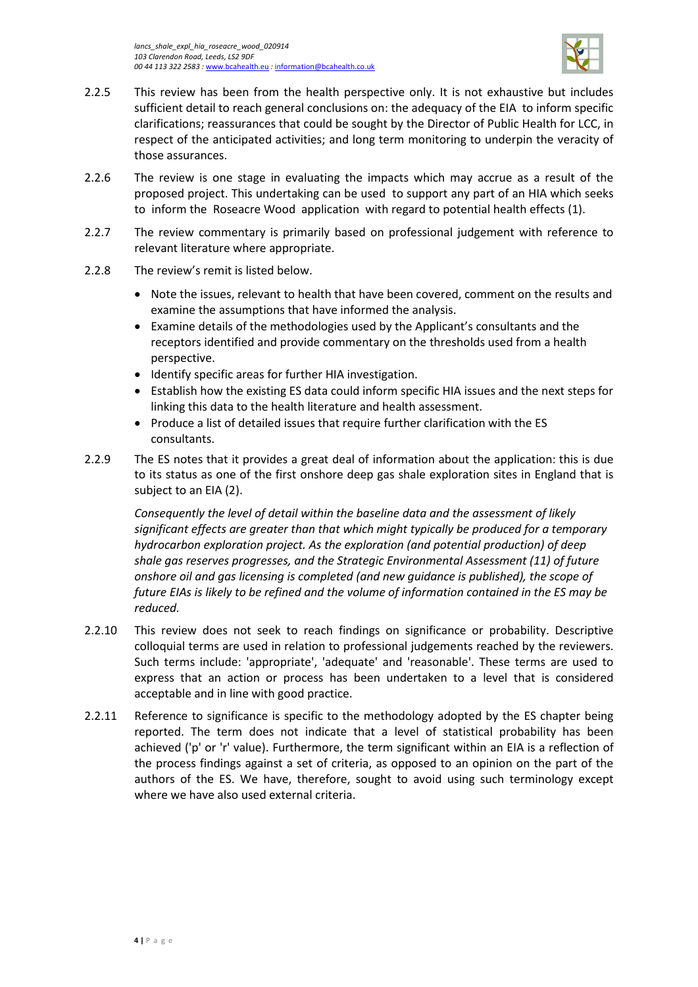

- 2.2.5 This review has been from the health perspective only. It is not exhaustive but includes sufficient detail to reach general conclusions on: the adequacy of the EIA to inform specific clarifications; reassurances that could be sought by the Director of Public Health for LCC, in respect of the anticipated activities; and long term monitoring to underpin the veracity of those assurances.
- 2.2.6 The review is one stage in evaluating the impacts which may accrue as a result of the proposed project. This undertaking can be used to support any part of an HIA which seeks to inform the Roseacre Wood application with regard to potential health effects (1).
- 2.2.7 The review commentary is primarily based on professional judgement with reference to relevant literature where appropriate.
- 2.2.8 The review's remit is listed below.
	- Note the issues, relevant to health that have been covered, comment on the results and examine the assumptions that have informed the analysis.
	- Examine details of the methodologies used by the Applicant's consultants and the receptors identified and provide commentary on the thresholds used from a health perspective.
	- Identify specific areas for further HIA investigation.
	- Establish how the existing ES data could inform specific HIA issues and the next steps for linking this data to the health literature and health assessment.
	- Produce a list of detailed issues that require further clarification with the ES consultants.
- 2.2.9 The ES notes that it provides a great deal of information about the application: this is due to its status as one of the first onshore deep gas shale exploration sites in England that is subject to an EIA (2).

*Consequently the level of detail within the baseline data and the assessment of likely significant effects are greater than that which might typically be produced for a temporary hydrocarbon exploration project. As the exploration (and potential production) of deep shale gas reserves progresses, and the Strategic Environmental Assessment (11) of future onshore oil and gas licensing is completed (and new guidance is published), the scope of future EIAs is likely to be refined and the volume of information contained in the ES may be reduced.*

- 2.2.10 This review does not seek to reach findings on significance or probability. Descriptive colloquial terms are used in relation to professional judgements reached by the reviewers. Such terms include: 'appropriate', 'adequate' and 'reasonable'. These terms are used to express that an action or process has been undertaken to a level that is considered acceptable and in line with good practice.
- 2.2.11 Reference to significance is specific to the methodology adopted by the ES chapter being reported. The term does not indicate that a level of statistical probability has been achieved ('p' or 'r' value). Furthermore, the term significant within an EIA is a reflection of the process findings against a set of criteria, as opposed to an opinion on the part of the authors of the ES. We have, therefore, sought to avoid using such terminology except where we have also used external criteria.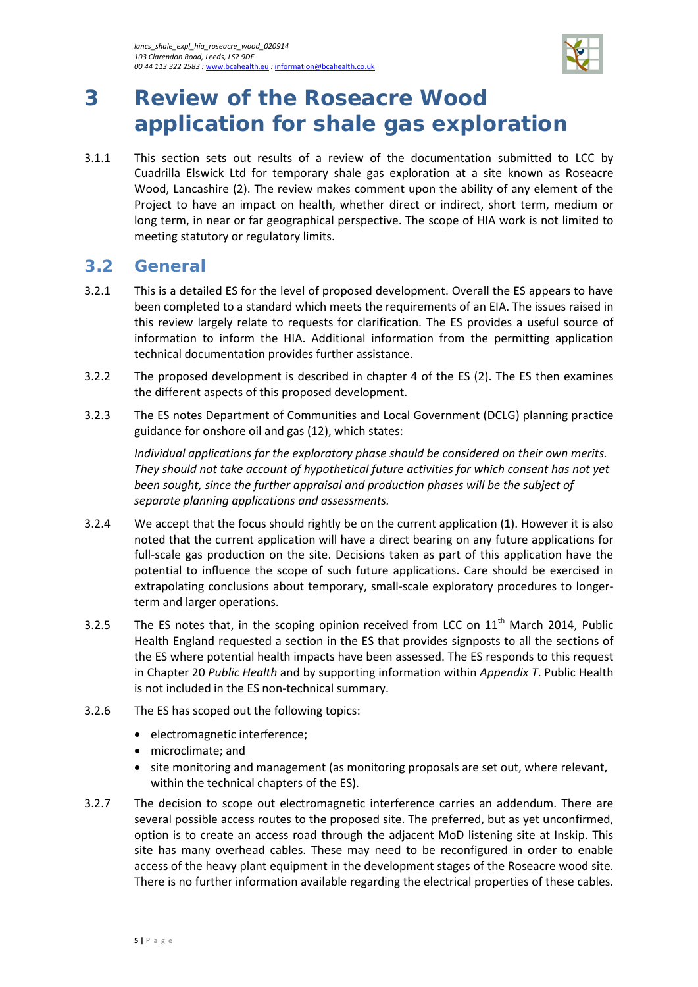

# <span id="page-8-0"></span>**3 Review of the Roseacre Wood application for shale gas exploration**

3.1.1 This section sets out results of a review of the documentation submitted to LCC by Cuadrilla Elswick Ltd for temporary shale gas exploration at a site known as Roseacre Wood, Lancashire (2). The review makes comment upon the ability of any element of the Project to have an impact on health, whether direct or indirect, short term, medium or long term, in near or far geographical perspective. The scope of HIA work is not limited to meeting statutory or regulatory limits.

### <span id="page-8-1"></span>**3.2 General**

- 3.2.1 This is a detailed ES for the level of proposed development. Overall the ES appears to have been completed to a standard which meets the requirements of an EIA. The issues raised in this review largely relate to requests for clarification. The ES provides a useful source of information to inform the HIA. Additional information from the permitting application technical documentation provides further assistance.
- 3.2.2 The proposed development is described in chapter 4 of the ES (2). The ES then examines the different aspects of this proposed development.
- 3.2.3 The ES notes Department of Communities and Local Government (DCLG) planning practice guidance for onshore oil and gas (12), which states:

*Individual applications for the exploratory phase should be considered on their own merits. They should not take account of hypothetical future activities for which consent has not yet been sought, since the further appraisal and production phases will be the subject of separate planning applications and assessments.* 

- 3.2.4 We accept that the focus should rightly be on the current application (1). However it is also noted that the current application will have a direct bearing on any future applications for full-scale gas production on the site. Decisions taken as part of this application have the potential to influence the scope of such future applications. Care should be exercised in extrapolating conclusions about temporary, small-scale exploratory procedures to longerterm and larger operations.
- 3.2.5 The ES notes that, in the scoping opinion received from LCC on  $11<sup>th</sup>$  March 2014, Public Health England requested a section in the ES that provides signposts to all the sections of the ES where potential health impacts have been assessed. The ES responds to this request in Chapter 20 *Public Health* and by supporting information within *Appendix T*. Public Health is not included in the ES non-technical summary.
- 3.2.6 The ES has scoped out the following topics:
	- electromagnetic interference;
	- microclimate; and
	- site monitoring and management (as monitoring proposals are set out, where relevant, within the technical chapters of the ES).
- 3.2.7 The decision to scope out electromagnetic interference carries an addendum. There are several possible access routes to the proposed site. The preferred, but as yet unconfirmed, option is to create an access road through the adjacent MoD listening site at Inskip. This site has many overhead cables. These may need to be reconfigured in order to enable access of the heavy plant equipment in the development stages of the Roseacre wood site. There is no further information available regarding the electrical properties of these cables.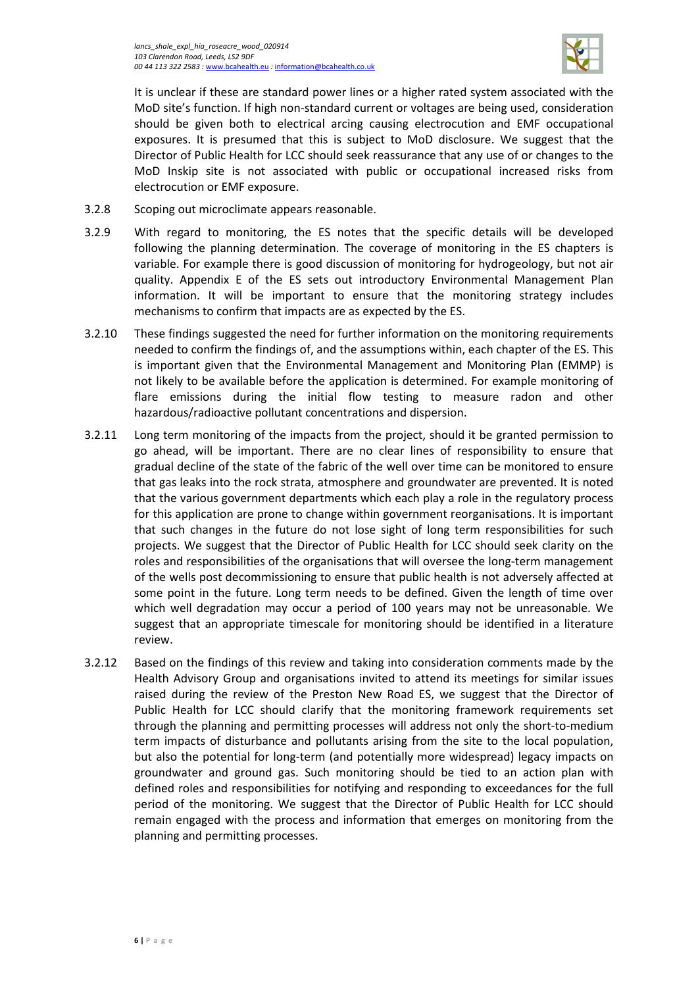

It is unclear if these are standard power lines or a higher rated system associated with the MoD site's function. If high non-standard current or voltages are being used, consideration should be given both to electrical arcing causing electrocution and EMF occupational exposures. It is presumed that this is subject to MoD disclosure. We suggest that the Director of Public Health for LCC should seek reassurance that any use of or changes to the MoD Inskip site is not associated with public or occupational increased risks from electrocution or EMF exposure.

- 3.2.8 Scoping out microclimate appears reasonable.
- 3.2.9 With regard to monitoring, the ES notes that the specific details will be developed following the planning determination. The coverage of monitoring in the ES chapters is variable. For example there is good discussion of monitoring for hydrogeology, but not air quality. Appendix E of the ES sets out introductory Environmental Management Plan information. It will be important to ensure that the monitoring strategy includes mechanisms to confirm that impacts are as expected by the ES.
- 3.2.10 These findings suggested the need for further information on the monitoring requirements needed to confirm the findings of, and the assumptions within, each chapter of the ES. This is important given that the Environmental Management and Monitoring Plan (EMMP) is not likely to be available before the application is determined. For example monitoring of flare emissions during the initial flow testing to measure radon and other hazardous/radioactive pollutant concentrations and dispersion.
- 3.2.11 Long term monitoring of the impacts from the project, should it be granted permission to go ahead, will be important. There are no clear lines of responsibility to ensure that gradual decline of the state of the fabric of the well over time can be monitored to ensure that gas leaks into the rock strata, atmosphere and groundwater are prevented. It is noted that the various government departments which each play a role in the regulatory process for this application are prone to change within government reorganisations. It is important that such changes in the future do not lose sight of long term responsibilities for such projects. We suggest that the Director of Public Health for LCC should seek clarity on the roles and responsibilities of the organisations that will oversee the long-term management of the wells post decommissioning to ensure that public health is not adversely affected at some point in the future. Long term needs to be defined. Given the length of time over which well degradation may occur a period of 100 years may not be unreasonable. We suggest that an appropriate timescale for monitoring should be identified in a literature review.
- 3.2.12 Based on the findings of this review and taking into consideration comments made by the Health Advisory Group and organisations invited to attend its meetings for similar issues raised during the review of the Preston New Road ES, we suggest that the Director of Public Health for LCC should clarify that the monitoring framework requirements set through the planning and permitting processes will address not only the short-to-medium term impacts of disturbance and pollutants arising from the site to the local population, but also the potential for long-term (and potentially more widespread) legacy impacts on groundwater and ground gas. Such monitoring should be tied to an action plan with defined roles and responsibilities for notifying and responding to exceedances for the full period of the monitoring. We suggest that the Director of Public Health for LCC should remain engaged with the process and information that emerges on monitoring from the planning and permitting processes.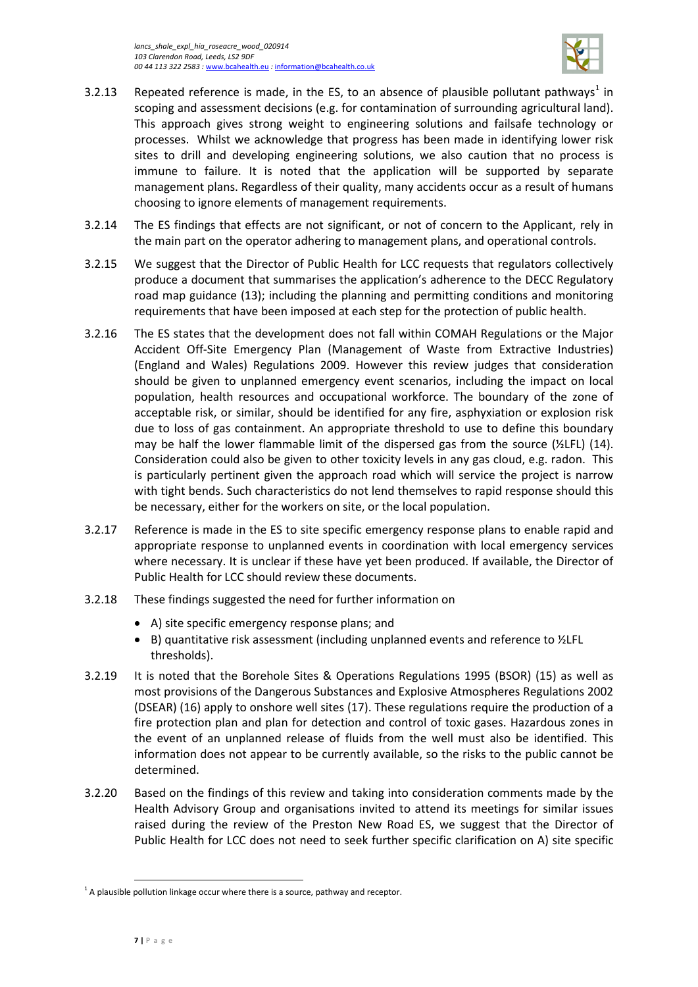

- 3.2.[1](#page-10-0)3 Repeated reference is made, in the ES, to an absence of plausible pollutant pathways<sup>1</sup> in scoping and assessment decisions (e.g. for contamination of surrounding agricultural land). This approach gives strong weight to engineering solutions and failsafe technology or processes. Whilst we acknowledge that progress has been made in identifying lower risk sites to drill and developing engineering solutions, we also caution that no process is immune to failure. It is noted that the application will be supported by separate management plans. Regardless of their quality, many accidents occur as a result of humans choosing to ignore elements of management requirements.
- 3.2.14 The ES findings that effects are not significant, or not of concern to the Applicant, rely in the main part on the operator adhering to management plans, and operational controls.
- 3.2.15 We suggest that the Director of Public Health for LCC requests that regulators collectively produce a document that summarises the application's adherence to the DECC Regulatory road map guidance (13); including the planning and permitting conditions and monitoring requirements that have been imposed at each step for the protection of public health.
- 3.2.16 The ES states that the development does not fall within COMAH Regulations or the Major Accident Off-Site Emergency Plan (Management of Waste from Extractive Industries) (England and Wales) Regulations 2009. However this review judges that consideration should be given to unplanned emergency event scenarios, including the impact on local population, health resources and occupational workforce. The boundary of the zone of acceptable risk, or similar, should be identified for any fire, asphyxiation or explosion risk due to loss of gas containment. An appropriate threshold to use to define this boundary may be half the lower flammable limit of the dispersed gas from the source  $(\frac{1}{2}LFL)$  (14). Consideration could also be given to other toxicity levels in any gas cloud, e.g. radon. This is particularly pertinent given the approach road which will service the project is narrow with tight bends. Such characteristics do not lend themselves to rapid response should this be necessary, either for the workers on site, or the local population.
- 3.2.17 Reference is made in the ES to site specific emergency response plans to enable rapid and appropriate response to unplanned events in coordination with local emergency services where necessary. It is unclear if these have yet been produced. If available, the Director of Public Health for LCC should review these documents.
- 3.2.18 These findings suggested the need for further information on
	- A) site specific emergency response plans; and
	- B) quantitative risk assessment (including unplanned events and reference to ½LFL thresholds).
- 3.2.19 It is noted that the Borehole Sites & Operations Regulations 1995 (BSOR) (15) as well as most provisions of the Dangerous Substances and Explosive Atmospheres Regulations 2002 (DSEAR) (16) apply to onshore well sites (17). These regulations require the production of a fire protection plan and plan for detection and control of toxic gases. Hazardous zones in the event of an unplanned release of fluids from the well must also be identified. This information does not appear to be currently available, so the risks to the public cannot be determined.
- 3.2.20 Based on the findings of this review and taking into consideration comments made by the Health Advisory Group and organisations invited to attend its meetings for similar issues raised during the review of the Preston New Road ES, we suggest that the Director of Public Health for LCC does not need to seek further specific clarification on A) site specific

 $\overline{\phantom{a}}$ 

<span id="page-10-0"></span> $1$  A plausible pollution linkage occur where there is a source, pathway and receptor.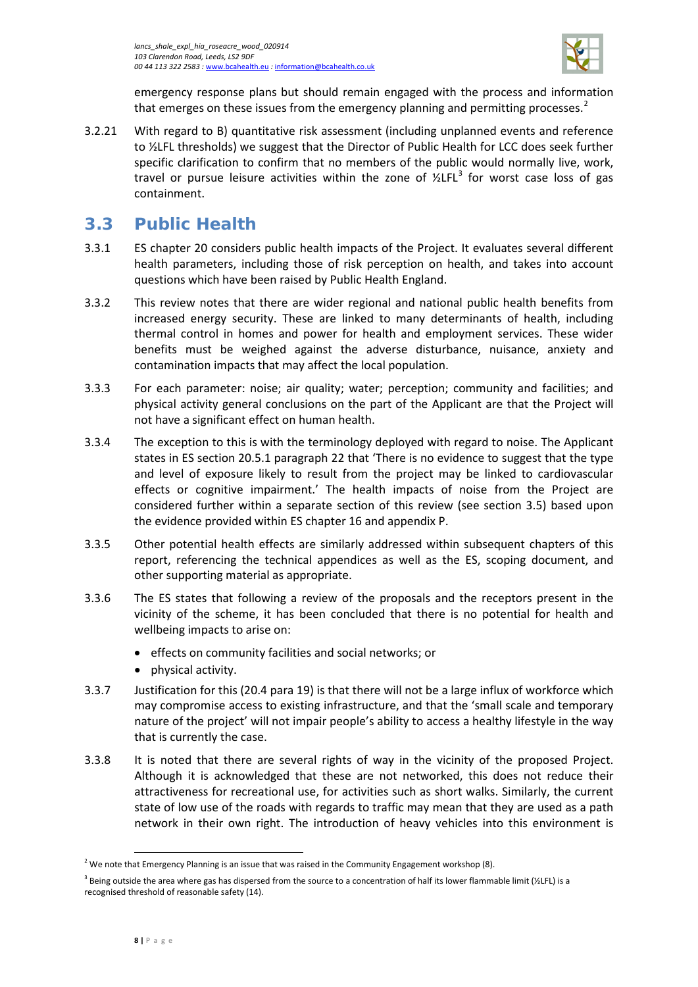

emergency response plans but should remain engaged with the process and information that emerges on these issues from the emergency planning and permitting processes.<sup>[2](#page-11-1)</sup>

3.2.21 With regard to B) quantitative risk assessment (including unplanned events and reference to ½LFL thresholds) we suggest that the Director of Public Health for LCC does seek further specific clarification to confirm that no members of the public would normally live, work, travel or pursue leisure activities within the zone of  $\frac{\text{y}}{\text{z}}$  for worst case loss of gas containment.

# <span id="page-11-0"></span>**3.3 Public Health**

- 3.3.1 ES chapter 20 considers public health impacts of the Project. It evaluates several different health parameters, including those of risk perception on health, and takes into account questions which have been raised by Public Health England.
- 3.3.2 This review notes that there are wider regional and national public health benefits from increased energy security. These are linked to many determinants of health, including thermal control in homes and power for health and employment services. These wider benefits must be weighed against the adverse disturbance, nuisance, anxiety and contamination impacts that may affect the local population.
- 3.3.3 For each parameter: noise; air quality; water; perception; community and facilities; and physical activity general conclusions on the part of the Applicant are that the Project will not have a significant effect on human health.
- 3.3.4 The exception to this is with the terminology deployed with regard to noise. The Applicant states in ES section 20.5.1 paragraph 22 that 'There is no evidence to suggest that the type and level of exposure likely to result from the project may be linked to cardiovascular effects or cognitive impairment.' The health impacts of noise from the Project are considered further within a separate section of this review (see section [3.5\)](#page-20-0) based upon the evidence provided within ES chapter 16 and appendix P.
- 3.3.5 Other potential health effects are similarly addressed within subsequent chapters of this report, referencing the technical appendices as well as the ES, scoping document, and other supporting material as appropriate.
- 3.3.6 The ES states that following a review of the proposals and the receptors present in the vicinity of the scheme, it has been concluded that there is no potential for health and wellbeing impacts to arise on:
	- effects on community facilities and social networks; or
	- physical activity.
- 3.3.7 Justification for this (20.4 para 19) is that there will not be a large influx of workforce which may compromise access to existing infrastructure, and that the 'small scale and temporary nature of the project' will not impair people's ability to access a healthy lifestyle in the way that is currently the case.
- 3.3.8 It is noted that there are several rights of way in the vicinity of the proposed Project. Although it is acknowledged that these are not networked, this does not reduce their attractiveness for recreational use, for activities such as short walks. Similarly, the current state of low use of the roads with regards to traffic may mean that they are used as a path network in their own right. The introduction of heavy vehicles into this environment is

l

<span id="page-11-1"></span><sup>&</sup>lt;sup>2</sup> We note that Emergency Planning is an issue that was raised in the Community Engagement workshop (8).

<span id="page-11-2"></span><sup>&</sup>lt;sup>3</sup> Being outside the area where gas has dispersed from the source to a concentration of half its lower flammable limit (½LFL) is a recognised threshold of reasonable safety (14).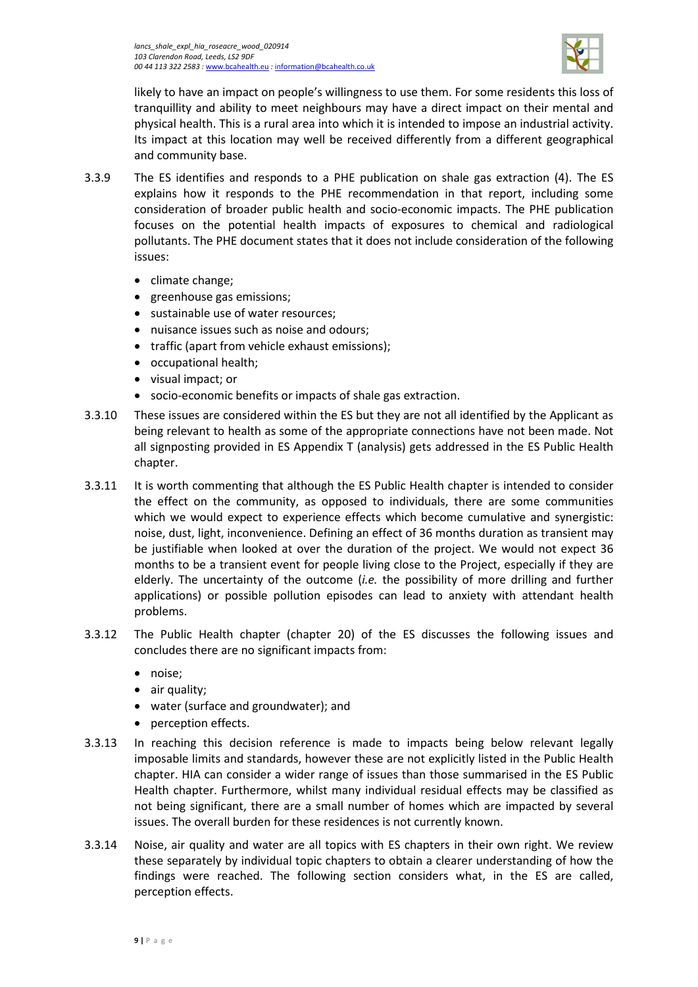

likely to have an impact on people's willingness to use them. For some residents this loss of tranquillity and ability to meet neighbours may have a direct impact on their mental and physical health. This is a rural area into which it is intended to impose an industrial activity. Its impact at this location may well be received differently from a different geographical and community base.

- 3.3.9 The ES identifies and responds to a PHE publication on shale gas extraction (4). The ES explains how it responds to the PHE recommendation in that report, including some consideration of broader public health and socio-economic impacts. The PHE publication focuses on the potential health impacts of exposures to chemical and radiological pollutants. The PHE document states that it does not include consideration of the following issues:
	- climate change;
	- greenhouse gas emissions;
	- sustainable use of water resources;
	- nuisance issues such as noise and odours;
	- traffic (apart from vehicle exhaust emissions);
	- occupational health;
	- visual impact; or
	- socio-economic benefits or impacts of shale gas extraction.
- 3.3.10 These issues are considered within the ES but they are not all identified by the Applicant as being relevant to health as some of the appropriate connections have not been made. Not all signposting provided in ES Appendix T (analysis) gets addressed in the ES Public Health chapter.
- 3.3.11 It is worth commenting that although the ES Public Health chapter is intended to consider the effect on the community, as opposed to individuals, there are some communities which we would expect to experience effects which become cumulative and synergistic: noise, dust, light, inconvenience. Defining an effect of 36 months duration as transient may be justifiable when looked at over the duration of the project. We would not expect 36 months to be a transient event for people living close to the Project, especially if they are elderly. The uncertainty of the outcome (*i.e.* the possibility of more drilling and further applications) or possible pollution episodes can lead to anxiety with attendant health problems.
- 3.3.12 The Public Health chapter (chapter 20) of the ES discusses the following issues and concludes there are no significant impacts from:
	- noise;
	- air quality;
	- water (surface and groundwater); and
	- perception effects.
- 3.3.13 In reaching this decision reference is made to impacts being below relevant legally imposable limits and standards, however these are not explicitly listed in the Public Health chapter. HIA can consider a wider range of issues than those summarised in the ES Public Health chapter. Furthermore, whilst many individual residual effects may be classified as not being significant, there are a small number of homes which are impacted by several issues. The overall burden for these residences is not currently known.
- 3.3.14 Noise, air quality and water are all topics with ES chapters in their own right. We review these separately by individual topic chapters to obtain a clearer understanding of how the findings were reached. The following section considers what, in the ES are called, perception effects.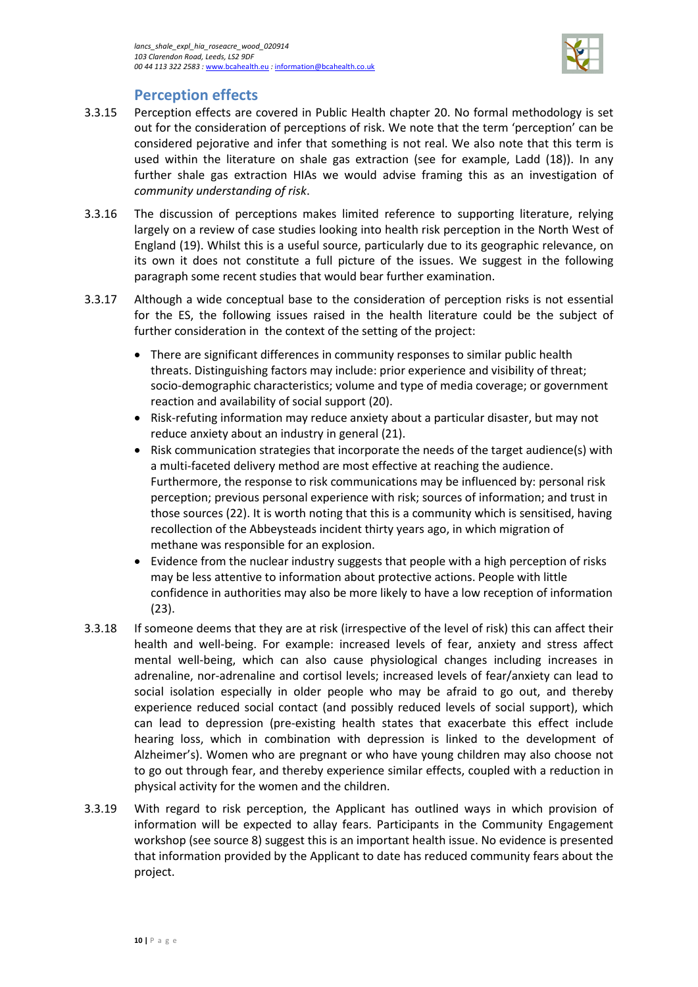

### **Perception effects**

- 3.3.15 Perception effects are covered in Public Health chapter 20. No formal methodology is set out for the consideration of perceptions of risk. We note that the term 'perception' can be considered pejorative and infer that something is not real. We also note that this term is used within the literature on shale gas extraction (see for example, Ladd (18)). In any further shale gas extraction HIAs we would advise framing this as an investigation of *community understanding of risk*.
- 3.3.16 The discussion of perceptions makes limited reference to supporting literature, relying largely on a review of case studies looking into health risk perception in the North West of England (19). Whilst this is a useful source, particularly due to its geographic relevance, on its own it does not constitute a full picture of the issues. We suggest in the following paragraph some recent studies that would bear further examination.
- 3.3.17 Although a wide conceptual base to the consideration of perception risks is not essential for the ES, the following issues raised in the health literature could be the subject of further consideration in the context of the setting of the project:
	- There are significant differences in community responses to similar public health threats. Distinguishing factors may include: prior experience and visibility of threat; socio-demographic characteristics; volume and type of media coverage; or government reaction and availability of social support (20).
	- Risk-refuting information may reduce anxiety about a particular disaster, but may not reduce anxiety about an industry in general (21).
	- Risk communication strategies that incorporate the needs of the target audience(s) with a multi-faceted delivery method are most effective at reaching the audience. Furthermore, the response to risk communications may be influenced by: personal risk perception; previous personal experience with risk; sources of information; and trust in those sources (22). It is worth noting that this is a community which is sensitised, having recollection of the Abbeysteads incident thirty years ago, in which migration of methane was responsible for an explosion.
	- Evidence from the nuclear industry suggests that people with a high perception of risks may be less attentive to information about protective actions. People with little confidence in authorities may also be more likely to have a low reception of information (23).
- 3.3.18 If someone deems that they are at risk (irrespective of the level of risk) this can affect their health and well-being. For example: increased levels of fear, anxiety and stress affect mental well-being, which can also cause physiological changes including increases in adrenaline, nor-adrenaline and cortisol levels; increased levels of fear/anxiety can lead to social isolation especially in older people who may be afraid to go out, and thereby experience reduced social contact (and possibly reduced levels of social support), which can lead to depression (pre-existing health states that exacerbate this effect include hearing loss, which in combination with depression is linked to the development of Alzheimer's). Women who are pregnant or who have young children may also choose not to go out through fear, and thereby experience similar effects, coupled with a reduction in physical activity for the women and the children.
- 3.3.19 With regard to risk perception, the Applicant has outlined ways in which provision of information will be expected to allay fears. Participants in the Community Engagement workshop (see source 8) suggest this is an important health issue. No evidence is presented that information provided by the Applicant to date has reduced community fears about the project.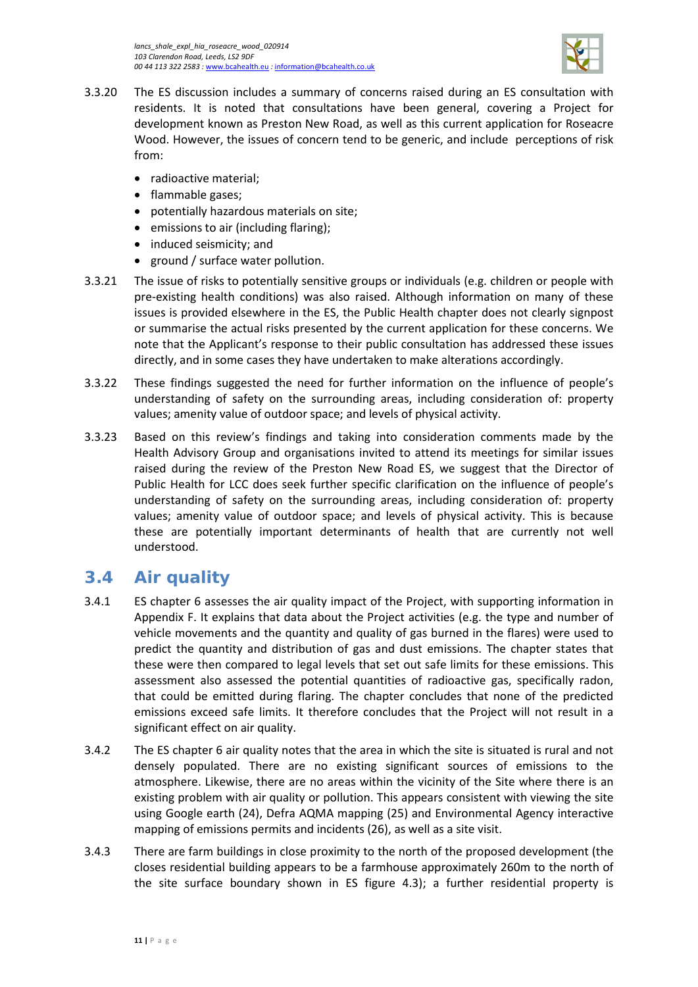

- 3.3.20 The ES discussion includes a summary of concerns raised during an ES consultation with residents. It is noted that consultations have been general, covering a Project for development known as Preston New Road, as well as this current application for Roseacre Wood. However, the issues of concern tend to be generic, and include perceptions of risk from:
	- radioactive material;
	- flammable gases;
	- potentially hazardous materials on site;
	- emissions to air (including flaring);
	- induced seismicity; and
	- ground / surface water pollution.
- 3.3.21 The issue of risks to potentially sensitive groups or individuals (e.g. children or people with pre-existing health conditions) was also raised. Although information on many of these issues is provided elsewhere in the ES, the Public Health chapter does not clearly signpost or summarise the actual risks presented by the current application for these concerns. We note that the Applicant's response to their public consultation has addressed these issues directly, and in some cases they have undertaken to make alterations accordingly.
- 3.3.22 These findings suggested the need for further information on the influence of people's understanding of safety on the surrounding areas, including consideration of: property values; amenity value of outdoor space; and levels of physical activity.
- 3.3.23 Based on this review's findings and taking into consideration comments made by the Health Advisory Group and organisations invited to attend its meetings for similar issues raised during the review of the Preston New Road ES, we suggest that the Director of Public Health for LCC does seek further specific clarification on the influence of people's understanding of safety on the surrounding areas, including consideration of: property values; amenity value of outdoor space; and levels of physical activity. This is because these are potentially important determinants of health that are currently not well understood.

# <span id="page-14-0"></span>**3.4 Air quality**

- 3.4.1 ES chapter 6 assesses the air quality impact of the Project, with supporting information in Appendix F. It explains that data about the Project activities (e.g. the type and number of vehicle movements and the quantity and quality of gas burned in the flares) were used to predict the quantity and distribution of gas and dust emissions. The chapter states that these were then compared to legal levels that set out safe limits for these emissions. This assessment also assessed the potential quantities of radioactive gas, specifically radon, that could be emitted during flaring. The chapter concludes that none of the predicted emissions exceed safe limits. It therefore concludes that the Project will not result in a significant effect on air quality.
- 3.4.2 The ES chapter 6 air quality notes that the area in which the site is situated is rural and not densely populated. There are no existing significant sources of emissions to the atmosphere. Likewise, there are no areas within the vicinity of the Site where there is an existing problem with air quality or pollution. This appears consistent with viewing the site using Google earth (24), Defra AQMA mapping (25) and Environmental Agency interactive mapping of emissions permits and incidents (26), as well as a site visit.
- 3.4.3 There are farm buildings in close proximity to the north of the proposed development (the closes residential building appears to be a farmhouse approximately 260m to the north of the site surface boundary shown in ES figure 4.3); a further residential property is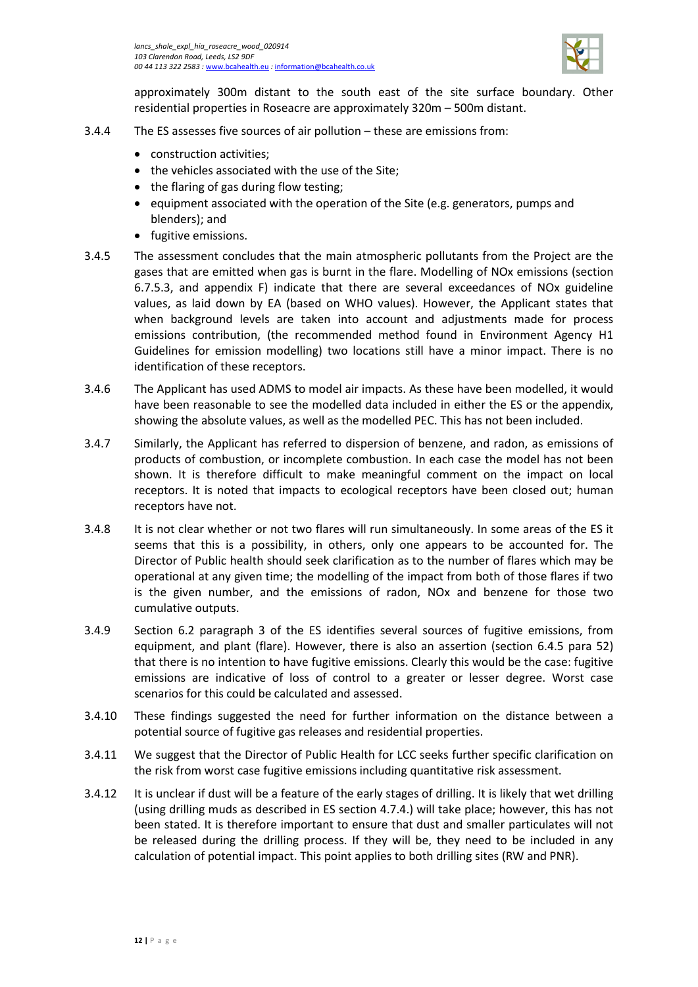

approximately 300m distant to the south east of the site surface boundary. Other residential properties in Roseacre are approximately 320m – 500m distant.

- 3.4.4 The ES assesses five sources of air pollution these are emissions from:
	- construction activities;
	- the vehicles associated with the use of the Site;
	- the flaring of gas during flow testing;
	- equipment associated with the operation of the Site (e.g. generators, pumps and blenders); and
	- fugitive emissions.
- 3.4.5 The assessment concludes that the main atmospheric pollutants from the Project are the gases that are emitted when gas is burnt in the flare. Modelling of NOx emissions (section 6.7.5.3, and appendix F) indicate that there are several exceedances of NOx guideline values, as laid down by EA (based on WHO values). However, the Applicant states that when background levels are taken into account and adjustments made for process emissions contribution, (the recommended method found in Environment Agency H1 Guidelines for emission modelling) two locations still have a minor impact. There is no identification of these receptors.
- 3.4.6 The Applicant has used ADMS to model air impacts. As these have been modelled, it would have been reasonable to see the modelled data included in either the ES or the appendix, showing the absolute values, as well as the modelled PEC. This has not been included.
- 3.4.7 Similarly, the Applicant has referred to dispersion of benzene, and radon, as emissions of products of combustion, or incomplete combustion. In each case the model has not been shown. It is therefore difficult to make meaningful comment on the impact on local receptors. It is noted that impacts to ecological receptors have been closed out; human receptors have not.
- 3.4.8 It is not clear whether or not two flares will run simultaneously. In some areas of the ES it seems that this is a possibility, in others, only one appears to be accounted for. The Director of Public health should seek clarification as to the number of flares which may be operational at any given time; the modelling of the impact from both of those flares if two is the given number, and the emissions of radon, NOx and benzene for those two cumulative outputs.
- 3.4.9 Section 6.2 paragraph 3 of the ES identifies several sources of fugitive emissions, from equipment, and plant (flare). However, there is also an assertion (section 6.4.5 para 52) that there is no intention to have fugitive emissions. Clearly this would be the case: fugitive emissions are indicative of loss of control to a greater or lesser degree. Worst case scenarios for this could be calculated and assessed.
- 3.4.10 These findings suggested the need for further information on the distance between a potential source of fugitive gas releases and residential properties.
- 3.4.11 We suggest that the Director of Public Health for LCC seeks further specific clarification on the risk from worst case fugitive emissions including quantitative risk assessment.
- 3.4.12 It is unclear if dust will be a feature of the early stages of drilling. It is likely that wet drilling (using drilling muds as described in ES section 4.7.4.) will take place; however, this has not been stated. It is therefore important to ensure that dust and smaller particulates will not be released during the drilling process. If they will be, they need to be included in any calculation of potential impact. This point applies to both drilling sites (RW and PNR).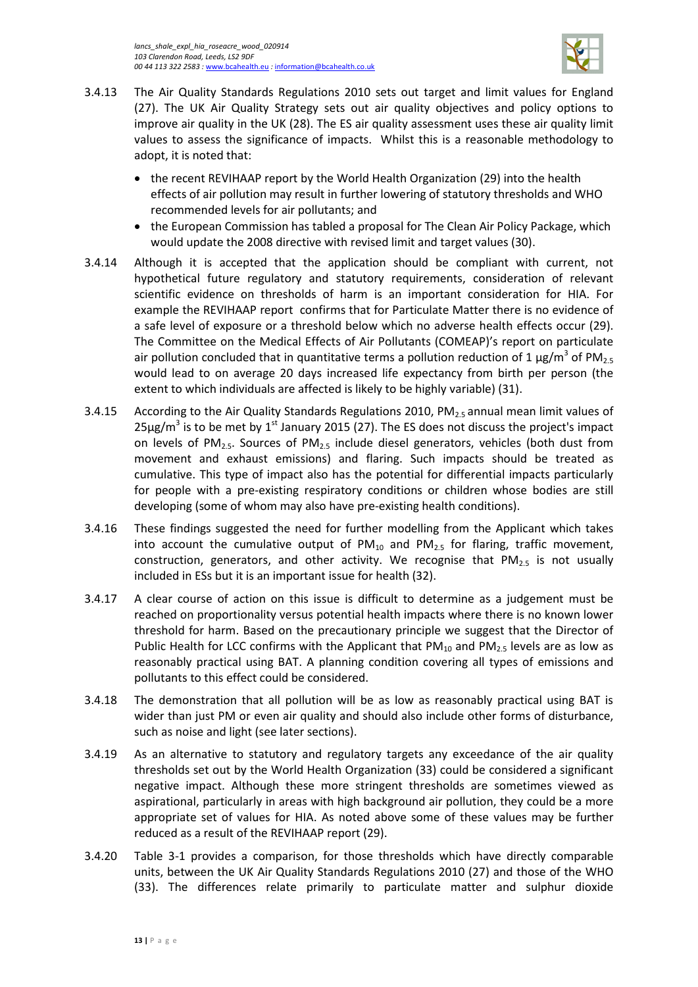

- 3.4.13 The Air Quality Standards Regulations 2010 sets out target and limit values for England (27). The UK Air Quality Strategy sets out air quality objectives and policy options to improve air quality in the UK (28). The ES air quality assessment uses these air quality limit values to assess the significance of impacts. Whilst this is a reasonable methodology to adopt, it is noted that:
	- the recent REVIHAAP report by the World Health Organization (29) into the health effects of air pollution may result in further lowering of statutory thresholds and WHO recommended levels for air pollutants; and
	- the European Commission has tabled a proposal for The Clean Air Policy Package, which would update the 2008 directive with revised limit and target values (30).
- 3.4.14 Although it is accepted that the application should be compliant with current, not hypothetical future regulatory and statutory requirements, consideration of relevant scientific evidence on thresholds of harm is an important consideration for HIA. For example the REVIHAAP report confirms that for Particulate Matter there is no evidence of a safe level of exposure or a threshold below which no adverse health effects occur (29). The Committee on the Medical Effects of Air Pollutants (COMEAP)'s report on particulate air pollution concluded that in quantitative terms a pollution reduction of 1  $\mu$ g/m<sup>3</sup> of PM<sub>2.5</sub> would lead to on average 20 days increased life expectancy from birth per person (the extent to which individuals are affected is likely to be highly variable) (31).
- 3.4.15 According to the Air Quality Standards Regulations 2010,  $PM_{2.5}$  annual mean limit values of  $25\mu g/m^3$  is to be met by 1<sup>st</sup> January 2015 (27). The ES does not discuss the project's impact on levels of PM<sub>25</sub>. Sources of PM<sub>25</sub> include diesel generators, vehicles (both dust from movement and exhaust emissions) and flaring. Such impacts should be treated as cumulative. This type of impact also has the potential for differential impacts particularly for people with a pre-existing respiratory conditions or children whose bodies are still developing (some of whom may also have pre-existing health conditions).
- 3.4.16 These findings suggested the need for further modelling from the Applicant which takes into account the cumulative output of  $PM_{10}$  and  $PM_{2.5}$  for flaring, traffic movement, construction, generators, and other activity. We recognise that  $PM_{2.5}$  is not usually included in ESs but it is an important issue for health (32).
- 3.4.17 A clear course of action on this issue is difficult to determine as a judgement must be reached on proportionality versus potential health impacts where there is no known lower threshold for harm. Based on the precautionary principle we suggest that the Director of Public Health for LCC confirms with the Applicant that  $PM_{10}$  and  $PM_{2.5}$  levels are as low as reasonably practical using BAT. A planning condition covering all types of emissions and pollutants to this effect could be considered.
- 3.4.18 The demonstration that all pollution will be as low as reasonably practical using BAT is wider than just PM or even air quality and should also include other forms of disturbance, such as noise and light (see later sections).
- 3.4.19 As an alternative to statutory and regulatory targets any exceedance of the air quality thresholds set out by the World Health Organization (33) could be considered a significant negative impact. Although these more stringent thresholds are sometimes viewed as aspirational, particularly in areas with high background air pollution, they could be a more appropriate set of values for HIA. As noted above some of these values may be further reduced as a result of the REVIHAAP report (29).
- 3.4.20 [Table 3-1](#page-17-0) provides a comparison, for those thresholds which have directly comparable units, between the UK Air Quality Standards Regulations 2010 (27) and those of the WHO (33). The differences relate primarily to particulate matter and sulphur dioxide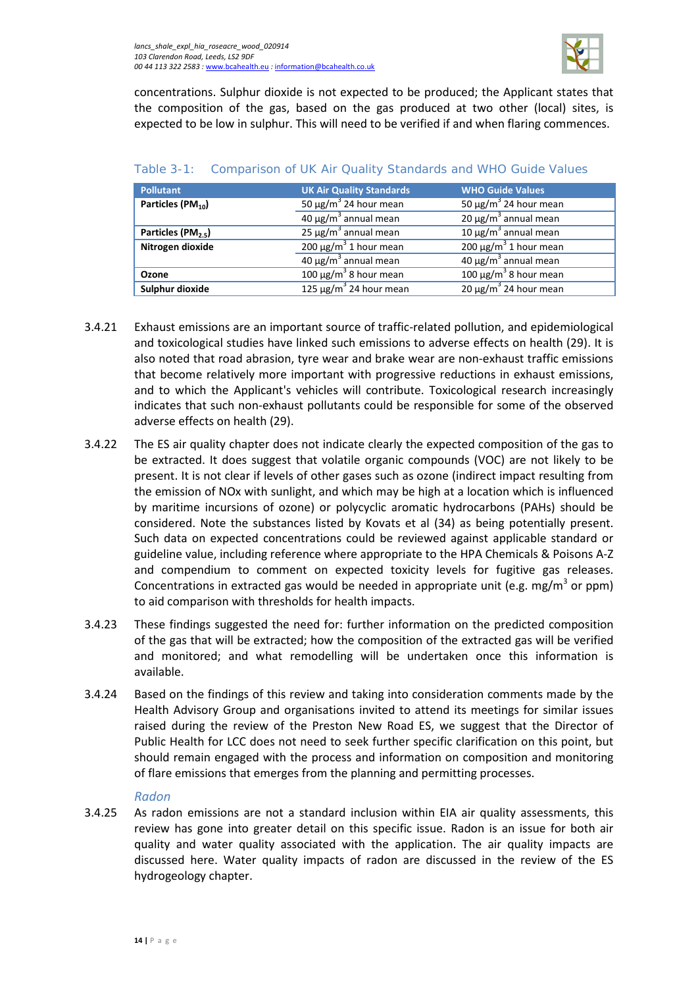

concentrations. Sulphur dioxide is not expected to be produced; the Applicant states that the composition of the gas, based on the gas produced at two other (local) sites, is expected to be low in sulphur. This will need to be verified if and when flaring commences.

| <b>Pollutant</b>               | <b>UK Air Quality Standards</b>        | <b>WHO Guide Values</b>                |
|--------------------------------|----------------------------------------|----------------------------------------|
| Particles (PM <sub>10</sub> )  | 50 $\mu$ g/m <sup>3</sup> 24 hour mean | 50 $\mu$ g/m <sup>3</sup> 24 hour mean |
|                                | $40 \mu g/m3$ annual mean              | $20 \mu g/m^3$ annual mean             |
| Particles (PM <sub>2.5</sub> ) | $25 \mu g/m3$ annual mean              | $10 \mu g/m3$ annual mean              |
| Nitrogen dioxide               | 200 $\mu$ g/m <sup>3</sup> 1 hour mean | 200 $\mu$ g/m <sup>3</sup> 1 hour mean |
|                                | $40 \mu g/m3$ annual mean              | 40 $\mu$ g/m <sup>3</sup> annual mean  |
| Ozone                          | $100 \mu g/m^3$ 8 hour mean            | 100 $\mu$ g/m <sup>3</sup> 8 hour mean |
| Sulphur dioxide                | $125 \mu g/m^3$ 24 hour mean           | 20 μg/m <sup>3</sup> 24 hour mean      |

#### <span id="page-17-0"></span>Table 3-1: Comparison of UK Air Quality Standards and WHO Guide Values

- 3.4.21 Exhaust emissions are an important source of traffic-related pollution, and epidemiological and toxicological studies have linked such emissions to adverse effects on health (29). It is also noted that road abrasion, tyre wear and brake wear are non-exhaust traffic emissions that become relatively more important with progressive reductions in exhaust emissions, and to which the Applicant's vehicles will contribute. Toxicological research increasingly indicates that such non-exhaust pollutants could be responsible for some of the observed adverse effects on health (29).
- 3.4.22 The ES air quality chapter does not indicate clearly the expected composition of the gas to be extracted. It does suggest that volatile organic compounds (VOC) are not likely to be present. It is not clear if levels of other gases such as ozone (indirect impact resulting from the emission of NOx with sunlight, and which may be high at a location which is influenced by maritime incursions of ozone) or polycyclic aromatic hydrocarbons (PAHs) should be considered. Note the substances listed by Kovats et al (34) as being potentially present. Such data on expected concentrations could be reviewed against applicable standard or guideline value, including reference where appropriate to the HPA Chemicals & Poisons A-Z and compendium to comment on expected toxicity levels for fugitive gas releases. Concentrations in extracted gas would be needed in appropriate unit (e.g. mg/m<sup>3</sup> or ppm) to aid comparison with thresholds for health impacts.
- 3.4.23 These findings suggested the need for: further information on the predicted composition of the gas that will be extracted; how the composition of the extracted gas will be verified and monitored; and what remodelling will be undertaken once this information is available.
- 3.4.24 Based on the findings of this review and taking into consideration comments made by the Health Advisory Group and organisations invited to attend its meetings for similar issues raised during the review of the Preston New Road ES, we suggest that the Director of Public Health for LCC does not need to seek further specific clarification on this point, but should remain engaged with the process and information on composition and monitoring of flare emissions that emerges from the planning and permitting processes.

#### *Radon*

3.4.25 As radon emissions are not a standard inclusion within EIA air quality assessments, this review has gone into greater detail on this specific issue. Radon is an issue for both air quality and water quality associated with the application. The air quality impacts are discussed here. Water quality impacts of radon are discussed in the review of the ES hydrogeology chapter.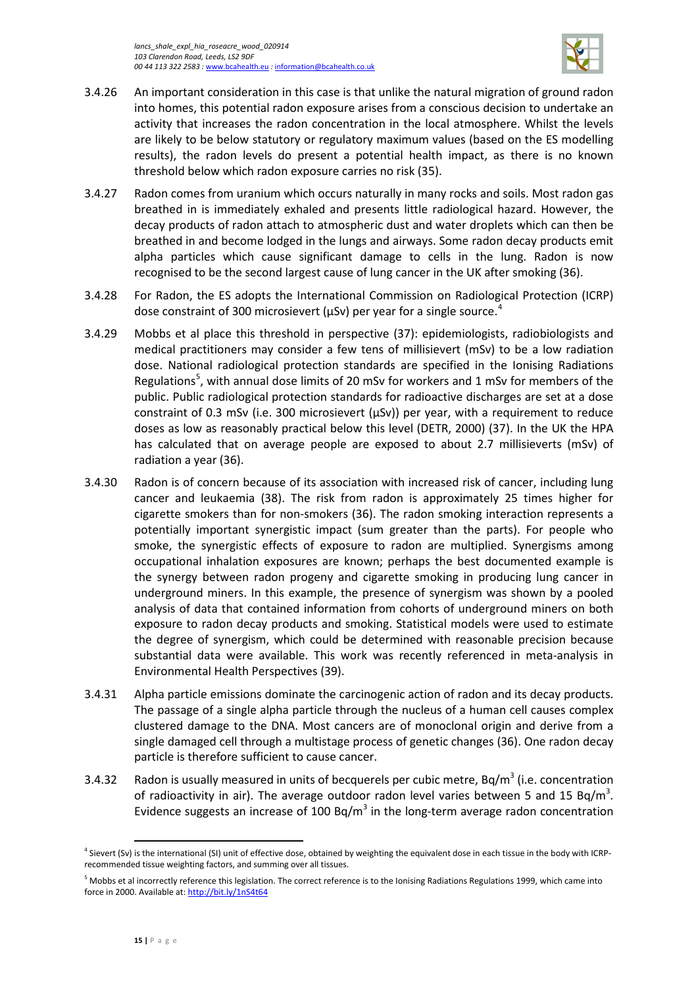

- 3.4.26 An important consideration in this case is that unlike the natural migration of ground radon into homes, this potential radon exposure arises from a conscious decision to undertake an activity that increases the radon concentration in the local atmosphere. Whilst the levels are likely to be below statutory or regulatory maximum values (based on the ES modelling results), the radon levels do present a potential health impact, as there is no known threshold below which radon exposure carries no risk (35).
- 3.4.27 Radon comes from uranium which occurs naturally in many rocks and soils. Most radon gas breathed in is immediately exhaled and presents little radiological hazard. However, the decay products of radon attach to atmospheric dust and water droplets which can then be breathed in and become lodged in the lungs and airways. Some radon decay products emit alpha particles which cause significant damage to cells in the lung. Radon is now recognised to be the second largest cause of lung cancer in the UK after smoking (36).
- 3.4.28 For Radon, the ES adopts the International Commission on Radiological Protection (ICRP) dose constraint of 300 microsievert (μSν) per year for a single source.<sup>[4](#page-18-0)</sup>
- 3.4.29 Mobbs et al place this threshold in perspective (37): epidemiologists, radiobiologists and medical practitioners may consider a few tens of millisievert (mSv) to be a low radiation dose. National radiological protection standards are specified in the Ionising Radiations Regulations<sup>[5](#page-18-1)</sup>, with annual dose limits of 20 mSv for workers and 1 mSv for members of the public. Public radiological protection standards for radioactive discharges are set at a dose constraint of 0.3 mSv (i.e. 300 microsievert  $(\mu Sv)$ ) per year, with a requirement to reduce doses as low as reasonably practical below this level (DETR, 2000) (37). In the UK the HPA has calculated that on average people are exposed to about 2.7 millisieverts (mSv) of radiation a year (36).
- 3.4.30 Radon is of concern because of its association with increased risk of cancer, including lung cancer and leukaemia (38). The risk from radon is approximately 25 times higher for cigarette smokers than for non-smokers (36). The radon smoking interaction represents a potentially important synergistic impact (sum greater than the parts). For people who smoke, the synergistic effects of exposure to radon are multiplied. Synergisms among occupational inhalation exposures are known; perhaps the best documented example is the synergy between radon progeny and cigarette smoking in producing lung cancer in underground miners. In this example, the presence of synergism was shown by a pooled analysis of data that contained information from cohorts of underground miners on both exposure to radon decay products and smoking. Statistical models were used to estimate the degree of synergism, which could be determined with reasonable precision because substantial data were available. This work was recently referenced in meta-analysis in Environmental Health Perspectives (39).
- 3.4.31 Alpha particle emissions dominate the carcinogenic action of radon and its decay products. The passage of a single alpha particle through the nucleus of a human cell causes complex clustered damage to the DNA. Most cancers are of monoclonal origin and derive from a single damaged cell through a multistage process of genetic changes (36). One radon decay particle is therefore sufficient to cause cancer.
- 3.4.32 Radon is usually measured in units of becquerels per cubic metre,  $Bq/m<sup>3</sup>$  (i.e. concentration of radioactivity in air). The average outdoor radon level varies between 5 and 15 Bq/m<sup>3</sup>. Evidence suggests an increase of 100 Bq/m<sup>3</sup> in the long-term average radon concentration

l

<span id="page-18-0"></span><sup>&</sup>lt;sup>4</sup> Sievert (Sv) is the international (SI) unit of effective dose, obtained by weighting the equivalent dose in each tissue in the body with ICRPrecommended tissue weighting factors, and summing over all tissues.

<span id="page-18-1"></span><sup>&</sup>lt;sup>5</sup> Mobbs et al incorrectly reference this legislation. The correct reference is to the Ionising Radiations Regulations 1999, which came into force in 2000. Available at[: http://bit.ly/1nS4t64](http://bit.ly/1nS4t64)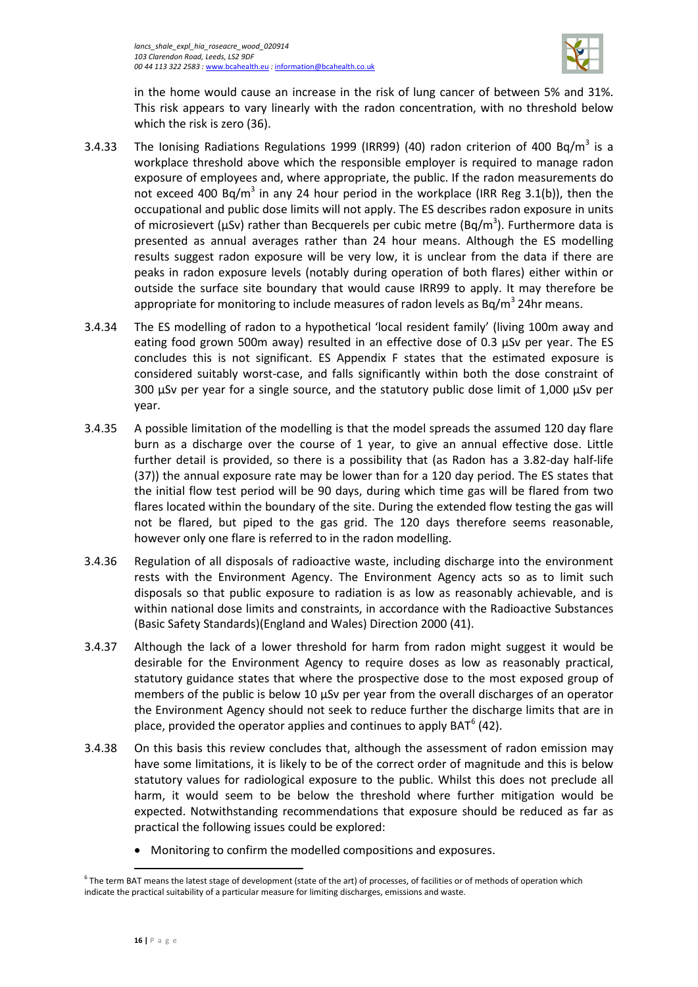

in the home would cause an increase in the risk of lung cancer of between 5% and 31%. This risk appears to vary linearly with the radon concentration, with no threshold below which the risk is zero (36).

- 3.4.33 The Ionising Radiations Regulations 1999 (IRR99) (40) radon criterion of 400 Bq/m<sup>3</sup> is a workplace threshold above which the responsible employer is required to manage radon exposure of employees and, where appropriate, the public. If the radon measurements do not exceed 400 Bq/m<sup>3</sup> in any 24 hour period in the workplace (IRR Reg 3.1(b)), then the occupational and public dose limits will not apply. The ES describes radon exposure in units of microsievert ( $\mu$ Sv) rather than Becquerels per cubic metre (Bq/m<sup>3</sup>). Furthermore data is presented as annual averages rather than 24 hour means. Although the ES modelling results suggest radon exposure will be very low, it is unclear from the data if there are peaks in radon exposure levels (notably during operation of both flares) either within or outside the surface site boundary that would cause IRR99 to apply. It may therefore be appropriate for monitoring to include measures of radon levels as  $Bq/m<sup>3</sup> 24$ hr means.
- 3.4.34 The ES modelling of radon to a hypothetical 'local resident family' (living 100m away and eating food grown 500m away) resulted in an effective dose of 0.3  $\mu$ Sv per year. The ES concludes this is not significant. ES Appendix F states that the estimated exposure is considered suitably worst-case, and falls significantly within both the dose constraint of 300 μSv per year for a single source, and the statutory public dose limit of 1,000 μSv per year.
- 3.4.35 A possible limitation of the modelling is that the model spreads the assumed 120 day flare burn as a discharge over the course of 1 year, to give an annual effective dose. Little further detail is provided, so there is a possibility that (as Radon has a 3.82-day half-life (37)) the annual exposure rate may be lower than for a 120 day period. The ES states that the initial flow test period will be 90 days, during which time gas will be flared from two flares located within the boundary of the site. During the extended flow testing the gas will not be flared, but piped to the gas grid. The 120 days therefore seems reasonable, however only one flare is referred to in the radon modelling.
- 3.4.36 Regulation of all disposals of radioactive waste, including discharge into the environment rests with the Environment Agency. The Environment Agency acts so as to limit such disposals so that public exposure to radiation is as low as reasonably achievable, and is within national dose limits and constraints, in accordance with the Radioactive Substances (Basic Safety Standards)(England and Wales) Direction 2000 (41).
- 3.4.37 Although the lack of a lower threshold for harm from radon might suggest it would be desirable for the Environment Agency to require doses as low as reasonably practical, statutory guidance states that where the prospective dose to the most exposed group of members of the public is below 10 μSv per year from the overall discharges of an operator the Environment Agency should not seek to reduce further the discharge limits that are in place, provided the operator applies and continues to apply BAT $<sup>6</sup>$  $<sup>6</sup>$  $<sup>6</sup>$  (42).</sup>
- 3.4.38 On this basis this review concludes that, although the assessment of radon emission may have some limitations, it is likely to be of the correct order of magnitude and this is below statutory values for radiological exposure to the public. Whilst this does not preclude all harm, it would seem to be below the threshold where further mitigation would be expected. Notwithstanding recommendations that exposure should be reduced as far as practical the following issues could be explored:
	- Monitoring to confirm the modelled compositions and exposures.

 $\overline{\phantom{a}}$ 

<span id="page-19-0"></span> $^6$  The term BAT means the latest stage of development (state of the art) of processes, of facilities or of methods of operation which indicate the practical suitability of a particular measure for limiting discharges, emissions and waste.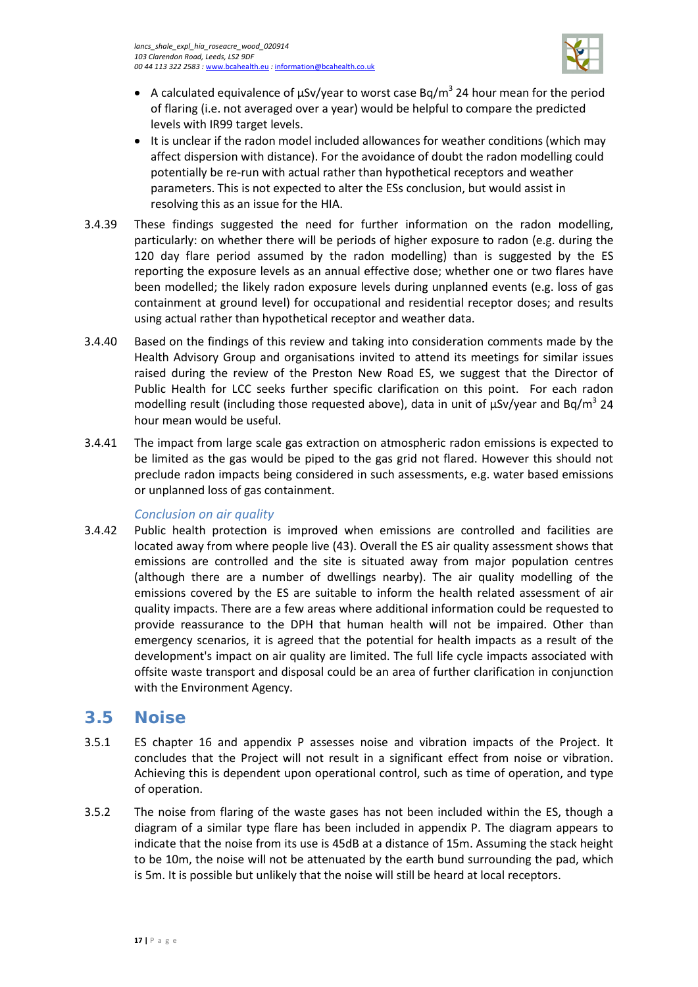

- A calculated equivalence of  $\mu$ Sv/year to worst case Bq/m<sup>3</sup> 24 hour mean for the period of flaring (i.e. not averaged over a year) would be helpful to compare the predicted levels with IR99 target levels.
- It is unclear if the radon model included allowances for weather conditions (which may affect dispersion with distance). For the avoidance of doubt the radon modelling could potentially be re-run with actual rather than hypothetical receptors and weather parameters. This is not expected to alter the ESs conclusion, but would assist in resolving this as an issue for the HIA.
- 3.4.39 These findings suggested the need for further information on the radon modelling, particularly: on whether there will be periods of higher exposure to radon (e.g. during the 120 day flare period assumed by the radon modelling) than is suggested by the ES reporting the exposure levels as an annual effective dose; whether one or two flares have been modelled; the likely radon exposure levels during unplanned events (e.g. loss of gas containment at ground level) for occupational and residential receptor doses; and results using actual rather than hypothetical receptor and weather data.
- 3.4.40 Based on the findings of this review and taking into consideration comments made by the Health Advisory Group and organisations invited to attend its meetings for similar issues raised during the review of the Preston New Road ES, we suggest that the Director of Public Health for LCC seeks further specific clarification on this point. For each radon modelling result (including those requested above), data in unit of  $\mu$ Sv/year and Bq/m<sup>3</sup> 24 hour mean would be useful.
- 3.4.41 The impact from large scale gas extraction on atmospheric radon emissions is expected to be limited as the gas would be piped to the gas grid not flared. However this should not preclude radon impacts being considered in such assessments, e.g. water based emissions or unplanned loss of gas containment.

#### *Conclusion on air quality*

3.4.42 Public health protection is improved when emissions are controlled and facilities are located away from where people live (43). Overall the ES air quality assessment shows that emissions are controlled and the site is situated away from major population centres (although there are a number of dwellings nearby). The air quality modelling of the emissions covered by the ES are suitable to inform the health related assessment of air quality impacts. There are a few areas where additional information could be requested to provide reassurance to the DPH that human health will not be impaired. Other than emergency scenarios, it is agreed that the potential for health impacts as a result of the development's impact on air quality are limited. The full life cycle impacts associated with offsite waste transport and disposal could be an area of further clarification in conjunction with the Environment Agency.

### <span id="page-20-0"></span>**3.5 Noise**

- 3.5.1 ES chapter 16 and appendix P assesses noise and vibration impacts of the Project. It concludes that the Project will not result in a significant effect from noise or vibration. Achieving this is dependent upon operational control, such as time of operation, and type of operation.
- 3.5.2 The noise from flaring of the waste gases has not been included within the ES, though a diagram of a similar type flare has been included in appendix P. The diagram appears to indicate that the noise from its use is 45dB at a distance of 15m. Assuming the stack height to be 10m, the noise will not be attenuated by the earth bund surrounding the pad, which is 5m. It is possible but unlikely that the noise will still be heard at local receptors.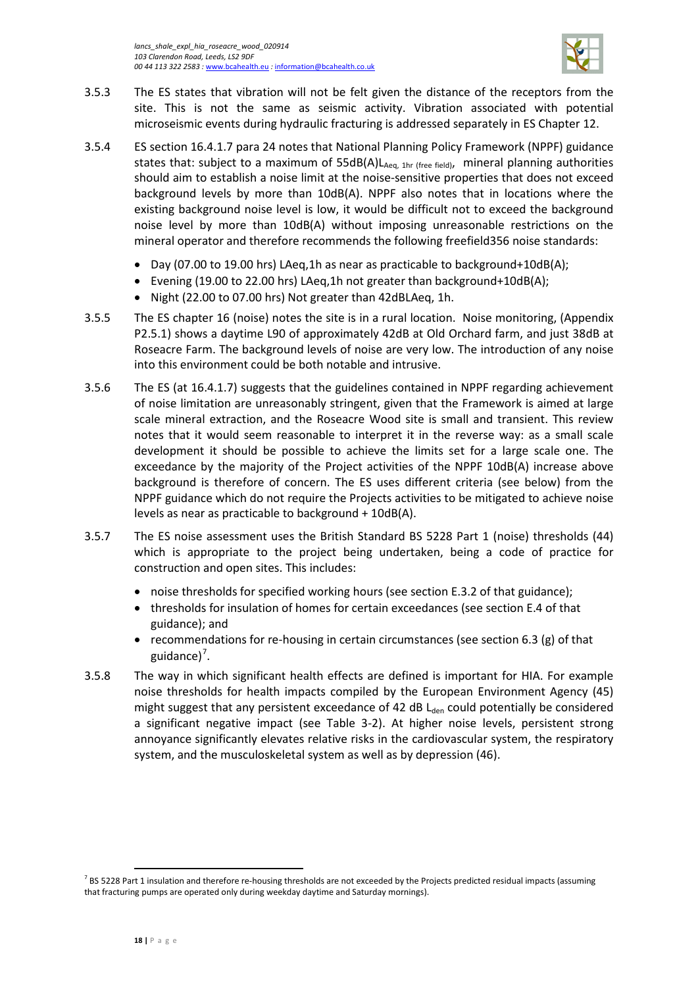

- 3.5.3 The ES states that vibration will not be felt given the distance of the receptors from the site. This is not the same as seismic activity. Vibration associated with potential microseismic events during hydraulic fracturing is addressed separately in ES Chapter 12.
- 3.5.4 ES section 16.4.1.7 para 24 notes that National Planning Policy Framework (NPPF) guidance states that: subject to a maximum of  $55dB(A)L_{Aea, 1hr (free field)}$ , mineral planning authorities should aim to establish a noise limit at the noise-sensitive properties that does not exceed background levels by more than 10dB(A). NPPF also notes that in locations where the existing background noise level is low, it would be difficult not to exceed the background noise level by more than 10dB(A) without imposing unreasonable restrictions on the mineral operator and therefore recommends the following freefield356 noise standards:
	- Day (07.00 to 19.00 hrs) LAeg,1h as near as practicable to background+10dB(A);
	- Evening (19.00 to 22.00 hrs) LAeq,1h not greater than background+10dB(A);
	- Night (22.00 to 07.00 hrs) Not greater than 42dBLAeq, 1h.
- 3.5.5 The ES chapter 16 (noise) notes the site is in a rural location. Noise monitoring, (Appendix P2.5.1) shows a daytime L90 of approximately 42dB at Old Orchard farm, and just 38dB at Roseacre Farm. The background levels of noise are very low. The introduction of any noise into this environment could be both notable and intrusive.
- 3.5.6 The ES (at 16.4.1.7) suggests that the guidelines contained in NPPF regarding achievement of noise limitation are unreasonably stringent, given that the Framework is aimed at large scale mineral extraction, and the Roseacre Wood site is small and transient. This review notes that it would seem reasonable to interpret it in the reverse way: as a small scale development it should be possible to achieve the limits set for a large scale one. The exceedance by the majority of the Project activities of the NPPF 10dB(A) increase above background is therefore of concern. The ES uses different criteria (see below) from the NPPF guidance which do not require the Projects activities to be mitigated to achieve noise levels as near as practicable to background + 10dB(A).
- 3.5.7 The ES noise assessment uses the British Standard BS 5228 Part 1 (noise) thresholds (44) which is appropriate to the project being undertaken, being a code of practice for construction and open sites. This includes:
	- noise thresholds for specified working hours (see section E.3.2 of that guidance);
	- thresholds for insulation of homes for certain exceedances (see section E.4 of that guidance); and
	- recommendations for re-housing in certain circumstances (see section 6.3  $(g)$  of that guidance)<sup>[7](#page-21-0)</sup>.
- 3.5.8 The way in which significant health effects are defined is important for HIA. For example noise thresholds for health impacts compiled by the European Environment Agency (45) might suggest that any persistent exceedance of 42 dB  $L<sub>den</sub>$  could potentially be considered a significant negative impact (see [Table 3-2\)](#page-22-0). At higher noise levels, persistent strong annoyance significantly elevates relative risks in the cardiovascular system, the respiratory system, and the musculoskeletal system as well as by depression (46).

 $\overline{\phantom{a}}$ 

<span id="page-21-0"></span> $^7$  BS 5228 Part 1 insulation and therefore re-housing thresholds are not exceeded by the Projects predicted residual impacts (assuming that fracturing pumps are operated only during weekday daytime and Saturday mornings).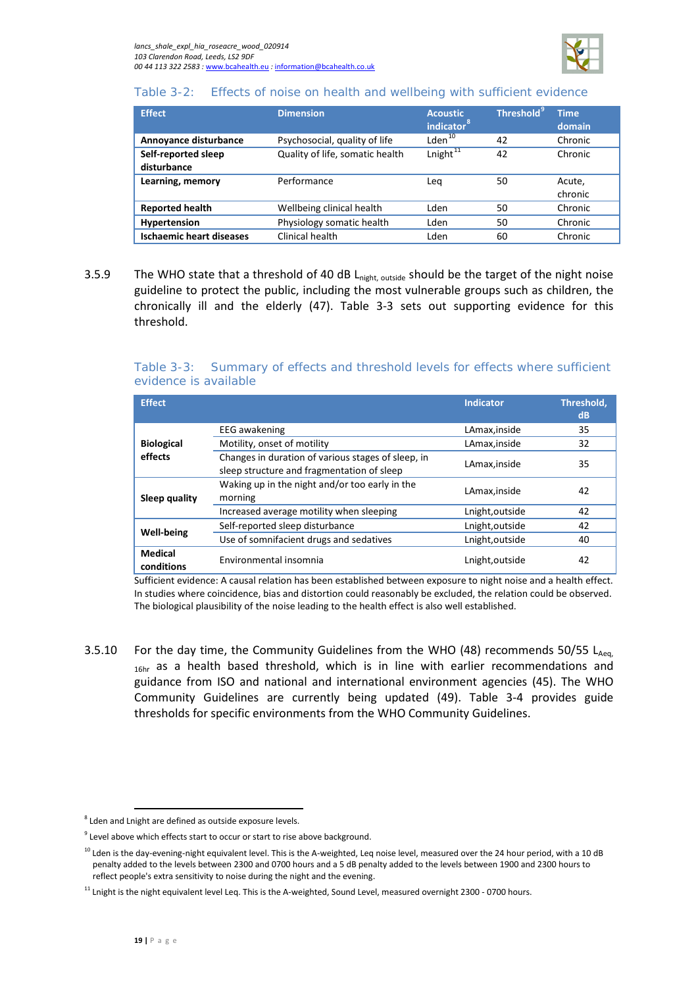

#### <span id="page-22-0"></span>Table 3-2: Effects of noise on health and wellbeing with sufficient evidence

| <b>Effect</b>                      | <b>Dimension</b>                | <b>Acoustic</b><br>indicator <sup>8</sup> | <b>Threshold<sup>9</sup></b> | <b>Time</b><br>domain |
|------------------------------------|---------------------------------|-------------------------------------------|------------------------------|-----------------------|
| Annoyance disturbance              | Psychosocial, quality of life   | Lden <sup>10</sup>                        | 42                           | Chronic               |
| Self-reported sleep<br>disturbance | Quality of life, somatic health | Lnight <sup>11</sup>                      | 42                           | Chronic               |
| Learning, memory                   | Performance                     | Lea                                       | 50                           | Acute,<br>chronic     |
| <b>Reported health</b>             | Wellbeing clinical health       | Lden                                      | 50                           | Chronic               |
| Hypertension                       | Physiology somatic health       | Lden                                      | 50                           | Chronic               |
| <b>Ischaemic heart diseases</b>    | Clinical health                 | Lden                                      | 60                           | Chronic               |

3.5.9 The WHO state that a threshold of 40 dB L<sub>night, outside</sub> should be the target of the night noise guideline to protect the public, including the most vulnerable groups such as children, the chronically ill and the elderly (47). [Table 3-3](#page-22-1) sets out supporting evidence for this threshold.

#### <span id="page-22-1"></span>Table 3-3: Summary of effects and threshold levels for effects where sufficient evidence is available

| <b>Effect</b>                |                                                                                                  | <b>Indicator</b> | Threshold,<br>dB |
|------------------------------|--------------------------------------------------------------------------------------------------|------------------|------------------|
|                              | <b>EEG</b> awakening                                                                             | LAmax, inside    | 35               |
| <b>Biological</b>            | Motility, onset of motility                                                                      | LAmax, inside    | 32               |
| effects                      | Changes in duration of various stages of sleep, in<br>sleep structure and fragmentation of sleep | LAmax, inside    | 35               |
| Sleep quality                | Waking up in the night and/or too early in the<br>morning                                        | LAmax, inside    | 42               |
|                              | Increased average motility when sleeping                                                         | Lnight, outside  | 42               |
|                              | Self-reported sleep disturbance                                                                  | Lnight, outside  | 42               |
| <b>Well-being</b>            | Use of somnifacient drugs and sedatives                                                          | Lnight, outside  | 40               |
| <b>Medical</b><br>conditions | Environmental insomnia                                                                           | Lnight, outside  | 42               |

Sufficient evidence: A causal relation has been established between exposure to night noise and a health effect. In studies where coincidence, bias and distortion could reasonably be excluded, the relation could be observed. The biological plausibility of the noise leading to the health effect is also well established.

3.5.10 For the day time, the Community Guidelines from the WHO (48) recommends 50/55 LAeq, <sub>16hr</sub> as a health based threshold, which is in line with earlier recommendations and guidance from ISO and national and international environment agencies (45). The WHO Community Guidelines are currently being updated (49). [Table 3-4](#page-23-0) provides guide thresholds for specific environments from the WHO Community Guidelines.

 $\overline{\phantom{a}}$ 

<span id="page-22-2"></span><sup>8</sup> Lden and Lnight are defined as outside exposure levels.

<span id="page-22-3"></span><sup>&</sup>lt;sup>9</sup> Level above which effects start to occur or start to rise above background.

<span id="page-22-4"></span> $10$  Lden is the day-evening-night equivalent level. This is the A-weighted, Leq noise level, measured over the 24 hour period, with a 10 dB penalty added to the levels between 2300 and 0700 hours and a 5 dB penalty added to the levels between 1900 and 2300 hours to reflect people's extra sensitivity to noise during the night and the evening.

<span id="page-22-5"></span> $11$  Lnight is the night equivalent level Leq. This is the A-weighted, Sound Level, measured overnight 2300 - 0700 hours.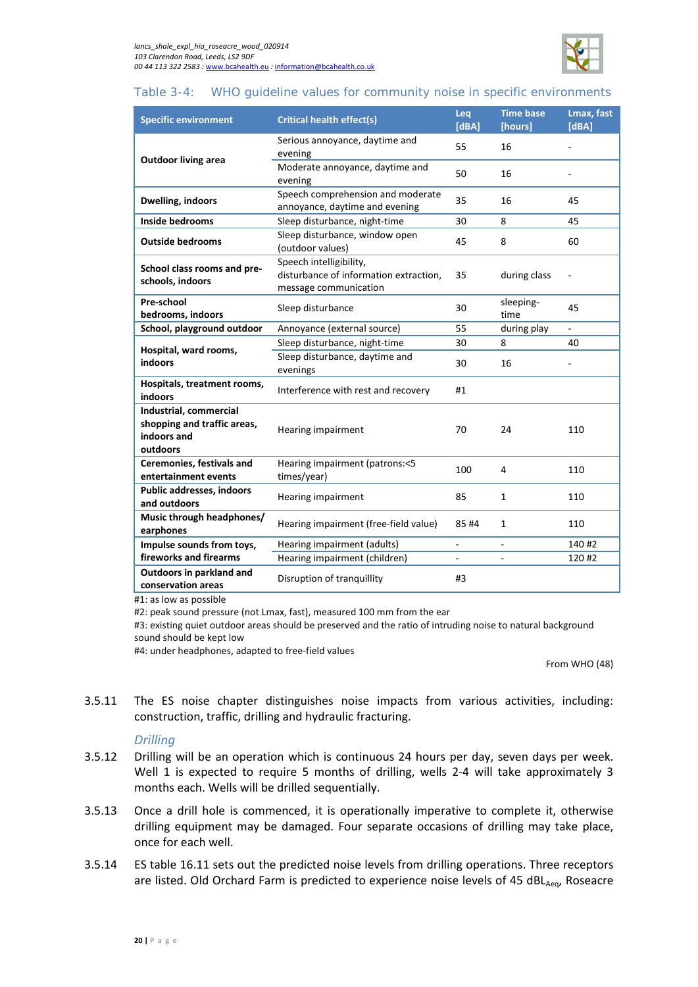

#### <span id="page-23-0"></span>Table 3-4: WHO guideline values for community noise in specific environments

| <b>Specific environment</b>                                                      | <b>Critical health effect(s)</b>                                                           | Leq<br>[dBA] | <b>Time base</b><br>[hours] | Lmax, fast<br>[dBA] |
|----------------------------------------------------------------------------------|--------------------------------------------------------------------------------------------|--------------|-----------------------------|---------------------|
| <b>Outdoor living area</b>                                                       | Serious annoyance, daytime and<br>evening                                                  | 55           | 16                          |                     |
|                                                                                  | Moderate annoyance, daytime and<br>evening                                                 | 50           | 16                          |                     |
| Dwelling, indoors                                                                | Speech comprehension and moderate<br>annoyance, daytime and evening                        | 35           | 16                          | 45                  |
| <b>Inside bedrooms</b>                                                           | Sleep disturbance, night-time                                                              | 30           | 8                           | 45                  |
| <b>Outside bedrooms</b>                                                          | Sleep disturbance, window open<br>(outdoor values)                                         | 45           | 8                           | 60                  |
| School class rooms and pre-<br>schools, indoors                                  | Speech intelligibility,<br>disturbance of information extraction,<br>message communication |              | during class                |                     |
| Pre-school<br>bedrooms, indoors                                                  | Sleep disturbance                                                                          | 30           | sleeping-<br>time           | 45                  |
| School, playground outdoor                                                       | Annoyance (external source)                                                                | 55           | during play                 | ÷,                  |
| Hospital, ward rooms,<br>indoors                                                 | Sleep disturbance, night-time                                                              | 30           | 8                           | 40                  |
|                                                                                  | Sleep disturbance, daytime and<br>evenings                                                 | 30           | 16                          |                     |
| Hospitals, treatment rooms,<br>indoors                                           | Interference with rest and recovery                                                        | #1           |                             |                     |
| Industrial, commercial<br>shopping and traffic areas,<br>indoors and<br>outdoors | Hearing impairment                                                                         | 70           | 24                          | 110                 |
| <b>Ceremonies, festivals and</b><br>entertainment events                         | Hearing impairment (patrons:<5<br>times/year)                                              | 100          | 4                           | 110                 |
| Public addresses, indoors<br>and outdoors                                        | Hearing impairment                                                                         | 85           | $\mathbf{1}$                | 110                 |
| Music through headphones/<br>earphones                                           | Hearing impairment (free-field value)                                                      | 85#4         | 1                           | 110                 |
| Impulse sounds from toys,                                                        | Hearing impairment (adults)                                                                | ÷.           | ÷,                          | 140 #2              |
| fireworks and firearms                                                           | Hearing impairment (children)                                                              |              |                             | 120 #2              |
| Outdoors in parkland and<br>conservation areas                                   | Disruption of tranquillity                                                                 |              |                             |                     |

#1: as low as possible

#2: peak sound pressure (not Lmax, fast), measured 100 mm from the ear

#3: existing quiet outdoor areas should be preserved and the ratio of intruding noise to natural background sound should be kept low

#4: under headphones, adapted to free-field values

From WHO (48)

3.5.11 The ES noise chapter distinguishes noise impacts from various activities, including: construction, traffic, drilling and hydraulic fracturing.

#### *Drilling*

- 3.5.12 Drilling will be an operation which is continuous 24 hours per day, seven days per week. Well 1 is expected to require 5 months of drilling, wells 2-4 will take approximately 3 months each. Wells will be drilled sequentially.
- 3.5.13 Once a drill hole is commenced, it is operationally imperative to complete it, otherwise drilling equipment may be damaged. Four separate occasions of drilling may take place, once for each well.
- 3.5.14 ES table 16.11 sets out the predicted noise levels from drilling operations. Three receptors are listed. Old Orchard Farm is predicted to experience noise levels of 45 dBL $_{Aeq}$ , Roseacre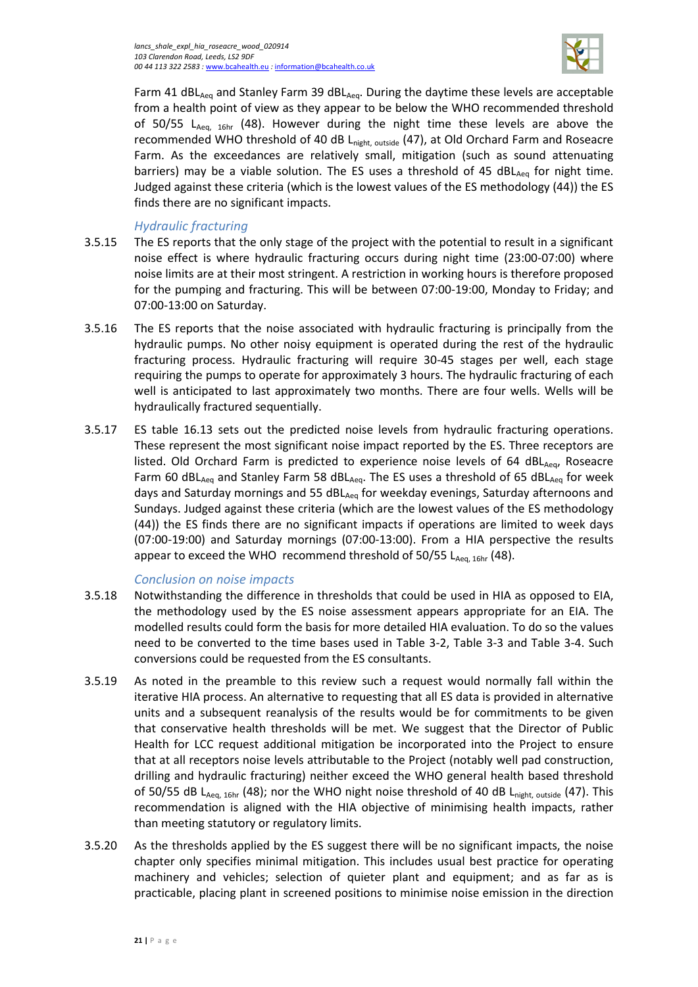

Farm 41 dBL<sub>Aeq</sub> and Stanley Farm 39 dBL<sub>Aeq</sub>. During the daytime these levels are acceptable from a health point of view as they appear to be below the WHO recommended threshold of 50/55  $L_{Aeq, 16hr}$  (48). However during the night time these levels are above the recommended WHO threshold of 40 dB Lnight, outside (47), at Old Orchard Farm and Roseacre Farm. As the exceedances are relatively small, mitigation (such as sound attenuating barriers) may be a viable solution. The ES uses a threshold of 45  $dBL_{Aeq}$  for night time. Judged against these criteria (which is the lowest values of the ES methodology (44)) the ES finds there are no significant impacts.

#### *Hydraulic fracturing*

- 3.5.15 The ES reports that the only stage of the project with the potential to result in a significant noise effect is where hydraulic fracturing occurs during night time (23:00-07:00) where noise limits are at their most stringent. A restriction in working hours is therefore proposed for the pumping and fracturing. This will be between 07:00-19:00, Monday to Friday; and 07:00-13:00 on Saturday.
- 3.5.16 The ES reports that the noise associated with hydraulic fracturing is principally from the hydraulic pumps. No other noisy equipment is operated during the rest of the hydraulic fracturing process. Hydraulic fracturing will require 30-45 stages per well, each stage requiring the pumps to operate for approximately 3 hours. The hydraulic fracturing of each well is anticipated to last approximately two months. There are four wells. Wells will be hydraulically fractured sequentially.
- 3.5.17 ES table 16.13 sets out the predicted noise levels from hydraulic fracturing operations. These represent the most significant noise impact reported by the ES. Three receptors are listed. Old Orchard Farm is predicted to experience noise levels of 64 dBL $_{Aeq}$ , Roseacre Farm 60 dBL<sub>Aeg</sub> and Stanley Farm 58 dBL<sub>Aeg</sub>. The ES uses a threshold of 65 dBL<sub>Aeg</sub> for week days and Saturday mornings and 55 dBL<sub>Aeq</sub> for weekday evenings, Saturday afternoons and Sundays. Judged against these criteria (which are the lowest values of the ES methodology (44)) the ES finds there are no significant impacts if operations are limited to week days (07:00-19:00) and Saturday mornings (07:00-13:00). From a HIA perspective the results appear to exceed the WHO recommend threshold of  $50/55$  L<sub>Aeq, 16hr</sub> (48).

#### *Conclusion on noise impacts*

- 3.5.18 Notwithstanding the difference in thresholds that could be used in HIA as opposed to EIA, the methodology used by the ES noise assessment appears appropriate for an EIA. The modelled results could form the basis for more detailed HIA evaluation. To do so the values need to be converted to the time bases used in [Table 3-2,](#page-22-0) [Table 3-3](#page-22-1) and [Table 3-4.](#page-23-0) Such conversions could be requested from the ES consultants.
- 3.5.19 As noted in the preamble to this review such a request would normally fall within the iterative HIA process. An alternative to requesting that all ES data is provided in alternative units and a subsequent reanalysis of the results would be for commitments to be given that conservative health thresholds will be met. We suggest that the Director of Public Health for LCC request additional mitigation be incorporated into the Project to ensure that at all receptors noise levels attributable to the Project (notably well pad construction, drilling and hydraulic fracturing) neither exceed the WHO general health based threshold of 50/55 dB L<sub>Aeq, 16hr</sub> (48); nor the WHO night noise threshold of 40 dB L<sub>night outside</sub> (47). This recommendation is aligned with the HIA objective of minimising health impacts, rather than meeting statutory or regulatory limits.
- 3.5.20 As the thresholds applied by the ES suggest there will be no significant impacts, the noise chapter only specifies minimal mitigation. This includes usual best practice for operating machinery and vehicles; selection of quieter plant and equipment; and as far as is practicable, placing plant in screened positions to minimise noise emission in the direction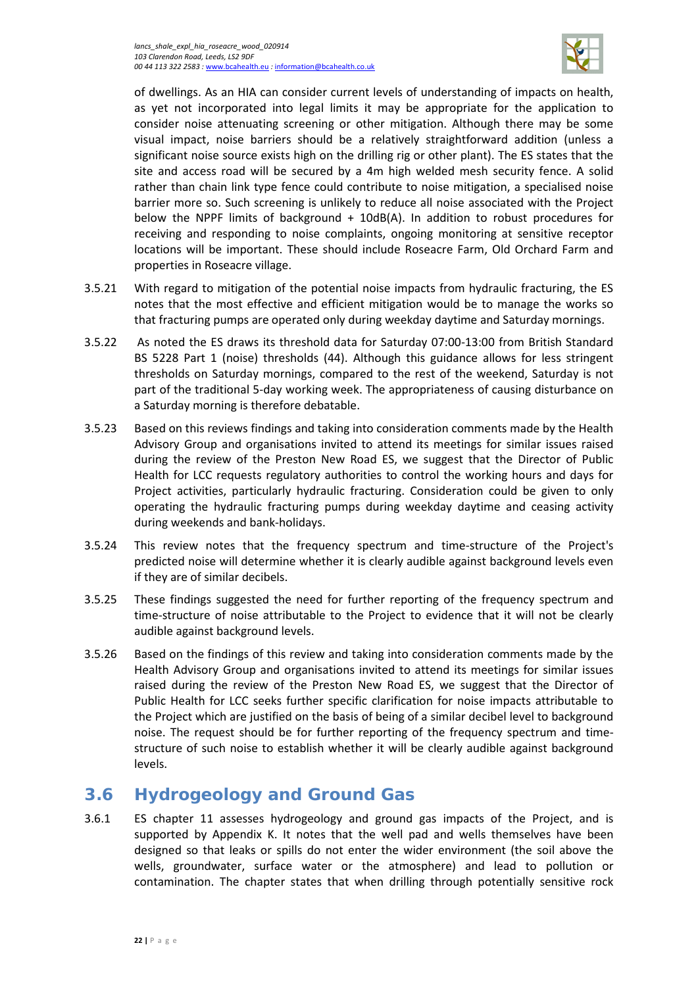

of dwellings. As an HIA can consider current levels of understanding of impacts on health, as yet not incorporated into legal limits it may be appropriate for the application to consider noise attenuating screening or other mitigation. Although there may be some visual impact, noise barriers should be a relatively straightforward addition (unless a significant noise source exists high on the drilling rig or other plant). The ES states that the site and access road will be secured by a 4m high welded mesh security fence. A solid rather than chain link type fence could contribute to noise mitigation, a specialised noise barrier more so. Such screening is unlikely to reduce all noise associated with the Project below the NPPF limits of background + 10dB(A). In addition to robust procedures for receiving and responding to noise complaints, ongoing monitoring at sensitive receptor locations will be important. These should include Roseacre Farm, Old Orchard Farm and properties in Roseacre village.

- 3.5.21 With regard to mitigation of the potential noise impacts from hydraulic fracturing, the ES notes that the most effective and efficient mitigation would be to manage the works so that fracturing pumps are operated only during weekday daytime and Saturday mornings.
- 3.5.22 As noted the ES draws its threshold data for Saturday 07:00-13:00 from British Standard BS 5228 Part 1 (noise) thresholds (44). Although this guidance allows for less stringent thresholds on Saturday mornings, compared to the rest of the weekend, Saturday is not part of the traditional 5-day working week. The appropriateness of causing disturbance on a Saturday morning is therefore debatable.
- 3.5.23 Based on this reviews findings and taking into consideration comments made by the Health Advisory Group and organisations invited to attend its meetings for similar issues raised during the review of the Preston New Road ES, we suggest that the Director of Public Health for LCC requests regulatory authorities to control the working hours and days for Project activities, particularly hydraulic fracturing. Consideration could be given to only operating the hydraulic fracturing pumps during weekday daytime and ceasing activity during weekends and bank-holidays.
- 3.5.24 This review notes that the frequency spectrum and time-structure of the Project's predicted noise will determine whether it is clearly audible against background levels even if they are of similar decibels.
- 3.5.25 These findings suggested the need for further reporting of the frequency spectrum and time-structure of noise attributable to the Project to evidence that it will not be clearly audible against background levels.
- 3.5.26 Based on the findings of this review and taking into consideration comments made by the Health Advisory Group and organisations invited to attend its meetings for similar issues raised during the review of the Preston New Road ES, we suggest that the Director of Public Health for LCC seeks further specific clarification for noise impacts attributable to the Project which are justified on the basis of being of a similar decibel level to background noise. The request should be for further reporting of the frequency spectrum and timestructure of such noise to establish whether it will be clearly audible against background levels.

# <span id="page-25-0"></span>**3.6 Hydrogeology and Ground Gas**

3.6.1 ES chapter 11 assesses hydrogeology and ground gas impacts of the Project, and is supported by Appendix K. It notes that the well pad and wells themselves have been designed so that leaks or spills do not enter the wider environment (the soil above the wells, groundwater, surface water or the atmosphere) and lead to pollution or contamination. The chapter states that when drilling through potentially sensitive rock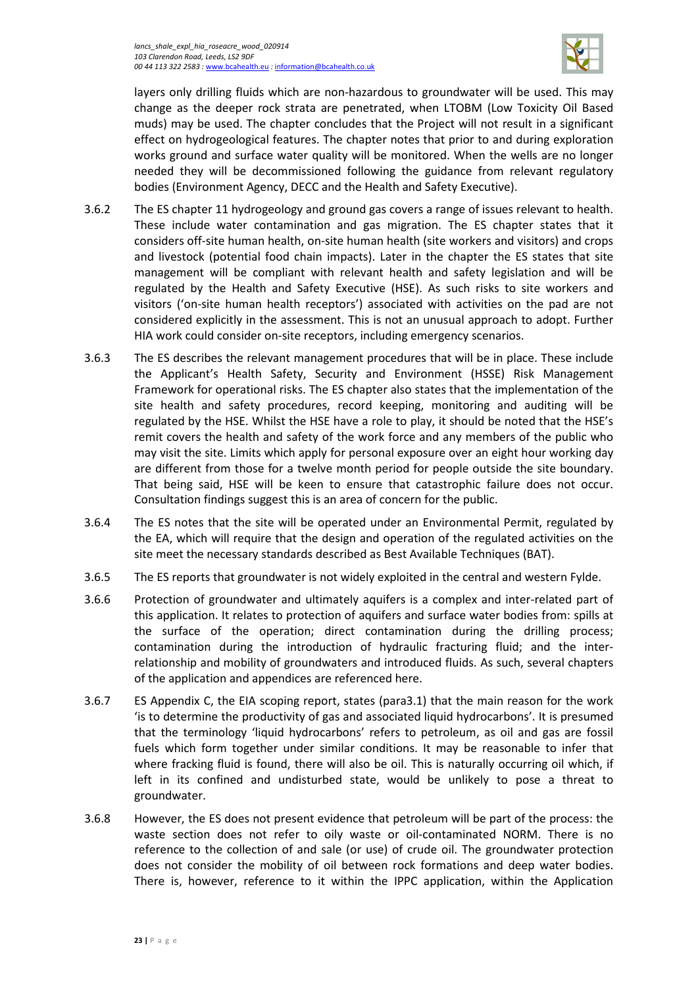

layers only drilling fluids which are non-hazardous to groundwater will be used. This may change as the deeper rock strata are penetrated, when LTOBM (Low Toxicity Oil Based muds) may be used. The chapter concludes that the Project will not result in a significant effect on hydrogeological features. The chapter notes that prior to and during exploration works ground and surface water quality will be monitored. When the wells are no longer needed they will be decommissioned following the guidance from relevant regulatory bodies (Environment Agency, DECC and the Health and Safety Executive).

- 3.6.2 The ES chapter 11 hydrogeology and ground gas covers a range of issues relevant to health. These include water contamination and gas migration. The ES chapter states that it considers off-site human health, on-site human health (site workers and visitors) and crops and livestock (potential food chain impacts). Later in the chapter the ES states that site management will be compliant with relevant health and safety legislation and will be regulated by the Health and Safety Executive (HSE). As such risks to site workers and visitors ('on-site human health receptors') associated with activities on the pad are not considered explicitly in the assessment. This is not an unusual approach to adopt. Further HIA work could consider on-site receptors, including emergency scenarios.
- 3.6.3 The ES describes the relevant management procedures that will be in place. These include the Applicant's Health Safety, Security and Environment (HSSE) Risk Management Framework for operational risks. The ES chapter also states that the implementation of the site health and safety procedures, record keeping, monitoring and auditing will be regulated by the HSE. Whilst the HSE have a role to play, it should be noted that the HSE's remit covers the health and safety of the work force and any members of the public who may visit the site. Limits which apply for personal exposure over an eight hour working day are different from those for a twelve month period for people outside the site boundary. That being said, HSE will be keen to ensure that catastrophic failure does not occur. Consultation findings suggest this is an area of concern for the public.
- 3.6.4 The ES notes that the site will be operated under an Environmental Permit, regulated by the EA, which will require that the design and operation of the regulated activities on the site meet the necessary standards described as Best Available Techniques (BAT).
- 3.6.5 The ES reports that groundwater is not widely exploited in the central and western Fylde.
- 3.6.6 Protection of groundwater and ultimately aquifers is a complex and inter-related part of this application. It relates to protection of aquifers and surface water bodies from: spills at the surface of the operation; direct contamination during the drilling process; contamination during the introduction of hydraulic fracturing fluid; and the interrelationship and mobility of groundwaters and introduced fluids. As such, several chapters of the application and appendices are referenced here.
- 3.6.7 ES Appendix C, the EIA scoping report, states (para3.1) that the main reason for the work 'is to determine the productivity of gas and associated liquid hydrocarbons'. It is presumed that the terminology 'liquid hydrocarbons' refers to petroleum, as oil and gas are fossil fuels which form together under similar conditions. It may be reasonable to infer that where fracking fluid is found, there will also be oil. This is naturally occurring oil which, if left in its confined and undisturbed state, would be unlikely to pose a threat to groundwater.
- 3.6.8 However, the ES does not present evidence that petroleum will be part of the process: the waste section does not refer to oily waste or oil-contaminated NORM. There is no reference to the collection of and sale (or use) of crude oil. The groundwater protection does not consider the mobility of oil between rock formations and deep water bodies. There is, however, reference to it within the IPPC application, within the Application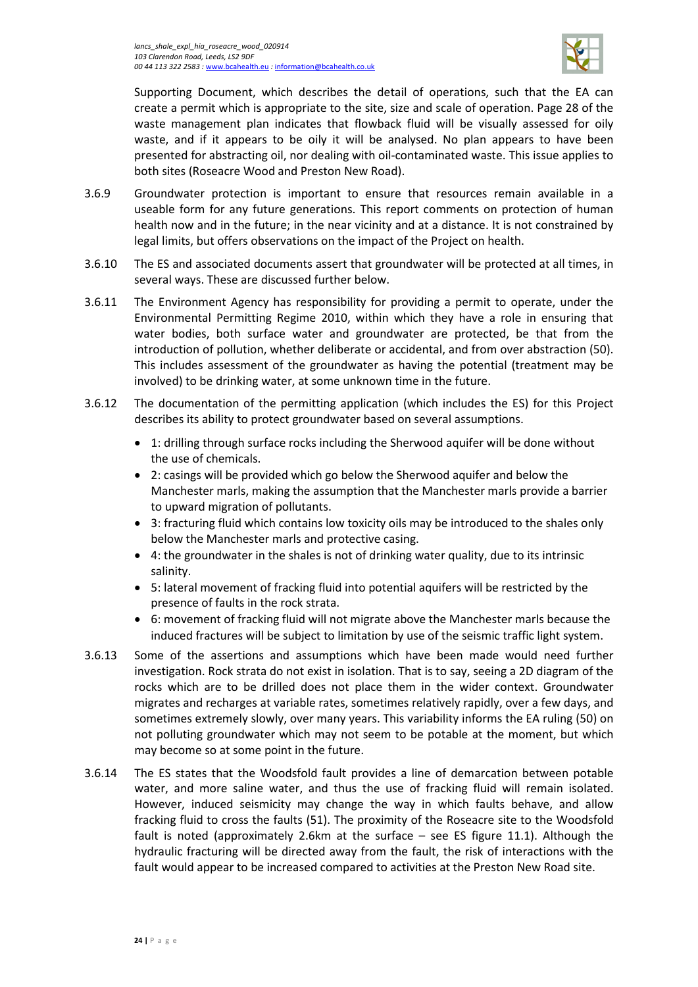

Supporting Document, which describes the detail of operations, such that the EA can create a permit which is appropriate to the site, size and scale of operation. Page 28 of the waste management plan indicates that flowback fluid will be visually assessed for oily waste, and if it appears to be oily it will be analysed. No plan appears to have been presented for abstracting oil, nor dealing with oil-contaminated waste. This issue applies to both sites (Roseacre Wood and Preston New Road).

- 3.6.9 Groundwater protection is important to ensure that resources remain available in a useable form for any future generations. This report comments on protection of human health now and in the future; in the near vicinity and at a distance. It is not constrained by legal limits, but offers observations on the impact of the Project on health.
- 3.6.10 The ES and associated documents assert that groundwater will be protected at all times, in several ways. These are discussed further below.
- 3.6.11 The Environment Agency has responsibility for providing a permit to operate, under the Environmental Permitting Regime 2010, within which they have a role in ensuring that water bodies, both surface water and groundwater are protected, be that from the introduction of pollution, whether deliberate or accidental, and from over abstraction (50). This includes assessment of the groundwater as having the potential (treatment may be involved) to be drinking water, at some unknown time in the future.
- 3.6.12 The documentation of the permitting application (which includes the ES) for this Project describes its ability to protect groundwater based on several assumptions.
	- 1: drilling through surface rocks including the Sherwood aquifer will be done without the use of chemicals.
	- 2: casings will be provided which go below the Sherwood aquifer and below the Manchester marls, making the assumption that the Manchester marls provide a barrier to upward migration of pollutants.
	- 3: fracturing fluid which contains low toxicity oils may be introduced to the shales only below the Manchester marls and protective casing.
	- 4: the groundwater in the shales is not of drinking water quality, due to its intrinsic salinity.
	- 5: lateral movement of fracking fluid into potential aquifers will be restricted by the presence of faults in the rock strata.
	- 6: movement of fracking fluid will not migrate above the Manchester marls because the induced fractures will be subject to limitation by use of the seismic traffic light system.
- 3.6.13 Some of the assertions and assumptions which have been made would need further investigation. Rock strata do not exist in isolation. That is to say, seeing a 2D diagram of the rocks which are to be drilled does not place them in the wider context. Groundwater migrates and recharges at variable rates, sometimes relatively rapidly, over a few days, and sometimes extremely slowly, over many years. This variability informs the EA ruling (50) on not polluting groundwater which may not seem to be potable at the moment, but which may become so at some point in the future.
- 3.6.14 The ES states that the Woodsfold fault provides a line of demarcation between potable water, and more saline water, and thus the use of fracking fluid will remain isolated. However, induced seismicity may change the way in which faults behave, and allow fracking fluid to cross the faults (51). The proximity of the Roseacre site to the Woodsfold fault is noted (approximately 2.6km at the surface – see ES figure 11.1). Although the hydraulic fracturing will be directed away from the fault, the risk of interactions with the fault would appear to be increased compared to activities at the Preston New Road site.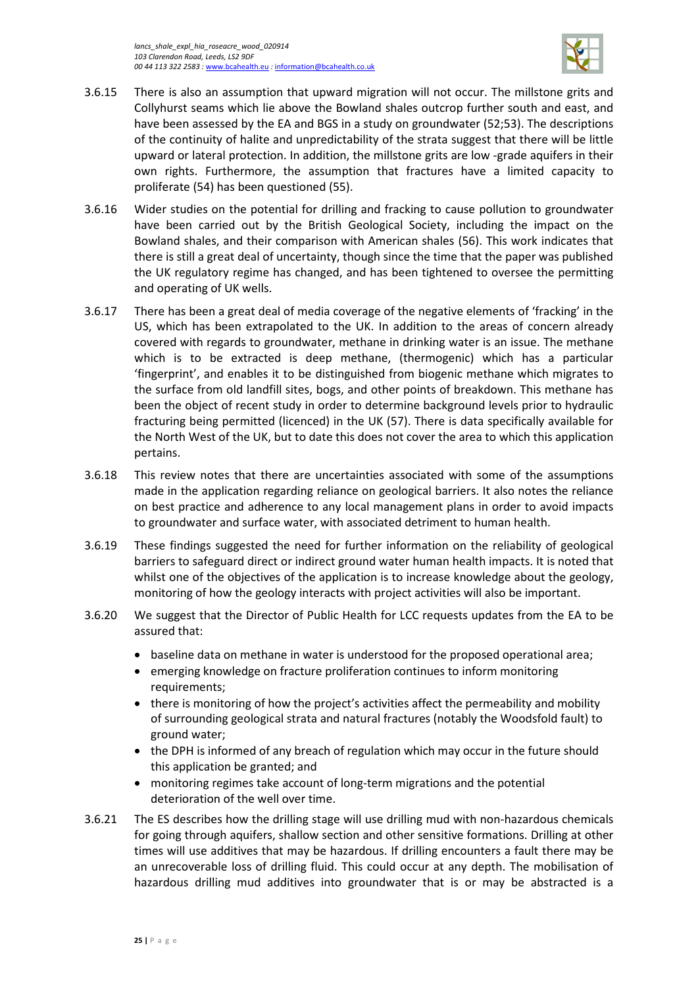

- 3.6.15 There is also an assumption that upward migration will not occur. The millstone grits and Collyhurst seams which lie above the Bowland shales outcrop further south and east, and have been assessed by the EA and BGS in a study on groundwater (52;53). The descriptions of the continuity of halite and unpredictability of the strata suggest that there will be little upward or lateral protection. In addition, the millstone grits are low -grade aquifers in their own rights. Furthermore, the assumption that fractures have a limited capacity to proliferate (54) has been questioned (55).
- 3.6.16 Wider studies on the potential for drilling and fracking to cause pollution to groundwater have been carried out by the British Geological Society, including the impact on the Bowland shales, and their comparison with American shales (56). This work indicates that there is still a great deal of uncertainty, though since the time that the paper was published the UK regulatory regime has changed, and has been tightened to oversee the permitting and operating of UK wells.
- 3.6.17 There has been a great deal of media coverage of the negative elements of 'fracking' in the US, which has been extrapolated to the UK. In addition to the areas of concern already covered with regards to groundwater, methane in drinking water is an issue. The methane which is to be extracted is deep methane, (thermogenic) which has a particular 'fingerprint', and enables it to be distinguished from biogenic methane which migrates to the surface from old landfill sites, bogs, and other points of breakdown. This methane has been the object of recent study in order to determine background levels prior to hydraulic fracturing being permitted (licenced) in the UK (57). There is data specifically available for the North West of the UK, but to date this does not cover the area to which this application pertains.
- 3.6.18 This review notes that there are uncertainties associated with some of the assumptions made in the application regarding reliance on geological barriers. It also notes the reliance on best practice and adherence to any local management plans in order to avoid impacts to groundwater and surface water, with associated detriment to human health.
- 3.6.19 These findings suggested the need for further information on the reliability of geological barriers to safeguard direct or indirect ground water human health impacts. It is noted that whilst one of the objectives of the application is to increase knowledge about the geology, monitoring of how the geology interacts with project activities will also be important.
- 3.6.20 We suggest that the Director of Public Health for LCC requests updates from the EA to be assured that:
	- baseline data on methane in water is understood for the proposed operational area;
	- emerging knowledge on fracture proliferation continues to inform monitoring requirements;
	- there is monitoring of how the project's activities affect the permeability and mobility of surrounding geological strata and natural fractures (notably the Woodsfold fault) to ground water;
	- the DPH is informed of any breach of regulation which may occur in the future should this application be granted; and
	- monitoring regimes take account of long-term migrations and the potential deterioration of the well over time.
- 3.6.21 The ES describes how the drilling stage will use drilling mud with non-hazardous chemicals for going through aquifers, shallow section and other sensitive formations. Drilling at other times will use additives that may be hazardous. If drilling encounters a fault there may be an unrecoverable loss of drilling fluid. This could occur at any depth. The mobilisation of hazardous drilling mud additives into groundwater that is or may be abstracted is a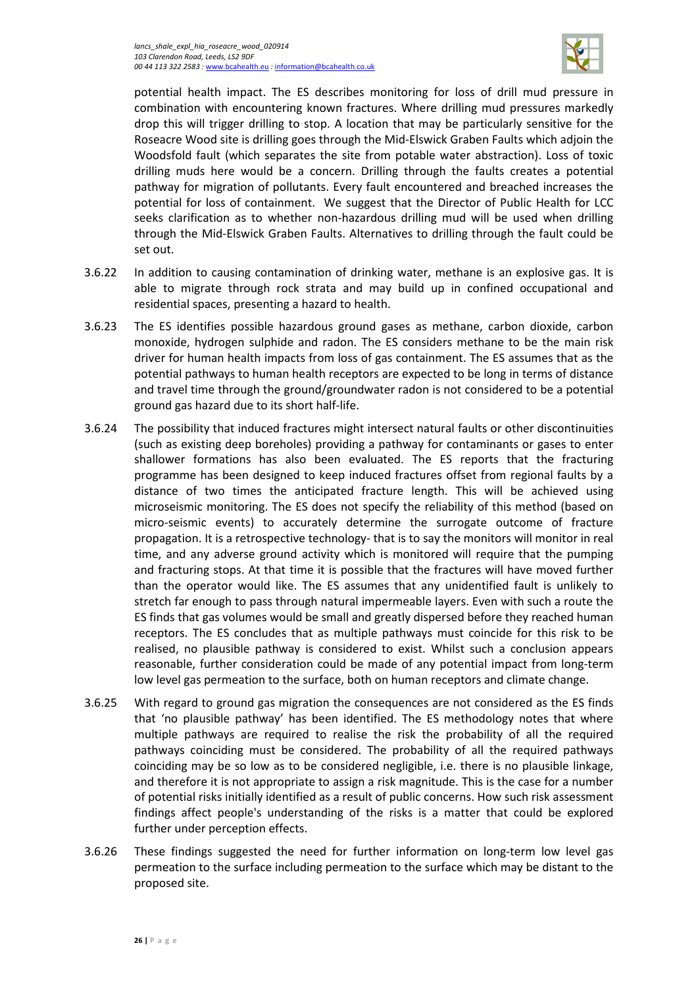

potential health impact. The ES describes monitoring for loss of drill mud pressure in combination with encountering known fractures. Where drilling mud pressures markedly drop this will trigger drilling to stop. A location that may be particularly sensitive for the Roseacre Wood site is drilling goes through the Mid-Elswick Graben Faults which adjoin the Woodsfold fault (which separates the site from potable water abstraction). Loss of toxic drilling muds here would be a concern. Drilling through the faults creates a potential pathway for migration of pollutants. Every fault encountered and breached increases the potential for loss of containment. We suggest that the Director of Public Health for LCC seeks clarification as to whether non-hazardous drilling mud will be used when drilling through the Mid-Elswick Graben Faults. Alternatives to drilling through the fault could be set out.

- 3.6.22 In addition to causing contamination of drinking water, methane is an explosive gas. It is able to migrate through rock strata and may build up in confined occupational and residential spaces, presenting a hazard to health.
- 3.6.23 The ES identifies possible hazardous ground gases as methane, carbon dioxide, carbon monoxide, hydrogen sulphide and radon. The ES considers methane to be the main risk driver for human health impacts from loss of gas containment. The ES assumes that as the potential pathways to human health receptors are expected to be long in terms of distance and travel time through the ground/groundwater radon is not considered to be a potential ground gas hazard due to its short half-life.
- 3.6.24 The possibility that induced fractures might intersect natural faults or other discontinuities (such as existing deep boreholes) providing a pathway for contaminants or gases to enter shallower formations has also been evaluated. The ES reports that the fracturing programme has been designed to keep induced fractures offset from regional faults by a distance of two times the anticipated fracture length. This will be achieved using microseismic monitoring. The ES does not specify the reliability of this method (based on micro-seismic events) to accurately determine the surrogate outcome of fracture propagation. It is a retrospective technology- that is to say the monitors will monitor in real time, and any adverse ground activity which is monitored will require that the pumping and fracturing stops. At that time it is possible that the fractures will have moved further than the operator would like. The ES assumes that any unidentified fault is unlikely to stretch far enough to pass through natural impermeable layers. Even with such a route the ES finds that gas volumes would be small and greatly dispersed before they reached human receptors. The ES concludes that as multiple pathways must coincide for this risk to be realised, no plausible pathway is considered to exist. Whilst such a conclusion appears reasonable, further consideration could be made of any potential impact from long-term low level gas permeation to the surface, both on human receptors and climate change.
- 3.6.25 With regard to ground gas migration the consequences are not considered as the ES finds that 'no plausible pathway' has been identified. The ES methodology notes that where multiple pathways are required to realise the risk the probability of all the required pathways coinciding must be considered. The probability of all the required pathways coinciding may be so low as to be considered negligible, i.e. there is no plausible linkage, and therefore it is not appropriate to assign a risk magnitude. This is the case for a number of potential risks initially identified as a result of public concerns. How such risk assessment findings affect people's understanding of the risks is a matter that could be explored further under perception effects.
- 3.6.26 These findings suggested the need for further information on long-term low level gas permeation to the surface including permeation to the surface which may be distant to the proposed site.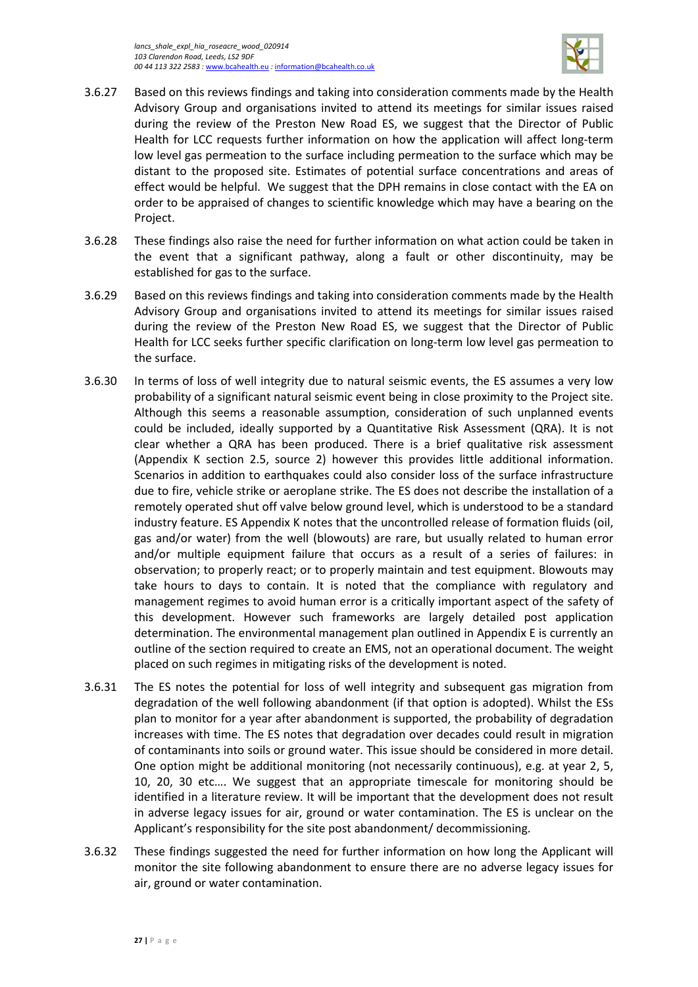

- 3.6.27 Based on this reviews findings and taking into consideration comments made by the Health Advisory Group and organisations invited to attend its meetings for similar issues raised during the review of the Preston New Road ES, we suggest that the Director of Public Health for LCC requests further information on how the application will affect long-term low level gas permeation to the surface including permeation to the surface which may be distant to the proposed site. Estimates of potential surface concentrations and areas of effect would be helpful. We suggest that the DPH remains in close contact with the EA on order to be appraised of changes to scientific knowledge which may have a bearing on the Project.
- 3.6.28 These findings also raise the need for further information on what action could be taken in the event that a significant pathway, along a fault or other discontinuity, may be established for gas to the surface.
- 3.6.29 Based on this reviews findings and taking into consideration comments made by the Health Advisory Group and organisations invited to attend its meetings for similar issues raised during the review of the Preston New Road ES, we suggest that the Director of Public Health for LCC seeks further specific clarification on long-term low level gas permeation to the surface.
- 3.6.30 In terms of loss of well integrity due to natural seismic events, the ES assumes a very low probability of a significant natural seismic event being in close proximity to the Project site. Although this seems a reasonable assumption, consideration of such unplanned events could be included, ideally supported by a Quantitative Risk Assessment (QRA). It is not clear whether a QRA has been produced. There is a brief qualitative risk assessment (Appendix K section 2.5, source 2) however this provides little additional information. Scenarios in addition to earthquakes could also consider loss of the surface infrastructure due to fire, vehicle strike or aeroplane strike. The ES does not describe the installation of a remotely operated shut off valve below ground level, which is understood to be a standard industry feature. ES Appendix K notes that the uncontrolled release of formation fluids (oil, gas and/or water) from the well (blowouts) are rare, but usually related to human error and/or multiple equipment failure that occurs as a result of a series of failures: in observation; to properly react; or to properly maintain and test equipment. Blowouts may take hours to days to contain. It is noted that the compliance with regulatory and management regimes to avoid human error is a critically important aspect of the safety of this development. However such frameworks are largely detailed post application determination. The environmental management plan outlined in Appendix E is currently an outline of the section required to create an EMS, not an operational document. The weight placed on such regimes in mitigating risks of the development is noted.
- 3.6.31 The ES notes the potential for loss of well integrity and subsequent gas migration from degradation of the well following abandonment (if that option is adopted). Whilst the ESs plan to monitor for a year after abandonment is supported, the probability of degradation increases with time. The ES notes that degradation over decades could result in migration of contaminants into soils or ground water. This issue should be considered in more detail. One option might be additional monitoring (not necessarily continuous), e.g. at year 2, 5, 10, 20, 30 etc…. We suggest that an appropriate timescale for monitoring should be identified in a literature review. It will be important that the development does not result in adverse legacy issues for air, ground or water contamination. The ES is unclear on the Applicant's responsibility for the site post abandonment/ decommissioning.
- 3.6.32 These findings suggested the need for further information on how long the Applicant will monitor the site following abandonment to ensure there are no adverse legacy issues for air, ground or water contamination.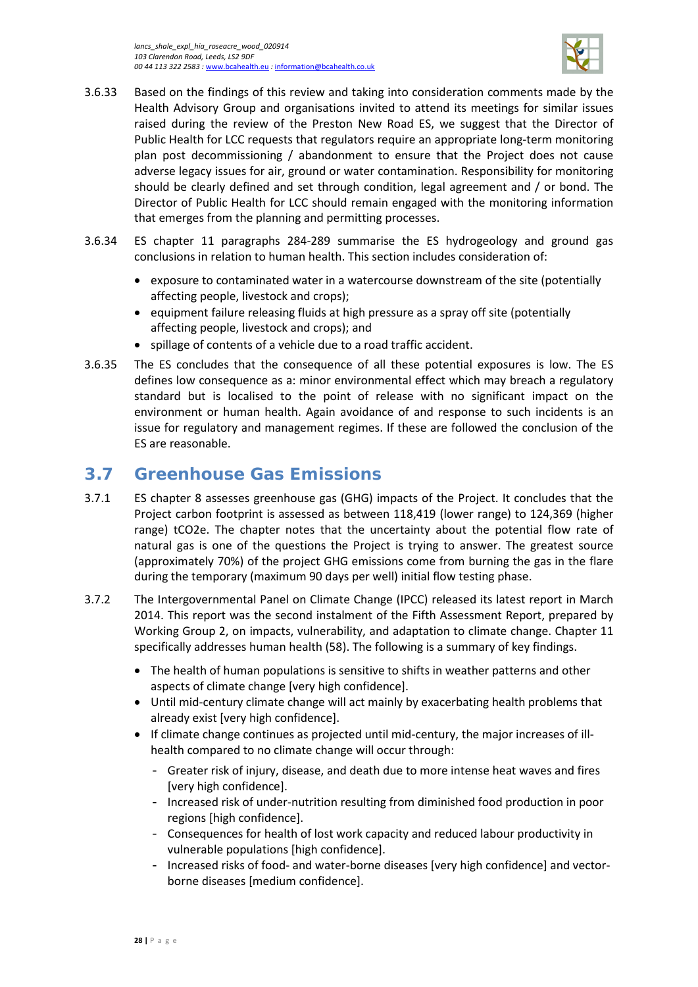

- 3.6.33 Based on the findings of this review and taking into consideration comments made by the Health Advisory Group and organisations invited to attend its meetings for similar issues raised during the review of the Preston New Road ES, we suggest that the Director of Public Health for LCC requests that regulators require an appropriate long-term monitoring plan post decommissioning / abandonment to ensure that the Project does not cause adverse legacy issues for air, ground or water contamination. Responsibility for monitoring should be clearly defined and set through condition, legal agreement and / or bond. The Director of Public Health for LCC should remain engaged with the monitoring information that emerges from the planning and permitting processes.
- 3.6.34 ES chapter 11 paragraphs 284-289 summarise the ES hydrogeology and ground gas conclusions in relation to human health. This section includes consideration of:
	- exposure to contaminated water in a watercourse downstream of the site (potentially affecting people, livestock and crops);
	- equipment failure releasing fluids at high pressure as a spray off site (potentially affecting people, livestock and crops); and
	- spillage of contents of a vehicle due to a road traffic accident.
- 3.6.35 The ES concludes that the consequence of all these potential exposures is low. The ES defines low consequence as a: minor environmental effect which may breach a regulatory standard but is localised to the point of release with no significant impact on the environment or human health. Again avoidance of and response to such incidents is an issue for regulatory and management regimes. If these are followed the conclusion of the ES are reasonable.

# <span id="page-31-0"></span>**3.7 Greenhouse Gas Emissions**

- 3.7.1 ES chapter 8 assesses greenhouse gas (GHG) impacts of the Project. It concludes that the Project carbon footprint is assessed as between 118,419 (lower range) to 124,369 (higher range) tCO2e. The chapter notes that the uncertainty about the potential flow rate of natural gas is one of the questions the Project is trying to answer. The greatest source (approximately 70%) of the project GHG emissions come from burning the gas in the flare during the temporary (maximum 90 days per well) initial flow testing phase.
- 3.7.2 The Intergovernmental Panel on Climate Change (IPCC) released its latest report in March 2014. This report was the second instalment of the Fifth Assessment Report, prepared by Working Group 2, on impacts, vulnerability, and adaptation to climate change. Chapter 11 specifically addresses human health (58). The following is a summary of key findings.
	- The health of human populations is sensitive to shifts in weather patterns and other aspects of climate change [very high confidence].
	- Until mid-century climate change will act mainly by exacerbating health problems that already exist [very high confidence].
	- If climate change continues as projected until mid-century, the major increases of illhealth compared to no climate change will occur through:
		- Greater risk of injury, disease, and death due to more intense heat waves and fires [very high confidence].
		- Increased risk of under-nutrition resulting from diminished food production in poor regions [high confidence].
		- Consequences for health of lost work capacity and reduced labour productivity in vulnerable populations [high confidence].
		- Increased risks of food- and water-borne diseases [very high confidence] and vectorborne diseases [medium confidence].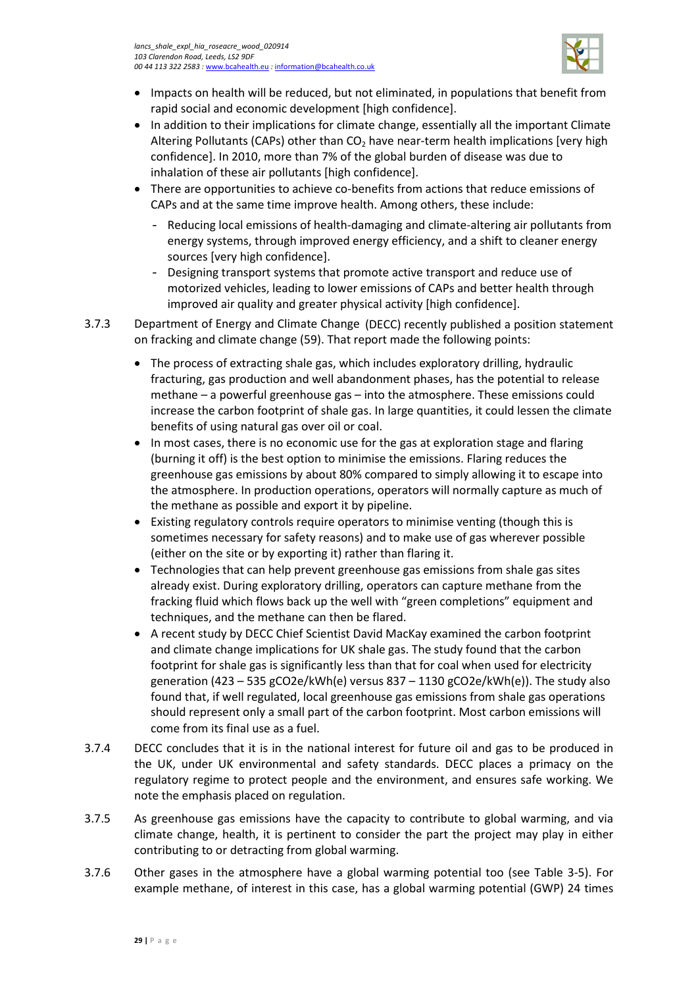

- Impacts on health will be reduced, but not eliminated, in populations that benefit from rapid social and economic development [high confidence].
- In addition to their implications for climate change, essentially all the important Climate Altering Pollutants (CAPs) other than  $CO<sub>2</sub>$  have near-term health implications [very high confidence]. In 2010, more than 7% of the global burden of disease was due to inhalation of these air pollutants [high confidence].
- There are opportunities to achieve co-benefits from actions that reduce emissions of CAPs and at the same time improve health. Among others, these include:
	- Reducing local emissions of health-damaging and climate-altering air pollutants from energy systems, through improved energy efficiency, and a shift to cleaner energy sources [very high confidence].
	- Designing transport systems that promote active transport and reduce use of motorized vehicles, leading to lower emissions of CAPs and better health through improved air quality and greater physical activity [high confidence].
- 3.7.3 Department of Energy and Climate Change (DECC) recently published a position statement on fracking and climate change (59). That report made the following points:
	- The process of extracting shale gas, which includes exploratory drilling, hydraulic fracturing, gas production and well abandonment phases, has the potential to release methane – a powerful greenhouse gas – into the atmosphere. These emissions could increase the carbon footprint of shale gas. In large quantities, it could lessen the climate benefits of using natural gas over oil or coal.
	- In most cases, there is no economic use for the gas at exploration stage and flaring (burning it off) is the best option to minimise the emissions. Flaring reduces the greenhouse gas emissions by about 80% compared to simply allowing it to escape into the atmosphere. In production operations, operators will normally capture as much of the methane as possible and export it by pipeline.
	- Existing regulatory controls require operators to minimise venting (though this is sometimes necessary for safety reasons) and to make use of gas wherever possible (either on the site or by exporting it) rather than flaring it.
	- Technologies that can help prevent greenhouse gas emissions from shale gas sites already exist. During exploratory drilling, operators can capture methane from the fracking fluid which flows back up the well with "green completions" equipment and techniques, and the methane can then be flared.
	- A recent study by DECC Chief Scientist David MacKay examined the carbon footprint and climate change implications for UK shale gas. The study found that the carbon footprint for shale gas is significantly less than that for coal when used for electricity generation (423 – 535 gCO2e/kWh(e) versus 837 – 1130 gCO2e/kWh(e)). The study also found that, if well regulated, local greenhouse gas emissions from shale gas operations should represent only a small part of the carbon footprint. Most carbon emissions will come from its final use as a fuel.
- 3.7.4 DECC concludes that it is in the national interest for future oil and gas to be produced in the UK, under UK environmental and safety standards. DECC places a primacy on the regulatory regime to protect people and the environment, and ensures safe working. We note the emphasis placed on regulation.
- 3.7.5 As greenhouse gas emissions have the capacity to contribute to global warming, and via climate change, health, it is pertinent to consider the part the project may play in either contributing to or detracting from global warming.
- 3.7.6 Other gases in the atmosphere have a global warming potential too (see [Table 3-5\)](#page-33-0). For example methane, of interest in this case, has a global warming potential (GWP) 24 times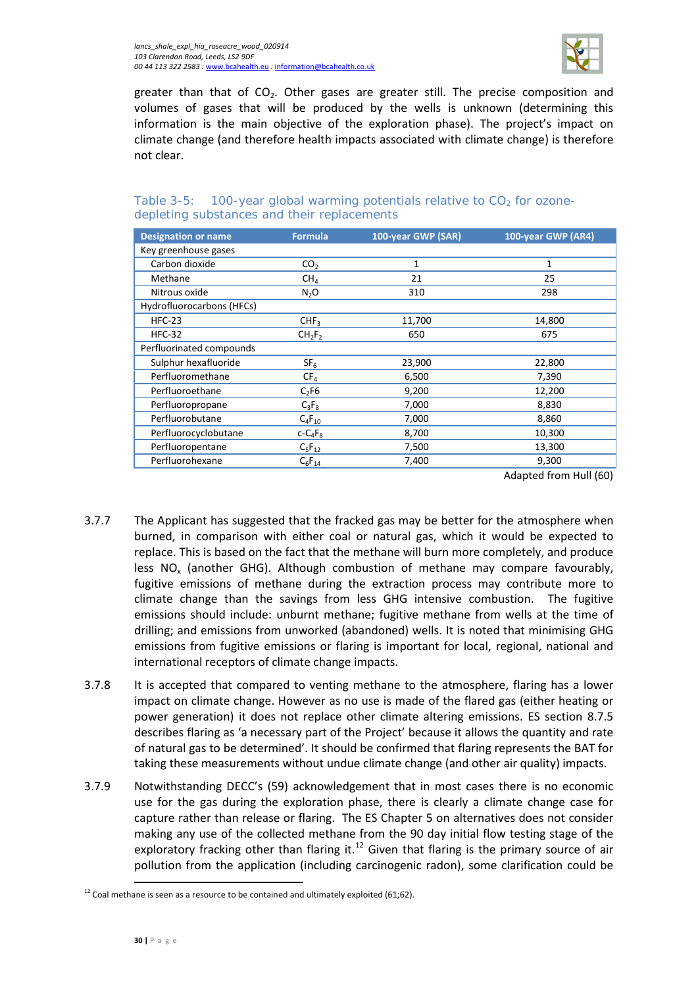

greater than that of  $CO<sub>2</sub>$ . Other gases are greater still. The precise composition and volumes of gases that will be produced by the wells is unknown (determining this information is the main objective of the exploration phase). The project's impact on climate change (and therefore health impacts associated with climate change) is therefore not clear.

#### <span id="page-33-0"></span>Table 3-5: 100-year global warming potentials relative to  $CO<sub>2</sub>$  for ozonedepleting substances and their replacements

| <b>Designation or name</b> | <b>Formula</b>                 | 100-year GWP (SAR) | 100-year GWP (AR4) |
|----------------------------|--------------------------------|--------------------|--------------------|
| Key greenhouse gases       |                                |                    |                    |
| Carbon dioxide             | CO <sub>2</sub>                | 1                  | 1                  |
| Methane                    | CH <sub>4</sub>                | 21                 | 25                 |
| Nitrous oxide              | N <sub>2</sub> O               | 310                | 298                |
| Hydrofluorocarbons (HFCs)  |                                |                    |                    |
| $HFC-23$                   | CHF <sub>3</sub>               | 11,700             | 14,800             |
| $HFC-32$                   | CH <sub>2</sub> F <sub>2</sub> | 650                | 675                |
| Perfluorinated compounds   |                                |                    |                    |
| Sulphur hexafluoride       | SF <sub>6</sub>                | 23,900             | 22,800             |
| Perfluoromethane           | CF <sub>4</sub>                | 6,500              | 7,390              |
| Perfluoroethane            | $C_2F6$                        | 9,200              | 12,200             |
| Perfluoropropane           | $C_3F_8$                       | 7,000              | 8,830              |
| Perfluorobutane            | $C_4F_{10}$                    | 7,000              | 8,860              |
| Perfluorocyclobutane       | $C - C_4F_8$                   | 8,700              | 10,300             |
| Perfluoropentane           | $C_5F_{12}$                    | 7,500              | 13,300             |
| Perfluorohexane            | $C_6F_{14}$                    | 7,400              | 9,300              |

Adapted from Hull (60)

- 3.7.7 The Applicant has suggested that the fracked gas may be better for the atmosphere when burned, in comparison with either coal or natural gas, which it would be expected to replace. This is based on the fact that the methane will burn more completely, and produce less  $NO_x$  (another GHG). Although combustion of methane may compare favourably, fugitive emissions of methane during the extraction process may contribute more to climate change than the savings from less GHG intensive combustion. The fugitive emissions should include: unburnt methane; fugitive methane from wells at the time of drilling; and emissions from unworked (abandoned) wells. It is noted that minimising GHG emissions from fugitive emissions or flaring is important for local, regional, national and international receptors of climate change impacts.
- 3.7.8 It is accepted that compared to venting methane to the atmosphere, flaring has a lower impact on climate change. However as no use is made of the flared gas (either heating or power generation) it does not replace other climate altering emissions. ES section 8.7.5 describes flaring as 'a necessary part of the Project' because it allows the quantity and rate of natural gas to be determined'. It should be confirmed that flaring represents the BAT for taking these measurements without undue climate change (and other air quality) impacts.
- 3.7.9 Notwithstanding DECC's (59) acknowledgement that in most cases there is no economic use for the gas during the exploration phase, there is clearly a climate change case for capture rather than release or flaring. The ES Chapter 5 on alternatives does not consider making any use of the collected methane from the 90 day initial flow testing stage of the exploratory fracking other than flaring it. $^{12}$  $^{12}$  $^{12}$  Given that flaring is the primary source of air pollution from the application (including carcinogenic radon), some clarification could be

l

<span id="page-33-1"></span> $12$  Coal methane is seen as a resource to be contained and ultimately exploited (61;62).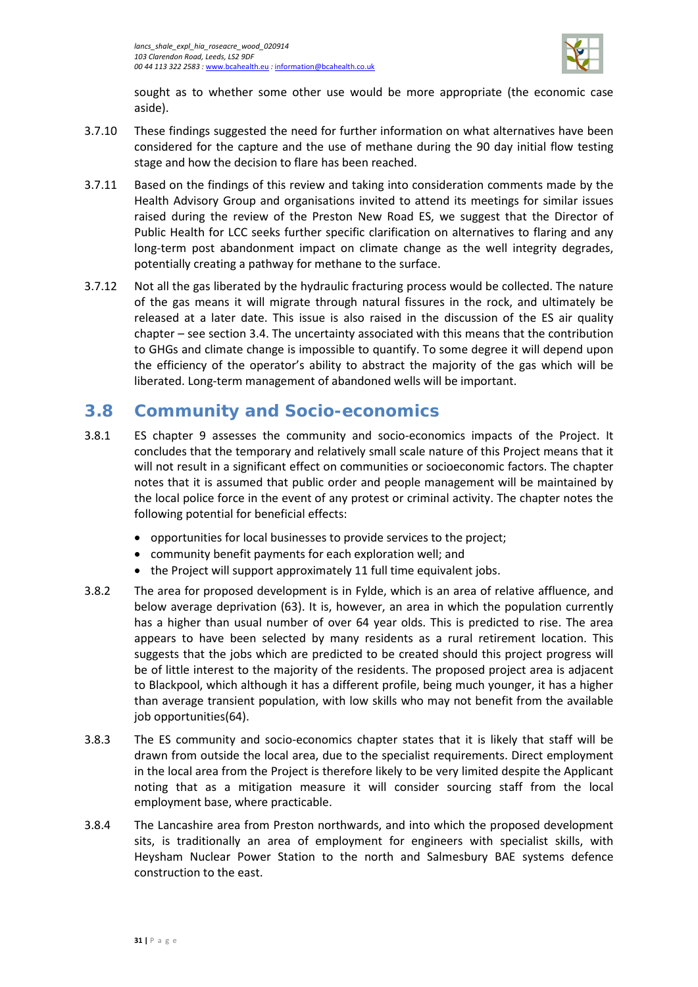

sought as to whether some other use would be more appropriate (the economic case aside).

- 3.7.10 These findings suggested the need for further information on what alternatives have been considered for the capture and the use of methane during the 90 day initial flow testing stage and how the decision to flare has been reached.
- 3.7.11 Based on the findings of this review and taking into consideration comments made by the Health Advisory Group and organisations invited to attend its meetings for similar issues raised during the review of the Preston New Road ES, we suggest that the Director of Public Health for LCC seeks further specific clarification on alternatives to flaring and any long-term post abandonment impact on climate change as the well integrity degrades, potentially creating a pathway for methane to the surface.
- 3.7.12 Not all the gas liberated by the hydraulic fracturing process would be collected. The nature of the gas means it will migrate through natural fissures in the rock, and ultimately be released at a later date. This issue is also raised in the discussion of the ES air quality chapter – see sectio[n 3.4.](#page-14-0) The uncertainty associated with this means that the contribution to GHGs and climate change is impossible to quantify. To some degree it will depend upon the efficiency of the operator's ability to abstract the majority of the gas which will be liberated. Long-term management of abandoned wells will be important.

### <span id="page-34-0"></span>**3.8 Community and Socio-economics**

- 3.8.1 ES chapter 9 assesses the community and socio-economics impacts of the Project. It concludes that the temporary and relatively small scale nature of this Project means that it will not result in a significant effect on communities or socioeconomic factors. The chapter notes that it is assumed that public order and people management will be maintained by the local police force in the event of any protest or criminal activity. The chapter notes the following potential for beneficial effects:
	- opportunities for local businesses to provide services to the project;
	- community benefit payments for each exploration well; and
	- the Project will support approximately 11 full time equivalent jobs.
- 3.8.2 The area for proposed development is in Fylde, which is an area of relative affluence, and below average deprivation (63). It is, however, an area in which the population currently has a higher than usual number of over 64 year olds. This is predicted to rise. The area appears to have been selected by many residents as a rural retirement location. This suggests that the jobs which are predicted to be created should this project progress will be of little interest to the majority of the residents. The proposed project area is adjacent to Blackpool, which although it has a different profile, being much younger, it has a higher than average transient population, with low skills who may not benefit from the available job opportunities(64).
- 3.8.3 The ES community and socio-economics chapter states that it is likely that staff will be drawn from outside the local area, due to the specialist requirements. Direct employment in the local area from the Project is therefore likely to be very limited despite the Applicant noting that as a mitigation measure it will consider sourcing staff from the local employment base, where practicable.
- 3.8.4 The Lancashire area from Preston northwards, and into which the proposed development sits, is traditionally an area of employment for engineers with specialist skills, with Heysham Nuclear Power Station to the north and Salmesbury BAE systems defence construction to the east.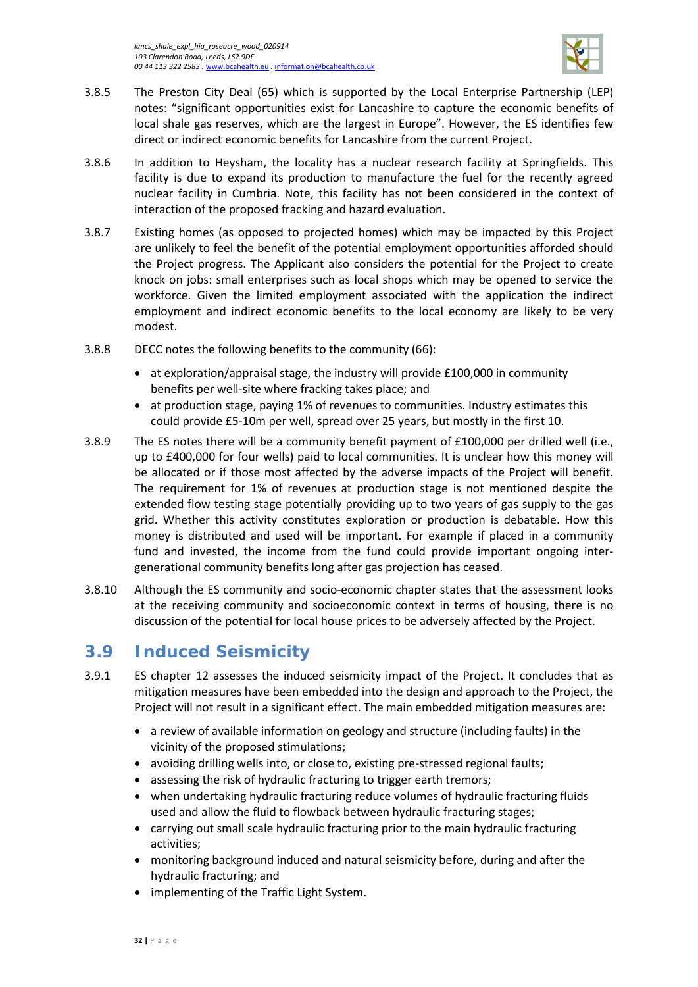

- 3.8.5 The Preston City Deal (65) which is supported by the Local Enterprise Partnership (LEP) notes: "significant opportunities exist for Lancashire to capture the economic benefits of local shale gas reserves, which are the largest in Europe". However, the ES identifies few direct or indirect economic benefits for Lancashire from the current Project.
- 3.8.6 In addition to Heysham, the locality has a nuclear research facility at Springfields. This facility is due to expand its production to manufacture the fuel for the recently agreed nuclear facility in Cumbria. Note, this facility has not been considered in the context of interaction of the proposed fracking and hazard evaluation.
- 3.8.7 Existing homes (as opposed to projected homes) which may be impacted by this Project are unlikely to feel the benefit of the potential employment opportunities afforded should the Project progress. The Applicant also considers the potential for the Project to create knock on jobs: small enterprises such as local shops which may be opened to service the workforce. Given the limited employment associated with the application the indirect employment and indirect economic benefits to the local economy are likely to be very modest.
- 3.8.8 DECC notes the following benefits to the community (66):
	- at exploration/appraisal stage, the industry will provide £100,000 in community benefits per well-site where fracking takes place; and
	- at production stage, paying 1% of revenues to communities. Industry estimates this could provide £5-10m per well, spread over 25 years, but mostly in the first 10.
- 3.8.9 The ES notes there will be a community benefit payment of £100,000 per drilled well (i.e., up to £400,000 for four wells) paid to local communities. It is unclear how this money will be allocated or if those most affected by the adverse impacts of the Project will benefit. The requirement for 1% of revenues at production stage is not mentioned despite the extended flow testing stage potentially providing up to two years of gas supply to the gas grid. Whether this activity constitutes exploration or production is debatable. How this money is distributed and used will be important. For example if placed in a community fund and invested, the income from the fund could provide important ongoing intergenerational community benefits long after gas projection has ceased.
- 3.8.10 Although the ES community and socio-economic chapter states that the assessment looks at the receiving community and socioeconomic context in terms of housing, there is no discussion of the potential for local house prices to be adversely affected by the Project.

# <span id="page-35-0"></span>**3.9 Induced Seismicity**

- 3.9.1 ES chapter 12 assesses the induced seismicity impact of the Project. It concludes that as mitigation measures have been embedded into the design and approach to the Project, the Project will not result in a significant effect. The main embedded mitigation measures are:
	- a review of available information on geology and structure (including faults) in the vicinity of the proposed stimulations;
	- avoiding drilling wells into, or close to, existing pre-stressed regional faults;
	- assessing the risk of hydraulic fracturing to trigger earth tremors;
	- when undertaking hydraulic fracturing reduce volumes of hydraulic fracturing fluids used and allow the fluid to flowback between hydraulic fracturing stages;
	- carrying out small scale hydraulic fracturing prior to the main hydraulic fracturing activities;
	- monitoring background induced and natural seismicity before, during and after the hydraulic fracturing; and
	- implementing of the Traffic Light System.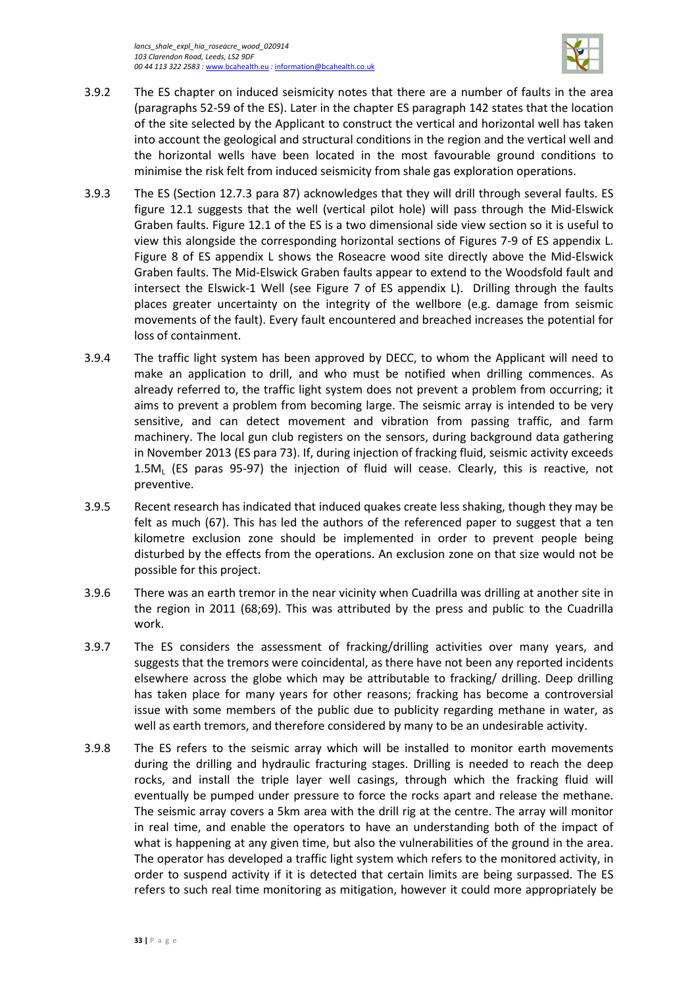

- 3.9.2 The ES chapter on induced seismicity notes that there are a number of faults in the area (paragraphs 52-59 of the ES). Later in the chapter ES paragraph 142 states that the location of the site selected by the Applicant to construct the vertical and horizontal well has taken into account the geological and structural conditions in the region and the vertical well and the horizontal wells have been located in the most favourable ground conditions to minimise the risk felt from induced seismicity from shale gas exploration operations.
- 3.9.3 The ES (Section 12.7.3 para 87) acknowledges that they will drill through several faults. ES figure 12.1 suggests that the well (vertical pilot hole) will pass through the Mid-Elswick Graben faults. Figure 12.1 of the ES is a two dimensional side view section so it is useful to view this alongside the corresponding horizontal sections of Figures 7-9 of ES appendix L. Figure 8 of ES appendix L shows the Roseacre wood site directly above the Mid-Elswick Graben faults. The Mid-Elswick Graben faults appear to extend to the Woodsfold fault and intersect the Elswick-1 Well (see Figure 7 of ES appendix L). Drilling through the faults places greater uncertainty on the integrity of the wellbore (e.g. damage from seismic movements of the fault). Every fault encountered and breached increases the potential for loss of containment.
- 3.9.4 The traffic light system has been approved by DECC, to whom the Applicant will need to make an application to drill, and who must be notified when drilling commences. As already referred to, the traffic light system does not prevent a problem from occurring; it aims to prevent a problem from becoming large. The seismic array is intended to be very sensitive, and can detect movement and vibration from passing traffic, and farm machinery. The local gun club registers on the sensors, during background data gathering in November 2013 (ES para 73). If, during injection of fracking fluid, seismic activity exceeds 1.5M<sub>L</sub> (ES paras 95-97) the injection of fluid will cease. Clearly, this is reactive, not preventive.
- 3.9.5 Recent research has indicated that induced quakes create less shaking, though they may be felt as much (67). This has led the authors of the referenced paper to suggest that a ten kilometre exclusion zone should be implemented in order to prevent people being disturbed by the effects from the operations. An exclusion zone on that size would not be possible for this project.
- 3.9.6 There was an earth tremor in the near vicinity when Cuadrilla was drilling at another site in the region in 2011 (68;69). This was attributed by the press and public to the Cuadrilla work.
- 3.9.7 The ES considers the assessment of fracking/drilling activities over many years, and suggests that the tremors were coincidental, as there have not been any reported incidents elsewhere across the globe which may be attributable to fracking/ drilling. Deep drilling has taken place for many years for other reasons; fracking has become a controversial issue with some members of the public due to publicity regarding methane in water, as well as earth tremors, and therefore considered by many to be an undesirable activity.
- 3.9.8 The ES refers to the seismic array which will be installed to monitor earth movements during the drilling and hydraulic fracturing stages. Drilling is needed to reach the deep rocks, and install the triple layer well casings, through which the fracking fluid will eventually be pumped under pressure to force the rocks apart and release the methane. The seismic array covers a 5km area with the drill rig at the centre. The array will monitor in real time, and enable the operators to have an understanding both of the impact of what is happening at any given time, but also the vulnerabilities of the ground in the area. The operator has developed a traffic light system which refers to the monitored activity, in order to suspend activity if it is detected that certain limits are being surpassed. The ES refers to such real time monitoring as mitigation, however it could more appropriately be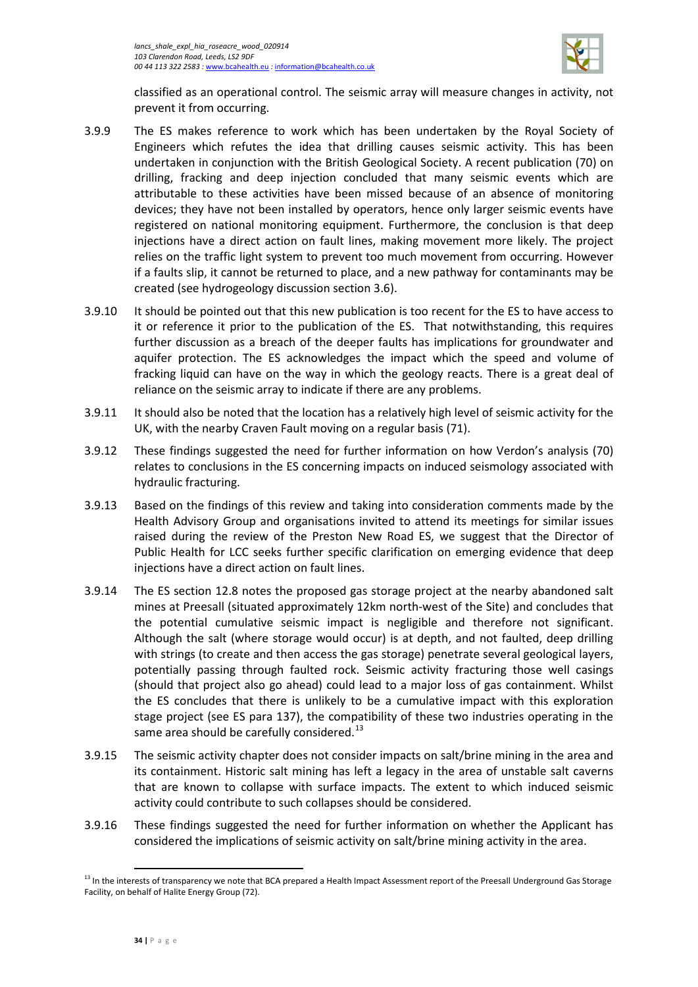

classified as an operational control. The seismic array will measure changes in activity, not prevent it from occurring.

- 3.9.9 The ES makes reference to work which has been undertaken by the Royal Society of Engineers which refutes the idea that drilling causes seismic activity. This has been undertaken in conjunction with the British Geological Society. A recent publication (70) on drilling, fracking and deep injection concluded that many seismic events which are attributable to these activities have been missed because of an absence of monitoring devices; they have not been installed by operators, hence only larger seismic events have registered on national monitoring equipment. Furthermore, the conclusion is that deep injections have a direct action on fault lines, making movement more likely. The project relies on the traffic light system to prevent too much movement from occurring. However if a faults slip, it cannot be returned to place, and a new pathway for contaminants may be created (see hydrogeology discussion section [3.6\)](#page-25-0).
- 3.9.10 It should be pointed out that this new publication is too recent for the ES to have access to it or reference it prior to the publication of the ES. That notwithstanding, this requires further discussion as a breach of the deeper faults has implications for groundwater and aquifer protection. The ES acknowledges the impact which the speed and volume of fracking liquid can have on the way in which the geology reacts. There is a great deal of reliance on the seismic array to indicate if there are any problems.
- 3.9.11 It should also be noted that the location has a relatively high level of seismic activity for the UK, with the nearby Craven Fault moving on a regular basis (71).
- 3.9.12 These findings suggested the need for further information on how Verdon's analysis (70) relates to conclusions in the ES concerning impacts on induced seismology associated with hydraulic fracturing.
- 3.9.13 Based on the findings of this review and taking into consideration comments made by the Health Advisory Group and organisations invited to attend its meetings for similar issues raised during the review of the Preston New Road ES, we suggest that the Director of Public Health for LCC seeks further specific clarification on emerging evidence that deep injections have a direct action on fault lines.
- 3.9.14 The ES section 12.8 notes the proposed gas storage project at the nearby abandoned salt mines at Preesall (situated approximately 12km north-west of the Site) and concludes that the potential cumulative seismic impact is negligible and therefore not significant. Although the salt (where storage would occur) is at depth, and not faulted, deep drilling with strings (to create and then access the gas storage) penetrate several geological layers, potentially passing through faulted rock. Seismic activity fracturing those well casings (should that project also go ahead) could lead to a major loss of gas containment. Whilst the ES concludes that there is unlikely to be a cumulative impact with this exploration stage project (see ES para 137), the compatibility of these two industries operating in the same area should be carefully considered.<sup>[13](#page-37-0)</sup>
- 3.9.15 The seismic activity chapter does not consider impacts on salt/brine mining in the area and its containment. Historic salt mining has left a legacy in the area of unstable salt caverns that are known to collapse with surface impacts. The extent to which induced seismic activity could contribute to such collapses should be considered.
- 3.9.16 These findings suggested the need for further information on whether the Applicant has considered the implications of seismic activity on salt/brine mining activity in the area.

 $\overline{\phantom{a}}$ 

<span id="page-37-0"></span><sup>&</sup>lt;sup>13</sup> In the interests of transparency we note that BCA prepared a Health Impact Assessment report of the Preesall Underground Gas Storage Facility, on behalf of Halite Energy Group (72).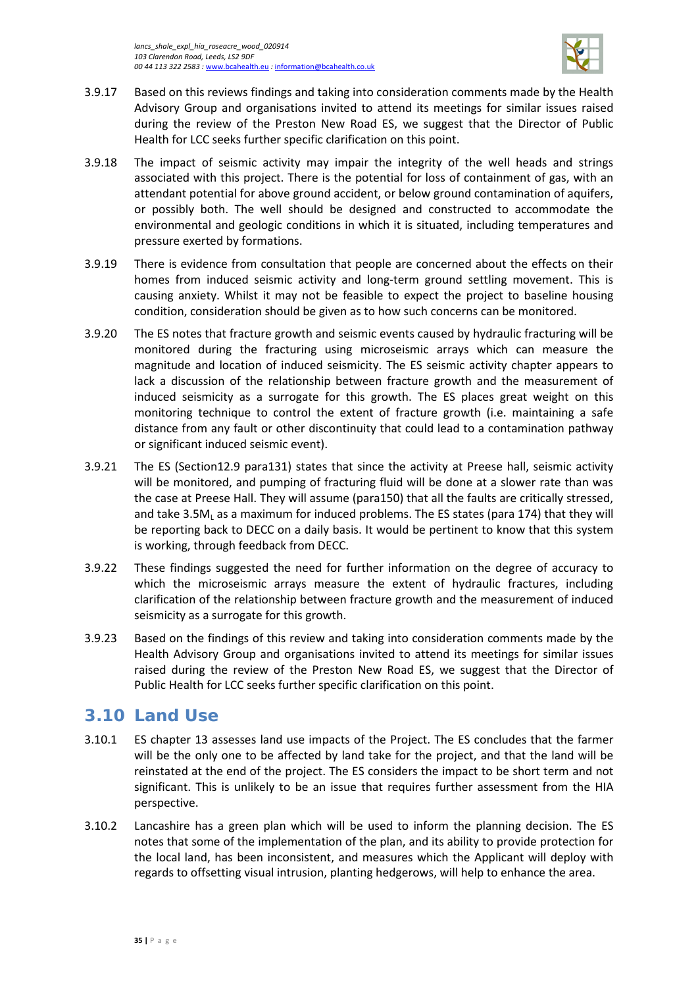

- 3.9.17 Based on this reviews findings and taking into consideration comments made by the Health Advisory Group and organisations invited to attend its meetings for similar issues raised during the review of the Preston New Road ES, we suggest that the Director of Public Health for LCC seeks further specific clarification on this point.
- 3.9.18 The impact of seismic activity may impair the integrity of the well heads and strings associated with this project. There is the potential for loss of containment of gas, with an attendant potential for above ground accident, or below ground contamination of aquifers, or possibly both. The well should be designed and constructed to accommodate the environmental and geologic conditions in which it is situated, including temperatures and pressure exerted by formations.
- 3.9.19 There is evidence from consultation that people are concerned about the effects on their homes from induced seismic activity and long-term ground settling movement. This is causing anxiety. Whilst it may not be feasible to expect the project to baseline housing condition, consideration should be given as to how such concerns can be monitored.
- 3.9.20 The ES notes that fracture growth and seismic events caused by hydraulic fracturing will be monitored during the fracturing using microseismic arrays which can measure the magnitude and location of induced seismicity. The ES seismic activity chapter appears to lack a discussion of the relationship between fracture growth and the measurement of induced seismicity as a surrogate for this growth. The ES places great weight on this monitoring technique to control the extent of fracture growth (i.e. maintaining a safe distance from any fault or other discontinuity that could lead to a contamination pathway or significant induced seismic event).
- 3.9.21 The ES (Section12.9 para131) states that since the activity at Preese hall, seismic activity will be monitored, and pumping of fracturing fluid will be done at a slower rate than was the case at Preese Hall. They will assume (para150) that all the faults are critically stressed, and take 3.5M<sub>L</sub> as a maximum for induced problems. The ES states (para 174) that they will be reporting back to DECC on a daily basis. It would be pertinent to know that this system is working, through feedback from DECC.
- 3.9.22 These findings suggested the need for further information on the degree of accuracy to which the microseismic arrays measure the extent of hydraulic fractures, including clarification of the relationship between fracture growth and the measurement of induced seismicity as a surrogate for this growth.
- 3.9.23 Based on the findings of this review and taking into consideration comments made by the Health Advisory Group and organisations invited to attend its meetings for similar issues raised during the review of the Preston New Road ES, we suggest that the Director of Public Health for LCC seeks further specific clarification on this point.

# <span id="page-38-0"></span>**3.10 Land Use**

- 3.10.1 ES chapter 13 assesses land use impacts of the Project. The ES concludes that the farmer will be the only one to be affected by land take for the project, and that the land will be reinstated at the end of the project. The ES considers the impact to be short term and not significant. This is unlikely to be an issue that requires further assessment from the HIA perspective.
- 3.10.2 Lancashire has a green plan which will be used to inform the planning decision. The ES notes that some of the implementation of the plan, and its ability to provide protection for the local land, has been inconsistent, and measures which the Applicant will deploy with regards to offsetting visual intrusion, planting hedgerows, will help to enhance the area.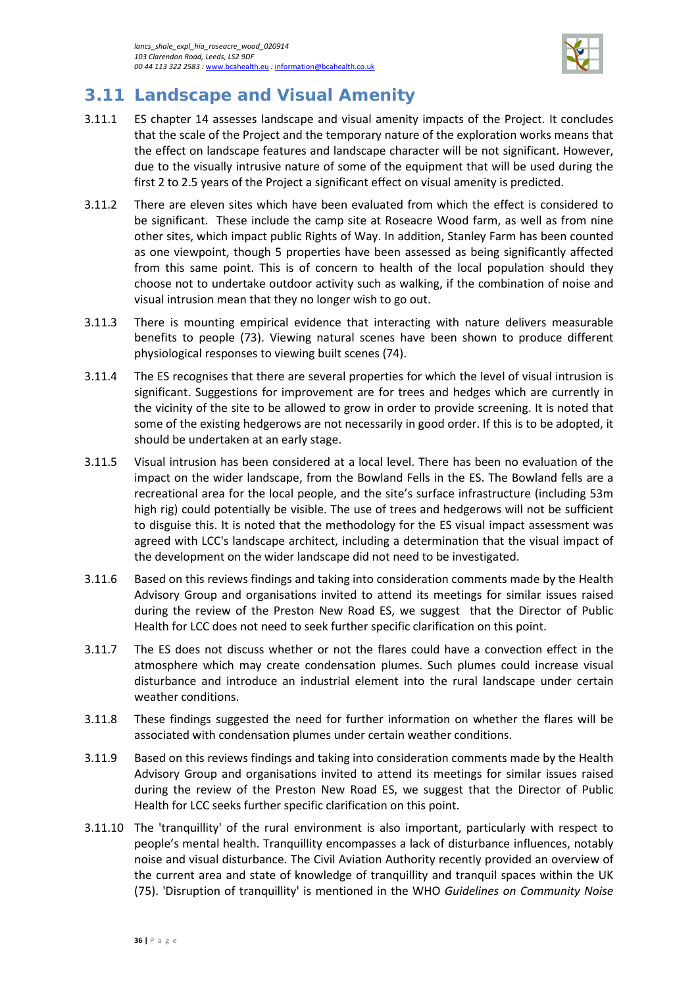

# <span id="page-39-0"></span>**3.11 Landscape and Visual Amenity**

- 3.11.1 ES chapter 14 assesses landscape and visual amenity impacts of the Project. It concludes that the scale of the Project and the temporary nature of the exploration works means that the effect on landscape features and landscape character will be not significant. However, due to the visually intrusive nature of some of the equipment that will be used during the first 2 to 2.5 years of the Project a significant effect on visual amenity is predicted.
- 3.11.2 There are eleven sites which have been evaluated from which the effect is considered to be significant. These include the camp site at Roseacre Wood farm, as well as from nine other sites, which impact public Rights of Way. In addition, Stanley Farm has been counted as one viewpoint, though 5 properties have been assessed as being significantly affected from this same point. This is of concern to health of the local population should they choose not to undertake outdoor activity such as walking, if the combination of noise and visual intrusion mean that they no longer wish to go out.
- 3.11.3 There is mounting empirical evidence that interacting with nature delivers measurable benefits to people (73). Viewing natural scenes have been shown to produce different physiological responses to viewing built scenes (74).
- 3.11.4 The ES recognises that there are several properties for which the level of visual intrusion is significant. Suggestions for improvement are for trees and hedges which are currently in the vicinity of the site to be allowed to grow in order to provide screening. It is noted that some of the existing hedgerows are not necessarily in good order. If this is to be adopted, it should be undertaken at an early stage.
- 3.11.5 Visual intrusion has been considered at a local level. There has been no evaluation of the impact on the wider landscape, from the Bowland Fells in the ES. The Bowland fells are a recreational area for the local people, and the site's surface infrastructure (including 53m high rig) could potentially be visible. The use of trees and hedgerows will not be sufficient to disguise this. It is noted that the methodology for the ES visual impact assessment was agreed with LCC's landscape architect, including a determination that the visual impact of the development on the wider landscape did not need to be investigated.
- 3.11.6 Based on this reviews findings and taking into consideration comments made by the Health Advisory Group and organisations invited to attend its meetings for similar issues raised during the review of the Preston New Road ES, we suggest that the Director of Public Health for LCC does not need to seek further specific clarification on this point.
- 3.11.7 The ES does not discuss whether or not the flares could have a convection effect in the atmosphere which may create condensation plumes. Such plumes could increase visual disturbance and introduce an industrial element into the rural landscape under certain weather conditions.
- 3.11.8 These findings suggested the need for further information on whether the flares will be associated with condensation plumes under certain weather conditions.
- 3.11.9 Based on this reviews findings and taking into consideration comments made by the Health Advisory Group and organisations invited to attend its meetings for similar issues raised during the review of the Preston New Road ES, we suggest that the Director of Public Health for LCC seeks further specific clarification on this point.
- 3.11.10 The 'tranquillity' of the rural environment is also important, particularly with respect to people's mental health. Tranquillity encompasses a lack of disturbance influences, notably noise and visual disturbance. The Civil Aviation Authority recently provided an overview of the current area and state of knowledge of tranquillity and tranquil spaces within the UK (75). 'Disruption of tranquillity' is mentioned in the WHO *Guidelines on Community Noise*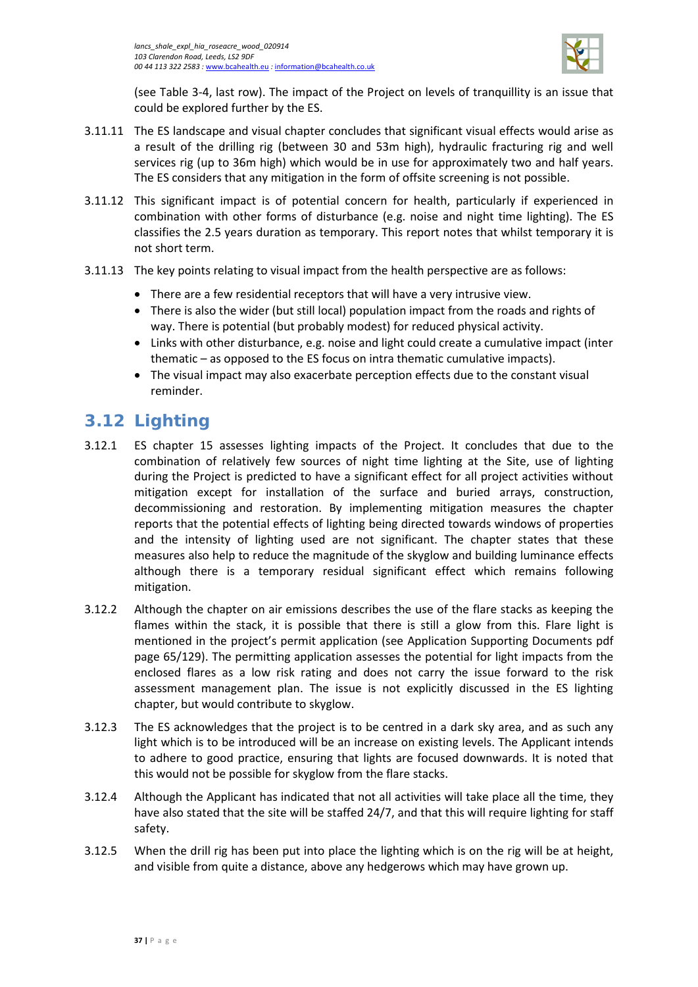

(see [Table 3-4,](#page-23-0) last row). The impact of the Project on levels of tranquillity is an issue that could be explored further by the ES.

- 3.11.11 The ES landscape and visual chapter concludes that significant visual effects would arise as a result of the drilling rig (between 30 and 53m high), hydraulic fracturing rig and well services rig (up to 36m high) which would be in use for approximately two and half years. The ES considers that any mitigation in the form of offsite screening is not possible.
- 3.11.12 This significant impact is of potential concern for health, particularly if experienced in combination with other forms of disturbance (e.g. noise and night time lighting). The ES classifies the 2.5 years duration as temporary. This report notes that whilst temporary it is not short term.
- 3.11.13 The key points relating to visual impact from the health perspective are as follows:
	- There are a few residential receptors that will have a very intrusive view.
	- There is also the wider (but still local) population impact from the roads and rights of way. There is potential (but probably modest) for reduced physical activity.
	- Links with other disturbance, e.g. noise and light could create a cumulative impact (inter thematic – as opposed to the ES focus on intra thematic cumulative impacts).
	- The visual impact may also exacerbate perception effects due to the constant visual reminder.

# <span id="page-40-0"></span>**3.12 Lighting**

- 3.12.1 ES chapter 15 assesses lighting impacts of the Project. It concludes that due to the combination of relatively few sources of night time lighting at the Site, use of lighting during the Project is predicted to have a significant effect for all project activities without mitigation except for installation of the surface and buried arrays, construction, decommissioning and restoration. By implementing mitigation measures the chapter reports that the potential effects of lighting being directed towards windows of properties and the intensity of lighting used are not significant. The chapter states that these measures also help to reduce the magnitude of the skyglow and building luminance effects although there is a temporary residual significant effect which remains following mitigation.
- 3.12.2 Although the chapter on air emissions describes the use of the flare stacks as keeping the flames within the stack, it is possible that there is still a glow from this. Flare light is mentioned in the project's permit application (see Application Supporting Documents pdf page 65/129). The permitting application assesses the potential for light impacts from the enclosed flares as a low risk rating and does not carry the issue forward to the risk assessment management plan. The issue is not explicitly discussed in the ES lighting chapter, but would contribute to skyglow.
- 3.12.3 The ES acknowledges that the project is to be centred in a dark sky area, and as such any light which is to be introduced will be an increase on existing levels. The Applicant intends to adhere to good practice, ensuring that lights are focused downwards. It is noted that this would not be possible for skyglow from the flare stacks.
- 3.12.4 Although the Applicant has indicated that not all activities will take place all the time, they have also stated that the site will be staffed 24/7, and that this will require lighting for staff safety.
- 3.12.5 When the drill rig has been put into place the lighting which is on the rig will be at height, and visible from quite a distance, above any hedgerows which may have grown up.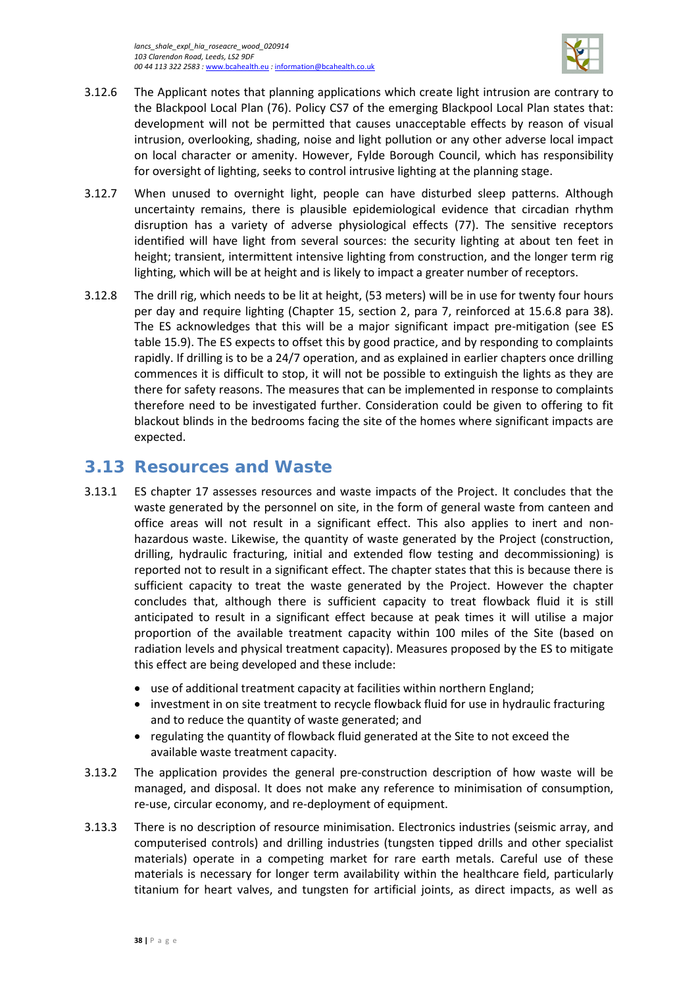

- 3.12.6 The Applicant notes that planning applications which create light intrusion are contrary to the Blackpool Local Plan (76). Policy CS7 of the emerging Blackpool Local Plan states that: development will not be permitted that causes unacceptable effects by reason of visual intrusion, overlooking, shading, noise and light pollution or any other adverse local impact on local character or amenity. However, Fylde Borough Council, which has responsibility for oversight of lighting, seeks to control intrusive lighting at the planning stage.
- 3.12.7 When unused to overnight light, people can have disturbed sleep patterns. Although uncertainty remains, there is plausible epidemiological evidence that circadian rhythm disruption has a variety of adverse physiological effects (77). The sensitive receptors identified will have light from several sources: the security lighting at about ten feet in height; transient, intermittent intensive lighting from construction, and the longer term rig lighting, which will be at height and is likely to impact a greater number of receptors.
- 3.12.8 The drill rig, which needs to be lit at height, (53 meters) will be in use for twenty four hours per day and require lighting (Chapter 15, section 2, para 7, reinforced at 15.6.8 para 38). The ES acknowledges that this will be a major significant impact pre-mitigation (see ES table 15.9). The ES expects to offset this by good practice, and by responding to complaints rapidly. If drilling is to be a 24/7 operation, and as explained in earlier chapters once drilling commences it is difficult to stop, it will not be possible to extinguish the lights as they are there for safety reasons. The measures that can be implemented in response to complaints therefore need to be investigated further. Consideration could be given to offering to fit blackout blinds in the bedrooms facing the site of the homes where significant impacts are expected.

# <span id="page-41-0"></span>**3.13 Resources and Waste**

- 3.13.1 ES chapter 17 assesses resources and waste impacts of the Project. It concludes that the waste generated by the personnel on site, in the form of general waste from canteen and office areas will not result in a significant effect. This also applies to inert and nonhazardous waste. Likewise, the quantity of waste generated by the Project (construction, drilling, hydraulic fracturing, initial and extended flow testing and decommissioning) is reported not to result in a significant effect. The chapter states that this is because there is sufficient capacity to treat the waste generated by the Project. However the chapter concludes that, although there is sufficient capacity to treat flowback fluid it is still anticipated to result in a significant effect because at peak times it will utilise a major proportion of the available treatment capacity within 100 miles of the Site (based on radiation levels and physical treatment capacity). Measures proposed by the ES to mitigate this effect are being developed and these include:
	- use of additional treatment capacity at facilities within northern England;
	- investment in on site treatment to recycle flowback fluid for use in hydraulic fracturing and to reduce the quantity of waste generated; and
	- regulating the quantity of flowback fluid generated at the Site to not exceed the available waste treatment capacity.
- 3.13.2 The application provides the general pre-construction description of how waste will be managed, and disposal. It does not make any reference to minimisation of consumption, re-use, circular economy, and re-deployment of equipment.
- 3.13.3 There is no description of resource minimisation. Electronics industries (seismic array, and computerised controls) and drilling industries (tungsten tipped drills and other specialist materials) operate in a competing market for rare earth metals. Careful use of these materials is necessary for longer term availability within the healthcare field, particularly titanium for heart valves, and tungsten for artificial joints, as direct impacts, as well as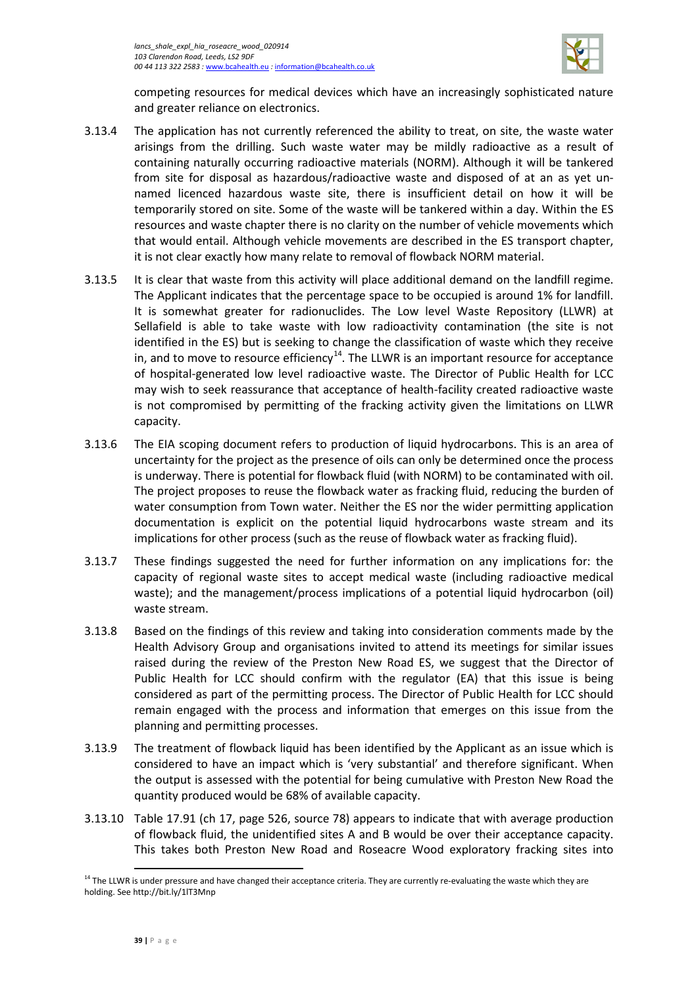

competing resources for medical devices which have an increasingly sophisticated nature and greater reliance on electronics.

- 3.13.4 The application has not currently referenced the ability to treat, on site, the waste water arisings from the drilling. Such waste water may be mildly radioactive as a result of containing naturally occurring radioactive materials (NORM). Although it will be tankered from site for disposal as hazardous/radioactive waste and disposed of at an as yet unnamed licenced hazardous waste site, there is insufficient detail on how it will be temporarily stored on site. Some of the waste will be tankered within a day. Within the ES resources and waste chapter there is no clarity on the number of vehicle movements which that would entail. Although vehicle movements are described in the ES transport chapter, it is not clear exactly how many relate to removal of flowback NORM material.
- 3.13.5 It is clear that waste from this activity will place additional demand on the landfill regime. The Applicant indicates that the percentage space to be occupied is around 1% for landfill. It is somewhat greater for radionuclides. The Low level Waste Repository (LLWR) at Sellafield is able to take waste with low radioactivity contamination (the site is not identified in the ES) but is seeking to change the classification of waste which they receive in, and to move to resource efficiency<sup>14</sup>. The LLWR is an important resource for acceptance of hospital-generated low level radioactive waste. The Director of Public Health for LCC may wish to seek reassurance that acceptance of health-facility created radioactive waste is not compromised by permitting of the fracking activity given the limitations on LLWR capacity.
- 3.13.6 The EIA scoping document refers to production of liquid hydrocarbons. This is an area of uncertainty for the project as the presence of oils can only be determined once the process is underway. There is potential for flowback fluid (with NORM) to be contaminated with oil. The project proposes to reuse the flowback water as fracking fluid, reducing the burden of water consumption from Town water. Neither the ES nor the wider permitting application documentation is explicit on the potential liquid hydrocarbons waste stream and its implications for other process (such as the reuse of flowback water as fracking fluid).
- 3.13.7 These findings suggested the need for further information on any implications for: the capacity of regional waste sites to accept medical waste (including radioactive medical waste); and the management/process implications of a potential liquid hydrocarbon (oil) waste stream.
- 3.13.8 Based on the findings of this review and taking into consideration comments made by the Health Advisory Group and organisations invited to attend its meetings for similar issues raised during the review of the Preston New Road ES, we suggest that the Director of Public Health for LCC should confirm with the regulator (EA) that this issue is being considered as part of the permitting process. The Director of Public Health for LCC should remain engaged with the process and information that emerges on this issue from the planning and permitting processes.
- 3.13.9 The treatment of flowback liquid has been identified by the Applicant as an issue which is considered to have an impact which is 'very substantial' and therefore significant. When the output is assessed with the potential for being cumulative with Preston New Road the quantity produced would be 68% of available capacity.
- 3.13.10 Table 17.91 (ch 17, page 526, source 78) appears to indicate that with average production of flowback fluid, the unidentified sites A and B would be over their acceptance capacity. This takes both Preston New Road and Roseacre Wood exploratory fracking sites into

 $\overline{\phantom{a}}$ 

<span id="page-42-0"></span> $14$  The LLWR is under pressure and have changed their acceptance criteria. They are currently re-evaluating the waste which they are holding. See http://bit.ly/1lT3Mnp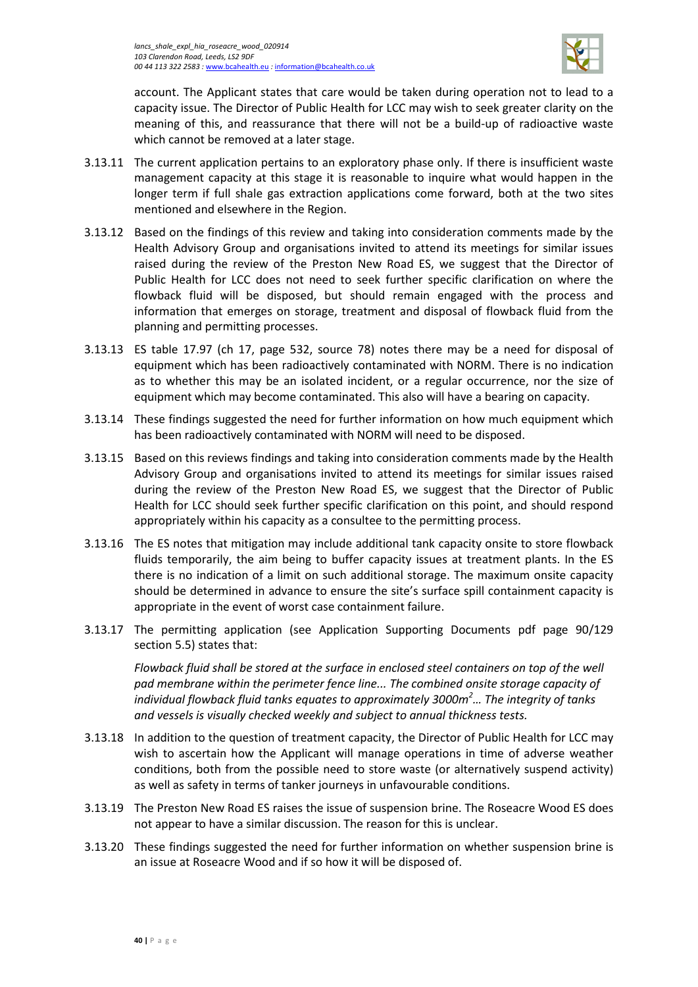

account. The Applicant states that care would be taken during operation not to lead to a capacity issue. The Director of Public Health for LCC may wish to seek greater clarity on the meaning of this, and reassurance that there will not be a build-up of radioactive waste which cannot be removed at a later stage.

- 3.13.11 The current application pertains to an exploratory phase only. If there is insufficient waste management capacity at this stage it is reasonable to inquire what would happen in the longer term if full shale gas extraction applications come forward, both at the two sites mentioned and elsewhere in the Region.
- 3.13.12 Based on the findings of this review and taking into consideration comments made by the Health Advisory Group and organisations invited to attend its meetings for similar issues raised during the review of the Preston New Road ES, we suggest that the Director of Public Health for LCC does not need to seek further specific clarification on where the flowback fluid will be disposed, but should remain engaged with the process and information that emerges on storage, treatment and disposal of flowback fluid from the planning and permitting processes.
- 3.13.13 ES table 17.97 (ch 17, page 532, source 78) notes there may be a need for disposal of equipment which has been radioactively contaminated with NORM. There is no indication as to whether this may be an isolated incident, or a regular occurrence, nor the size of equipment which may become contaminated. This also will have a bearing on capacity.
- 3.13.14 These findings suggested the need for further information on how much equipment which has been radioactively contaminated with NORM will need to be disposed.
- 3.13.15 Based on this reviews findings and taking into consideration comments made by the Health Advisory Group and organisations invited to attend its meetings for similar issues raised during the review of the Preston New Road ES, we suggest that the Director of Public Health for LCC should seek further specific clarification on this point, and should respond appropriately within his capacity as a consultee to the permitting process.
- 3.13.16 The ES notes that mitigation may include additional tank capacity onsite to store flowback fluids temporarily, the aim being to buffer capacity issues at treatment plants. In the ES there is no indication of a limit on such additional storage. The maximum onsite capacity should be determined in advance to ensure the site's surface spill containment capacity is appropriate in the event of worst case containment failure.
- 3.13.17 The permitting application (see Application Supporting Documents pdf page 90/129 section 5.5) states that:

*Flowback fluid shall be stored at the surface in enclosed steel containers on top of the well pad membrane within the perimeter fence line... The combined onsite storage capacity of individual flowback fluid tanks equates to approximately 3000m<sup>2</sup> … The integrity of tanks and vessels is visually checked weekly and subject to annual thickness tests.* 

- 3.13.18 In addition to the question of treatment capacity, the Director of Public Health for LCC may wish to ascertain how the Applicant will manage operations in time of adverse weather conditions, both from the possible need to store waste (or alternatively suspend activity) as well as safety in terms of tanker journeys in unfavourable conditions.
- 3.13.19 The Preston New Road ES raises the issue of suspension brine. The Roseacre Wood ES does not appear to have a similar discussion. The reason for this is unclear.
- 3.13.20 These findings suggested the need for further information on whether suspension brine is an issue at Roseacre Wood and if so how it will be disposed of.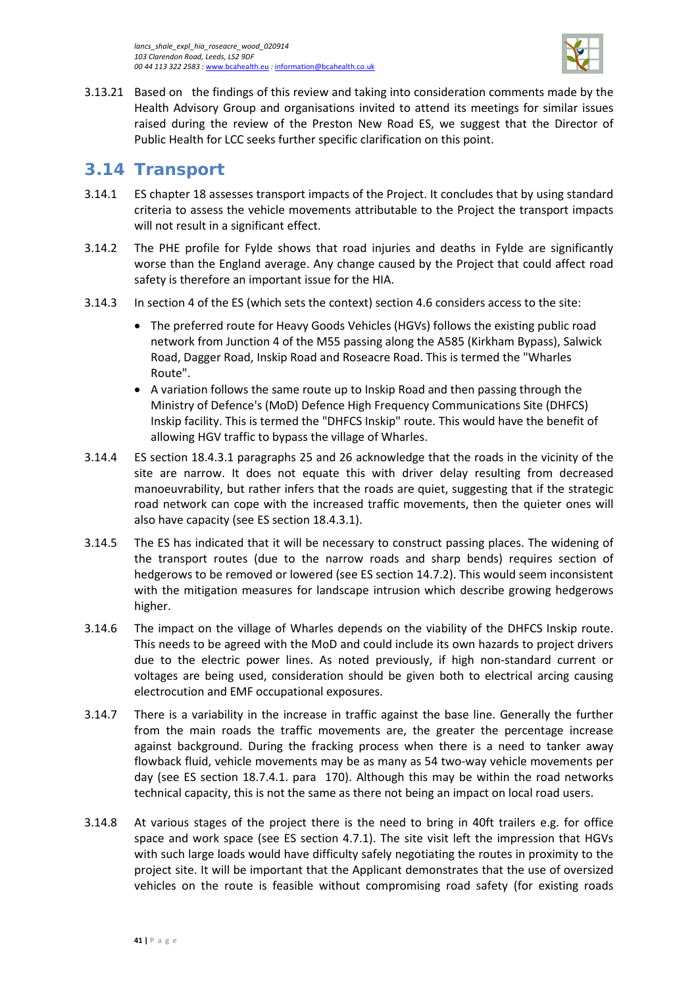

3.13.21 Based on the findings of this review and taking into consideration comments made by the Health Advisory Group and organisations invited to attend its meetings for similar issues raised during the review of the Preston New Road ES, we suggest that the Director of Public Health for LCC seeks further specific clarification on this point.

## <span id="page-44-0"></span>**3.14 Transport**

- 3.14.1 ES chapter 18 assesses transport impacts of the Project. It concludes that by using standard criteria to assess the vehicle movements attributable to the Project the transport impacts will not result in a significant effect.
- 3.14.2 The PHE profile for Fylde shows that road injuries and deaths in Fylde are significantly worse than the England average. Any change caused by the Project that could affect road safety is therefore an important issue for the HIA.
- 3.14.3 In section 4 of the ES (which sets the context) section 4.6 considers access to the site:
	- The preferred route for Heavy Goods Vehicles (HGVs) follows the existing public road network from Junction 4 of the M55 passing along the A585 (Kirkham Bypass), Salwick Road, Dagger Road, Inskip Road and Roseacre Road. This is termed the "Wharles Route".
	- A variation follows the same route up to Inskip Road and then passing through the Ministry of Defence's (MoD) Defence High Frequency Communications Site (DHFCS) Inskip facility. This is termed the "DHFCS Inskip" route. This would have the benefit of allowing HGV traffic to bypass the village of Wharles.
- 3.14.4 ES section 18.4.3.1 paragraphs 25 and 26 acknowledge that the roads in the vicinity of the site are narrow. It does not equate this with driver delay resulting from decreased manoeuvrability, but rather infers that the roads are quiet, suggesting that if the strategic road network can cope with the increased traffic movements, then the quieter ones will also have capacity (see ES section 18.4.3.1).
- 3.14.5 The ES has indicated that it will be necessary to construct passing places. The widening of the transport routes (due to the narrow roads and sharp bends) requires section of hedgerows to be removed or lowered (see ES section 14.7.2). This would seem inconsistent with the mitigation measures for landscape intrusion which describe growing hedgerows higher.
- 3.14.6 The impact on the village of Wharles depends on the viability of the DHFCS Inskip route. This needs to be agreed with the MoD and could include its own hazards to project drivers due to the electric power lines. As noted previously, if high non-standard current or voltages are being used, consideration should be given both to electrical arcing causing electrocution and EMF occupational exposures.
- 3.14.7 There is a variability in the increase in traffic against the base line. Generally the further from the main roads the traffic movements are, the greater the percentage increase against background. During the fracking process when there is a need to tanker away flowback fluid, vehicle movements may be as many as 54 two-way vehicle movements per day (see ES section 18.7.4.1. para 170). Although this may be within the road networks technical capacity, this is not the same as there not being an impact on local road users.
- 3.14.8 At various stages of the project there is the need to bring in 40ft trailers e.g. for office space and work space (see ES section 4.7.1). The site visit left the impression that HGVs with such large loads would have difficulty safely negotiating the routes in proximity to the project site. It will be important that the Applicant demonstrates that the use of oversized vehicles on the route is feasible without compromising road safety (for existing roads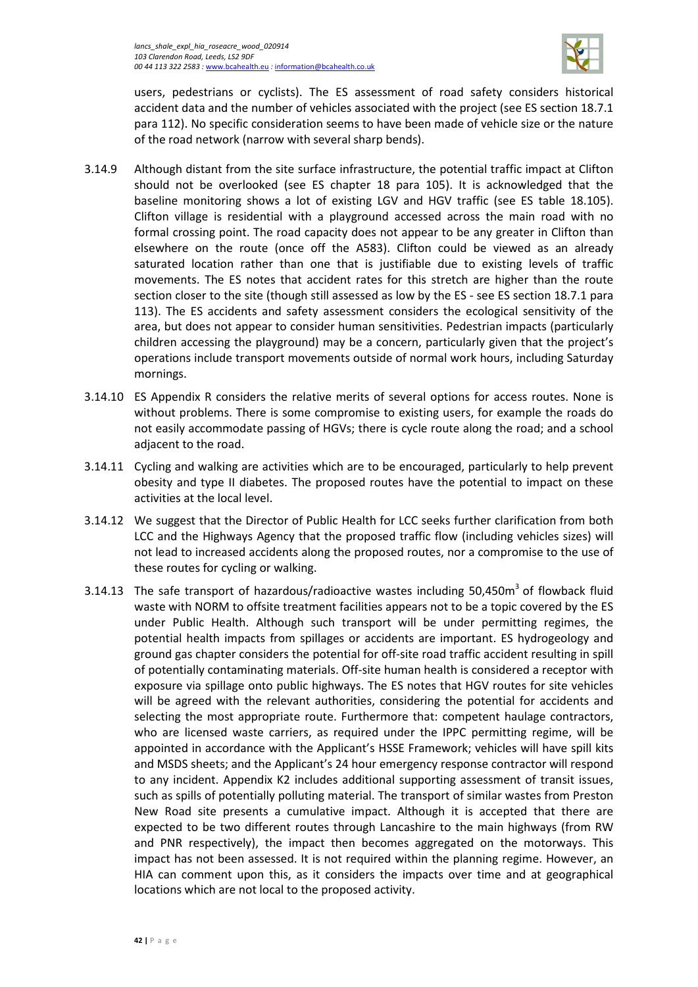

users, pedestrians or cyclists). The ES assessment of road safety considers historical accident data and the number of vehicles associated with the project (see ES section 18.7.1 para 112). No specific consideration seems to have been made of vehicle size or the nature of the road network (narrow with several sharp bends).

- 3.14.9 Although distant from the site surface infrastructure, the potential traffic impact at Clifton should not be overlooked (see ES chapter 18 para 105). It is acknowledged that the baseline monitoring shows a lot of existing LGV and HGV traffic (see ES table 18.105). Clifton village is residential with a playground accessed across the main road with no formal crossing point. The road capacity does not appear to be any greater in Clifton than elsewhere on the route (once off the A583). Clifton could be viewed as an already saturated location rather than one that is justifiable due to existing levels of traffic movements. The ES notes that accident rates for this stretch are higher than the route section closer to the site (though still assessed as low by the ES - see ES section 18.7.1 para 113). The ES accidents and safety assessment considers the ecological sensitivity of the area, but does not appear to consider human sensitivities. Pedestrian impacts (particularly children accessing the playground) may be a concern, particularly given that the project's operations include transport movements outside of normal work hours, including Saturday mornings.
- 3.14.10 ES Appendix R considers the relative merits of several options for access routes. None is without problems. There is some compromise to existing users, for example the roads do not easily accommodate passing of HGVs; there is cycle route along the road; and a school adjacent to the road.
- 3.14.11 Cycling and walking are activities which are to be encouraged, particularly to help prevent obesity and type II diabetes. The proposed routes have the potential to impact on these activities at the local level.
- 3.14.12 We suggest that the Director of Public Health for LCC seeks further clarification from both LCC and the Highways Agency that the proposed traffic flow (including vehicles sizes) will not lead to increased accidents along the proposed routes, nor a compromise to the use of these routes for cycling or walking.
- 3.14.13 The safe transport of hazardous/radioactive wastes including 50,450m<sup>3</sup> of flowback fluid waste with NORM to offsite treatment facilities appears not to be a topic covered by the ES under Public Health. Although such transport will be under permitting regimes, the potential health impacts from spillages or accidents are important. ES hydrogeology and ground gas chapter considers the potential for off-site road traffic accident resulting in spill of potentially contaminating materials. Off-site human health is considered a receptor with exposure via spillage onto public highways. The ES notes that HGV routes for site vehicles will be agreed with the relevant authorities, considering the potential for accidents and selecting the most appropriate route. Furthermore that: competent haulage contractors, who are licensed waste carriers, as required under the IPPC permitting regime, will be appointed in accordance with the Applicant's HSSE Framework; vehicles will have spill kits and MSDS sheets; and the Applicant's 24 hour emergency response contractor will respond to any incident. Appendix K2 includes additional supporting assessment of transit issues, such as spills of potentially polluting material. The transport of similar wastes from Preston New Road site presents a cumulative impact. Although it is accepted that there are expected to be two different routes through Lancashire to the main highways (from RW and PNR respectively), the impact then becomes aggregated on the motorways. This impact has not been assessed. It is not required within the planning regime. However, an HIA can comment upon this, as it considers the impacts over time and at geographical locations which are not local to the proposed activity.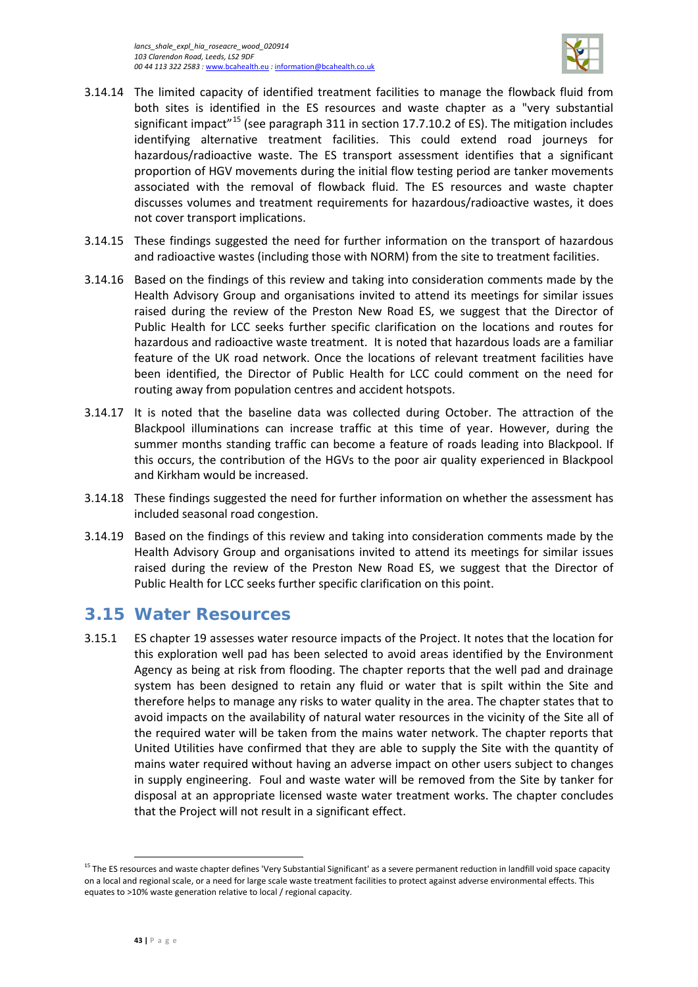

- 3.14.14 The limited capacity of identified treatment facilities to manage the flowback fluid from both sites is identified in the ES resources and waste chapter as a "very substantial significant impact<sup>"[15](#page-46-1)</sup> (see paragraph 311 in section 17.7.10.2 of ES). The mitigation includes identifying alternative treatment facilities. This could extend road journeys for hazardous/radioactive waste. The ES transport assessment identifies that a significant proportion of HGV movements during the initial flow testing period are tanker movements associated with the removal of flowback fluid. The ES resources and waste chapter discusses volumes and treatment requirements for hazardous/radioactive wastes, it does not cover transport implications.
- 3.14.15 These findings suggested the need for further information on the transport of hazardous and radioactive wastes (including those with NORM) from the site to treatment facilities.
- 3.14.16 Based on the findings of this review and taking into consideration comments made by the Health Advisory Group and organisations invited to attend its meetings for similar issues raised during the review of the Preston New Road ES, we suggest that the Director of Public Health for LCC seeks further specific clarification on the locations and routes for hazardous and radioactive waste treatment. It is noted that hazardous loads are a familiar feature of the UK road network. Once the locations of relevant treatment facilities have been identified, the Director of Public Health for LCC could comment on the need for routing away from population centres and accident hotspots.
- 3.14.17 It is noted that the baseline data was collected during October. The attraction of the Blackpool illuminations can increase traffic at this time of year. However, during the summer months standing traffic can become a feature of roads leading into Blackpool. If this occurs, the contribution of the HGVs to the poor air quality experienced in Blackpool and Kirkham would be increased.
- 3.14.18 These findings suggested the need for further information on whether the assessment has included seasonal road congestion.
- 3.14.19 Based on the findings of this review and taking into consideration comments made by the Health Advisory Group and organisations invited to attend its meetings for similar issues raised during the review of the Preston New Road ES, we suggest that the Director of Public Health for LCC seeks further specific clarification on this point.

### <span id="page-46-0"></span>**3.15 Water Resources**

3.15.1 ES chapter 19 assesses water resource impacts of the Project. It notes that the location for this exploration well pad has been selected to avoid areas identified by the Environment Agency as being at risk from flooding. The chapter reports that the well pad and drainage system has been designed to retain any fluid or water that is spilt within the Site and therefore helps to manage any risks to water quality in the area. The chapter states that to avoid impacts on the availability of natural water resources in the vicinity of the Site all of the required water will be taken from the mains water network. The chapter reports that United Utilities have confirmed that they are able to supply the Site with the quantity of mains water required without having an adverse impact on other users subject to changes in supply engineering. Foul and waste water will be removed from the Site by tanker for disposal at an appropriate licensed waste water treatment works. The chapter concludes that the Project will not result in a significant effect.

 $\overline{\phantom{a}}$ 

<span id="page-46-1"></span><sup>&</sup>lt;sup>15</sup> The ES resources and waste chapter defines 'Very Substantial Significant' as a severe permanent reduction in landfill void space capacity on a local and regional scale, or a need for large scale waste treatment facilities to protect against adverse environmental effects. This equates to >10% waste generation relative to local / regional capacity.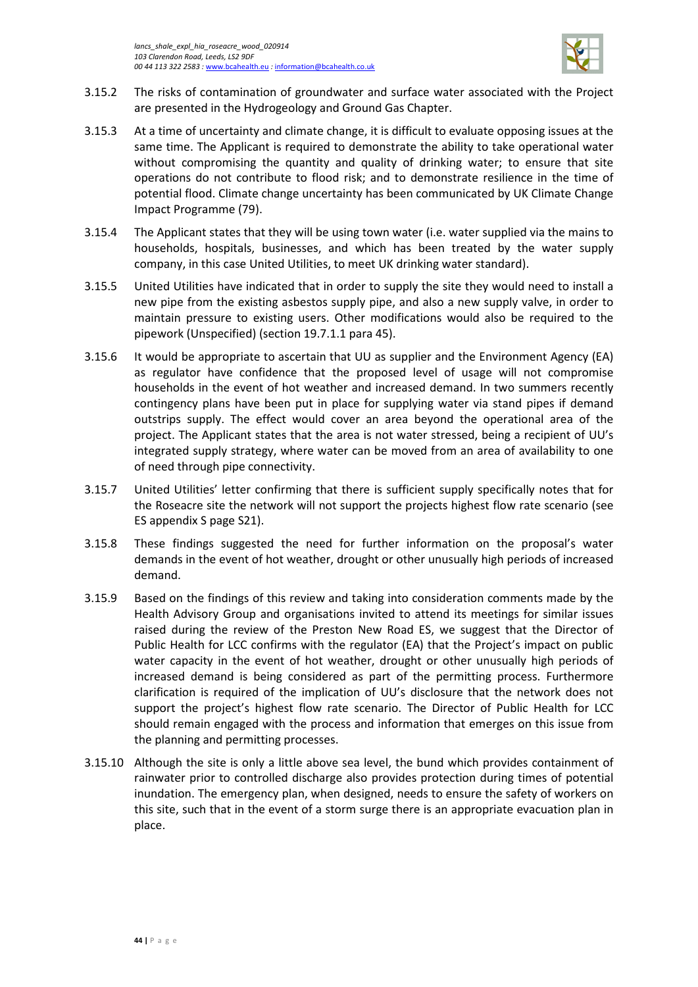

- 3.15.2 The risks of contamination of groundwater and surface water associated with the Project are presented in the Hydrogeology and Ground Gas Chapter.
- 3.15.3 At a time of uncertainty and climate change, it is difficult to evaluate opposing issues at the same time. The Applicant is required to demonstrate the ability to take operational water without compromising the quantity and quality of drinking water; to ensure that site operations do not contribute to flood risk; and to demonstrate resilience in the time of potential flood. Climate change uncertainty has been communicated by UK Climate Change Impact Programme (79).
- 3.15.4 The Applicant states that they will be using town water (i.e. water supplied via the mains to households, hospitals, businesses, and which has been treated by the water supply company, in this case United Utilities, to meet UK drinking water standard).
- 3.15.5 United Utilities have indicated that in order to supply the site they would need to install a new pipe from the existing asbestos supply pipe, and also a new supply valve, in order to maintain pressure to existing users. Other modifications would also be required to the pipework (Unspecified) (section 19.7.1.1 para 45).
- 3.15.6 It would be appropriate to ascertain that UU as supplier and the Environment Agency (EA) as regulator have confidence that the proposed level of usage will not compromise households in the event of hot weather and increased demand. In two summers recently contingency plans have been put in place for supplying water via stand pipes if demand outstrips supply. The effect would cover an area beyond the operational area of the project. The Applicant states that the area is not water stressed, being a recipient of UU's integrated supply strategy, where water can be moved from an area of availability to one of need through pipe connectivity.
- 3.15.7 United Utilities' letter confirming that there is sufficient supply specifically notes that for the Roseacre site the network will not support the projects highest flow rate scenario (see ES appendix S page S21).
- 3.15.8 These findings suggested the need for further information on the proposal's water demands in the event of hot weather, drought or other unusually high periods of increased demand.
- 3.15.9 Based on the findings of this review and taking into consideration comments made by the Health Advisory Group and organisations invited to attend its meetings for similar issues raised during the review of the Preston New Road ES, we suggest that the Director of Public Health for LCC confirms with the regulator (EA) that the Project's impact on public water capacity in the event of hot weather, drought or other unusually high periods of increased demand is being considered as part of the permitting process. Furthermore clarification is required of the implication of UU's disclosure that the network does not support the project's highest flow rate scenario. The Director of Public Health for LCC should remain engaged with the process and information that emerges on this issue from the planning and permitting processes.
- 3.15.10 Although the site is only a little above sea level, the bund which provides containment of rainwater prior to controlled discharge also provides protection during times of potential inundation. The emergency plan, when designed, needs to ensure the safety of workers on this site, such that in the event of a storm surge there is an appropriate evacuation plan in place.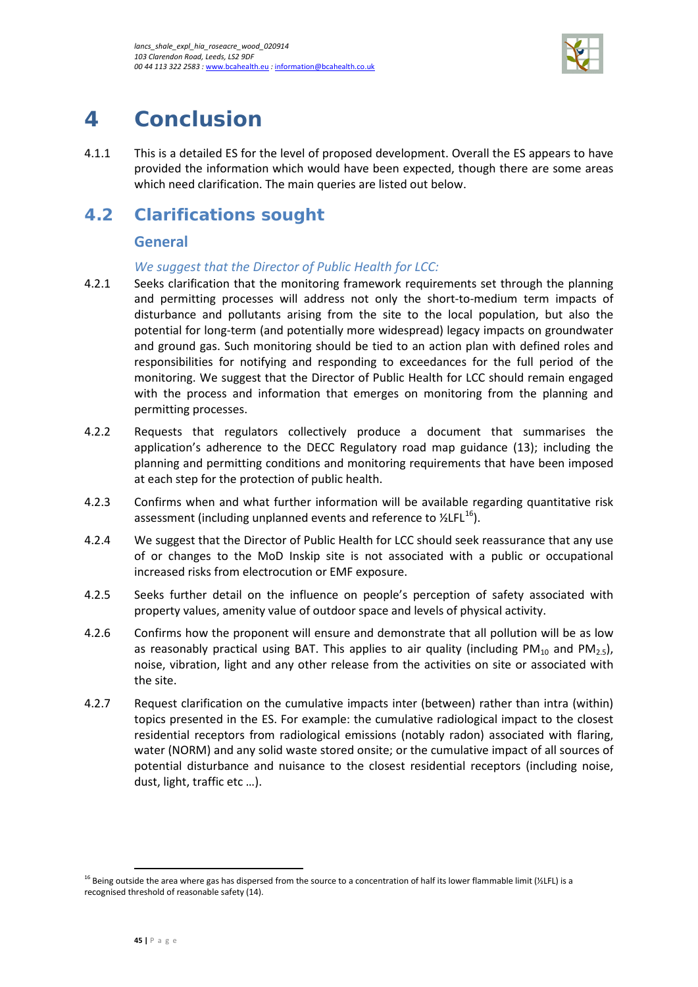

# <span id="page-48-0"></span>**4 Conclusion**

4.1.1 This is a detailed ES for the level of proposed development. Overall the ES appears to have provided the information which would have been expected, though there are some areas which need clarification. The main queries are listed out below.

# <span id="page-48-1"></span>**4.2 Clarifications sought**

### **General**

### *We suggest that the Director of Public Health for LCC:*

- 4.2.1 Seeks clarification that the monitoring framework requirements set through the planning and permitting processes will address not only the short-to-medium term impacts of disturbance and pollutants arising from the site to the local population, but also the potential for long-term (and potentially more widespread) legacy impacts on groundwater and ground gas. Such monitoring should be tied to an action plan with defined roles and responsibilities for notifying and responding to exceedances for the full period of the monitoring. We suggest that the Director of Public Health for LCC should remain engaged with the process and information that emerges on monitoring from the planning and permitting processes.
- 4.2.2 Requests that regulators collectively produce a document that summarises the application's adherence to the DECC Regulatory road map guidance (13); including the planning and permitting conditions and monitoring requirements that have been imposed at each step for the protection of public health.
- 4.2.3 Confirms when and what further information will be available regarding quantitative risk assessment (including unplanned events and reference to  $\frac{\text{V}}{2}$ LFL<sup>16</sup>).
- 4.2.4 We suggest that the Director of Public Health for LCC should seek reassurance that any use of or changes to the MoD Inskip site is not associated with a public or occupational increased risks from electrocution or EMF exposure.
- 4.2.5 Seeks further detail on the influence on people's perception of safety associated with property values, amenity value of outdoor space and levels of physical activity.
- 4.2.6 Confirms how the proponent will ensure and demonstrate that all pollution will be as low as reasonably practical using BAT. This applies to air quality (including  $PM_{10}$  and  $PM_{25}$ ), noise, vibration, light and any other release from the activities on site or associated with the site.
- 4.2.7 Request clarification on the cumulative impacts inter (between) rather than intra (within) topics presented in the ES. For example: the cumulative radiological impact to the closest residential receptors from radiological emissions (notably radon) associated with flaring, water (NORM) and any solid waste stored onsite; or the cumulative impact of all sources of potential disturbance and nuisance to the closest residential receptors (including noise, dust, light, traffic etc …).

 $\overline{\phantom{a}}$ 

<span id="page-48-2"></span><sup>&</sup>lt;sup>16</sup> Being outside the area where gas has dispersed from the source to a concentration of half its lower flammable limit (½LFL) is a recognised threshold of reasonable safety (14).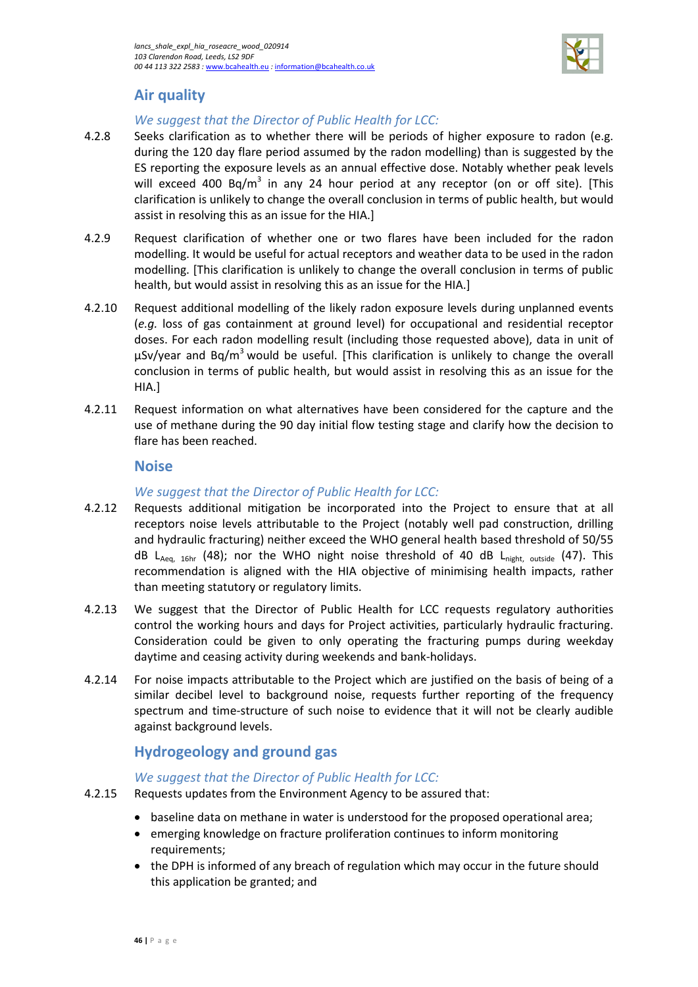

### **Air quality**

### *We suggest that the Director of Public Health for LCC:*

- 4.2.8 Seeks clarification as to whether there will be periods of higher exposure to radon (e.g. during the 120 day flare period assumed by the radon modelling) than is suggested by the ES reporting the exposure levels as an annual effective dose. Notably whether peak levels will exceed 400 Bq/m<sup>3</sup> in any 24 hour period at any receptor (on or off site). [This clarification is unlikely to change the overall conclusion in terms of public health, but would assist in resolving this as an issue for the HIA.]
- 4.2.9 Request clarification of whether one or two flares have been included for the radon modelling. It would be useful for actual receptors and weather data to be used in the radon modelling. [This clarification is unlikely to change the overall conclusion in terms of public health, but would assist in resolving this as an issue for the HIA.]
- 4.2.10 Request additional modelling of the likely radon exposure levels during unplanned events (*e.g.* loss of gas containment at ground level) for occupational and residential receptor doses. For each radon modelling result (including those requested above), data in unit of  $\mu$ Sv/year and Bq/m<sup>3</sup> would be useful. [This clarification is unlikely to change the overall conclusion in terms of public health, but would assist in resolving this as an issue for the HIA.]
- 4.2.11 Request information on what alternatives have been considered for the capture and the use of methane during the 90 day initial flow testing stage and clarify how the decision to flare has been reached.

#### **Noise**

#### *We suggest that the Director of Public Health for LCC:*

- 4.2.12 Requests additional mitigation be incorporated into the Project to ensure that at all receptors noise levels attributable to the Project (notably well pad construction, drilling and hydraulic fracturing) neither exceed the WHO general health based threshold of 50/55 dB LAeq, 16hr (48); nor the WHO night noise threshold of 40 dB L<sub>night, outside</sub> (47). This recommendation is aligned with the HIA objective of minimising health impacts, rather than meeting statutory or regulatory limits.
- 4.2.13 We suggest that the Director of Public Health for LCC requests regulatory authorities control the working hours and days for Project activities, particularly hydraulic fracturing. Consideration could be given to only operating the fracturing pumps during weekday daytime and ceasing activity during weekends and bank-holidays.
- 4.2.14 For noise impacts attributable to the Project which are justified on the basis of being of a similar decibel level to background noise, requests further reporting of the frequency spectrum and time-structure of such noise to evidence that it will not be clearly audible against background levels.

### **Hydrogeology and ground gas**

### *We suggest that the Director of Public Health for LCC:*

- 4.2.15 Requests updates from the Environment Agency to be assured that:
	- baseline data on methane in water is understood for the proposed operational area;
		- emerging knowledge on fracture proliferation continues to inform monitoring requirements;
		- the DPH is informed of any breach of regulation which may occur in the future should this application be granted; and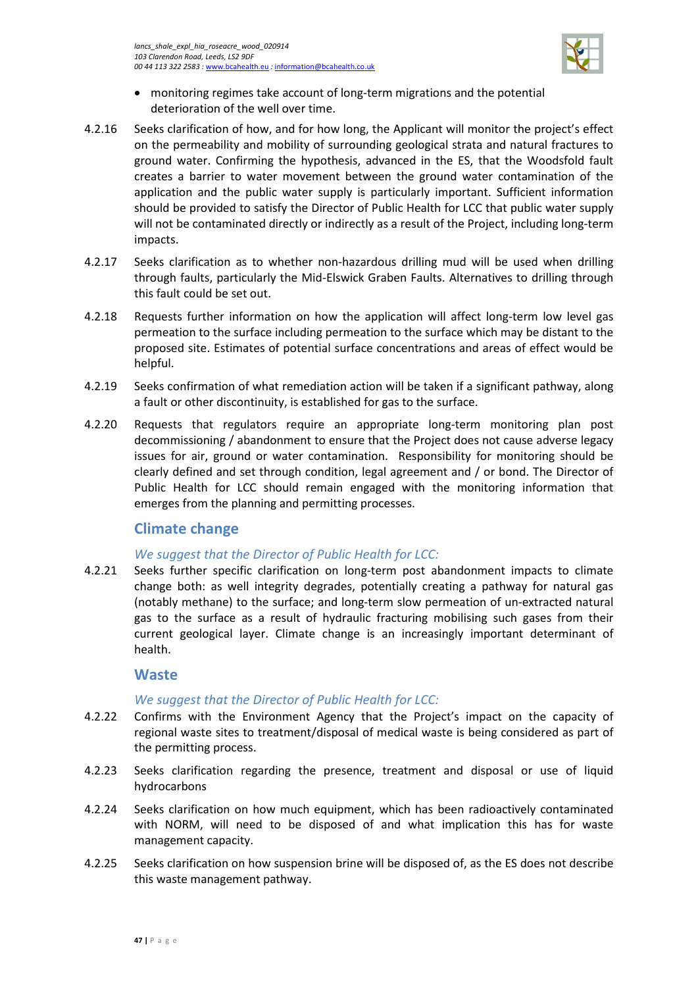

- monitoring regimes take account of long-term migrations and the potential deterioration of the well over time.
- 4.2.16 Seeks clarification of how, and for how long, the Applicant will monitor the project's effect on the permeability and mobility of surrounding geological strata and natural fractures to ground water. Confirming the hypothesis, advanced in the ES, that the Woodsfold fault creates a barrier to water movement between the ground water contamination of the application and the public water supply is particularly important. Sufficient information should be provided to satisfy the Director of Public Health for LCC that public water supply will not be contaminated directly or indirectly as a result of the Project, including long-term impacts.
- 4.2.17 Seeks clarification as to whether non-hazardous drilling mud will be used when drilling through faults, particularly the Mid-Elswick Graben Faults. Alternatives to drilling through this fault could be set out.
- 4.2.18 Requests further information on how the application will affect long-term low level gas permeation to the surface including permeation to the surface which may be distant to the proposed site. Estimates of potential surface concentrations and areas of effect would be helpful.
- 4.2.19 Seeks confirmation of what remediation action will be taken if a significant pathway, along a fault or other discontinuity, is established for gas to the surface.
- 4.2.20 Requests that regulators require an appropriate long-term monitoring plan post decommissioning / abandonment to ensure that the Project does not cause adverse legacy issues for air, ground or water contamination. Responsibility for monitoring should be clearly defined and set through condition, legal agreement and / or bond. The Director of Public Health for LCC should remain engaged with the monitoring information that emerges from the planning and permitting processes.

### **Climate change**

### *We suggest that the Director of Public Health for LCC:*

4.2.21 Seeks further specific clarification on long-term post abandonment impacts to climate change both: as well integrity degrades, potentially creating a pathway for natural gas (notably methane) to the surface; and long-term slow permeation of un-extracted natural gas to the surface as a result of hydraulic fracturing mobilising such gases from their current geological layer. Climate change is an increasingly important determinant of health.

### **Waste**

### *We suggest that the Director of Public Health for LCC:*

- 4.2.22 Confirms with the Environment Agency that the Project's impact on the capacity of regional waste sites to treatment/disposal of medical waste is being considered as part of the permitting process.
- 4.2.23 Seeks clarification regarding the presence, treatment and disposal or use of liquid hydrocarbons
- 4.2.24 Seeks clarification on how much equipment, which has been radioactively contaminated with NORM, will need to be disposed of and what implication this has for waste management capacity.
- 4.2.25 Seeks clarification on how suspension brine will be disposed of, as the ES does not describe this waste management pathway.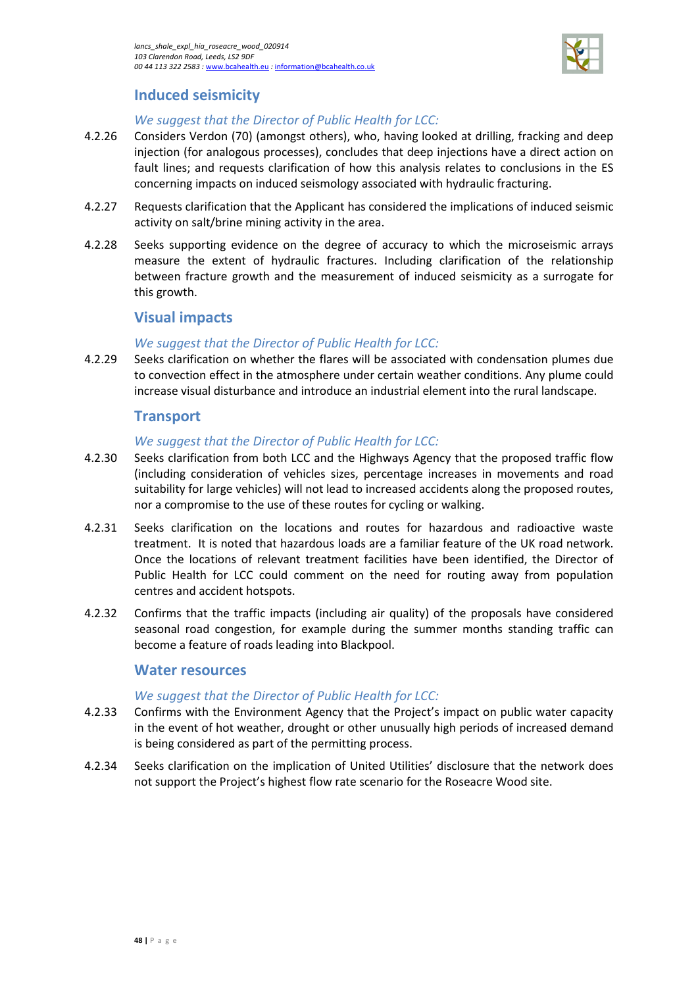

### **Induced seismicity**

#### *We suggest that the Director of Public Health for LCC:*

- 4.2.26 Considers Verdon (70) (amongst others), who, having looked at drilling, fracking and deep injection (for analogous processes), concludes that deep injections have a direct action on fault lines; and requests clarification of how this analysis relates to conclusions in the ES concerning impacts on induced seismology associated with hydraulic fracturing.
- 4.2.27 Requests clarification that the Applicant has considered the implications of induced seismic activity on salt/brine mining activity in the area.
- 4.2.28 Seeks supporting evidence on the degree of accuracy to which the microseismic arrays measure the extent of hydraulic fractures. Including clarification of the relationship between fracture growth and the measurement of induced seismicity as a surrogate for this growth.

### **Visual impacts**

### *We suggest that the Director of Public Health for LCC:*

4.2.29 Seeks clarification on whether the flares will be associated with condensation plumes due to convection effect in the atmosphere under certain weather conditions. Any plume could increase visual disturbance and introduce an industrial element into the rural landscape.

#### **Transport**

#### *We suggest that the Director of Public Health for LCC:*

- 4.2.30 Seeks clarification from both LCC and the Highways Agency that the proposed traffic flow (including consideration of vehicles sizes, percentage increases in movements and road suitability for large vehicles) will not lead to increased accidents along the proposed routes, nor a compromise to the use of these routes for cycling or walking.
- 4.2.31 Seeks clarification on the locations and routes for hazardous and radioactive waste treatment. It is noted that hazardous loads are a familiar feature of the UK road network. Once the locations of relevant treatment facilities have been identified, the Director of Public Health for LCC could comment on the need for routing away from population centres and accident hotspots.
- 4.2.32 Confirms that the traffic impacts (including air quality) of the proposals have considered seasonal road congestion, for example during the summer months standing traffic can become a feature of roads leading into Blackpool.

#### **Water resources**

#### *We suggest that the Director of Public Health for LCC:*

- 4.2.33 Confirms with the Environment Agency that the Project's impact on public water capacity in the event of hot weather, drought or other unusually high periods of increased demand is being considered as part of the permitting process.
- 4.2.34 Seeks clarification on the implication of United Utilities' disclosure that the network does not support the Project's highest flow rate scenario for the Roseacre Wood site.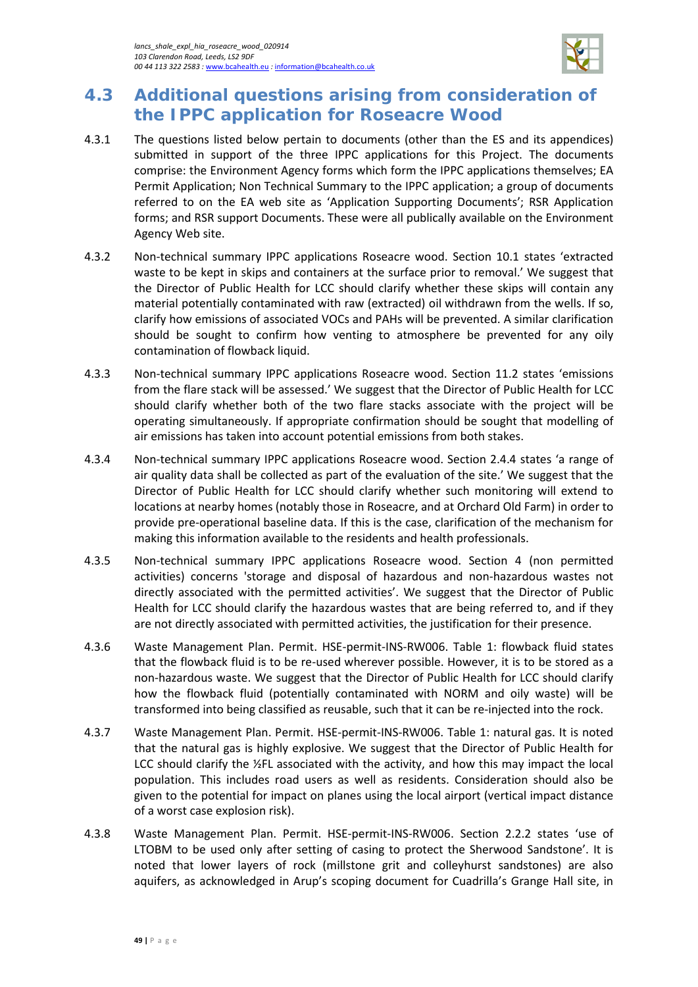

# <span id="page-52-0"></span>**4.3 Additional questions arising from consideration of the IPPC application for Roseacre Wood**

- 4.3.1 The questions listed below pertain to documents (other than the ES and its appendices) submitted in support of the three IPPC applications for this Project. The documents comprise: the Environment Agency forms which form the IPPC applications themselves; EA Permit Application; Non Technical Summary to the IPPC application; a group of documents referred to on the EA web site as 'Application Supporting Documents'; RSR Application forms; and RSR support Documents. These were all publically available on the Environment Agency Web site.
- 4.3.2 Non-technical summary IPPC applications Roseacre wood. Section 10.1 states 'extracted waste to be kept in skips and containers at the surface prior to removal.' We suggest that the Director of Public Health for LCC should clarify whether these skips will contain any material potentially contaminated with raw (extracted) oil withdrawn from the wells. If so, clarify how emissions of associated VOCs and PAHs will be prevented. A similar clarification should be sought to confirm how venting to atmosphere be prevented for any oily contamination of flowback liquid.
- 4.3.3 Non-technical summary IPPC applications Roseacre wood. Section 11.2 states 'emissions from the flare stack will be assessed.' We suggest that the Director of Public Health for LCC should clarify whether both of the two flare stacks associate with the project will be operating simultaneously. If appropriate confirmation should be sought that modelling of air emissions has taken into account potential emissions from both stakes.
- 4.3.4 Non-technical summary IPPC applications Roseacre wood. Section 2.4.4 states 'a range of air quality data shall be collected as part of the evaluation of the site.' We suggest that the Director of Public Health for LCC should clarify whether such monitoring will extend to locations at nearby homes (notably those in Roseacre, and at Orchard Old Farm) in order to provide pre-operational baseline data. If this is the case, clarification of the mechanism for making this information available to the residents and health professionals.
- 4.3.5 Non-technical summary IPPC applications Roseacre wood. Section 4 (non permitted activities) concerns 'storage and disposal of hazardous and non-hazardous wastes not directly associated with the permitted activities'. We suggest that the Director of Public Health for LCC should clarify the hazardous wastes that are being referred to, and if they are not directly associated with permitted activities, the justification for their presence.
- 4.3.6 Waste Management Plan. Permit. HSE-permit-INS-RW006. Table 1: flowback fluid states that the flowback fluid is to be re-used wherever possible. However, it is to be stored as a non-hazardous waste. We suggest that the Director of Public Health for LCC should clarify how the flowback fluid (potentially contaminated with NORM and oily waste) will be transformed into being classified as reusable, such that it can be re-injected into the rock.
- 4.3.7 Waste Management Plan. Permit. HSE-permit-INS-RW006. Table 1: natural gas. It is noted that the natural gas is highly explosive. We suggest that the Director of Public Health for LCC should clarify the ½FL associated with the activity, and how this may impact the local population. This includes road users as well as residents. Consideration should also be given to the potential for impact on planes using the local airport (vertical impact distance of a worst case explosion risk).
- 4.3.8 Waste Management Plan. Permit. HSE-permit-INS-RW006. Section 2.2.2 states 'use of LTOBM to be used only after setting of casing to protect the Sherwood Sandstone'. It is noted that lower layers of rock (millstone grit and colleyhurst sandstones) are also aquifers, as acknowledged in Arup's scoping document for Cuadrilla's Grange Hall site, in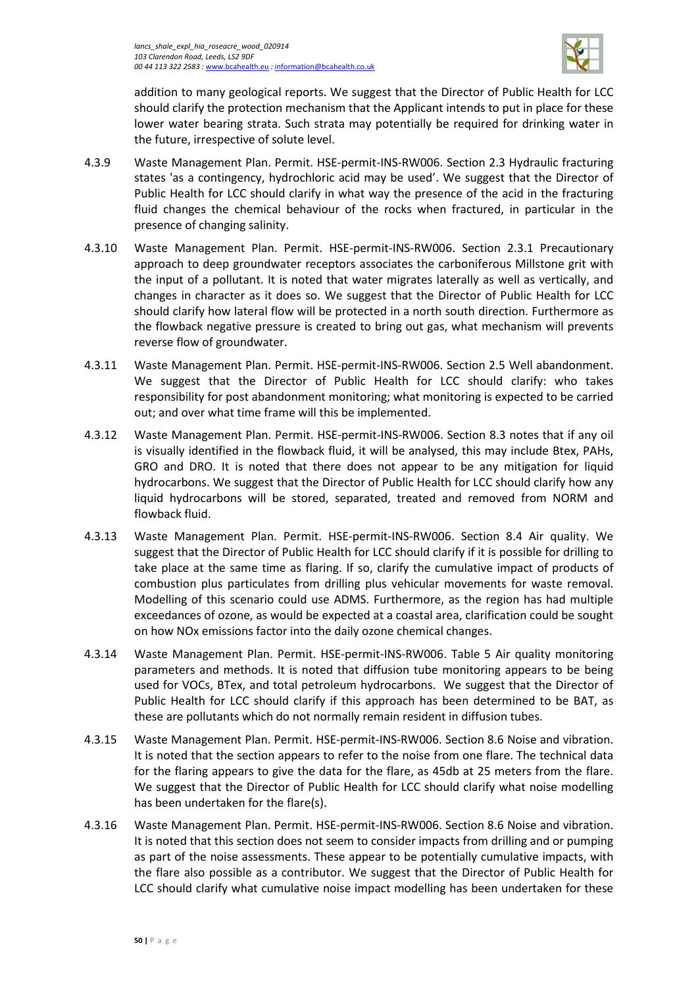

addition to many geological reports. We suggest that the Director of Public Health for LCC should clarify the protection mechanism that the Applicant intends to put in place for these lower water bearing strata. Such strata may potentially be required for drinking water in the future, irrespective of solute level.

- 4.3.9 Waste Management Plan. Permit. HSE-permit-INS-RW006. Section 2.3 Hydraulic fracturing states 'as a contingency, hydrochloric acid may be used'. We suggest that the Director of Public Health for LCC should clarify in what way the presence of the acid in the fracturing fluid changes the chemical behaviour of the rocks when fractured, in particular in the presence of changing salinity.
- 4.3.10 Waste Management Plan. Permit. HSE-permit-INS-RW006. Section 2.3.1 Precautionary approach to deep groundwater receptors associates the carboniferous Millstone grit with the input of a pollutant. It is noted that water migrates laterally as well as vertically, and changes in character as it does so. We suggest that the Director of Public Health for LCC should clarify how lateral flow will be protected in a north south direction. Furthermore as the flowback negative pressure is created to bring out gas, what mechanism will prevents reverse flow of groundwater.
- 4.3.11 Waste Management Plan. Permit. HSE-permit-INS-RW006. Section 2.5 Well abandonment. We suggest that the Director of Public Health for LCC should clarify: who takes responsibility for post abandonment monitoring; what monitoring is expected to be carried out; and over what time frame will this be implemented.
- 4.3.12 Waste Management Plan. Permit. HSE-permit-INS-RW006. Section 8.3 notes that if any oil is visually identified in the flowback fluid, it will be analysed, this may include Btex, PAHs, GRO and DRO. It is noted that there does not appear to be any mitigation for liquid hydrocarbons. We suggest that the Director of Public Health for LCC should clarify how any liquid hydrocarbons will be stored, separated, treated and removed from NORM and flowback fluid.
- 4.3.13 Waste Management Plan. Permit. HSE-permit-INS-RW006. Section 8.4 Air quality. We suggest that the Director of Public Health for LCC should clarify if it is possible for drilling to take place at the same time as flaring. If so, clarify the cumulative impact of products of combustion plus particulates from drilling plus vehicular movements for waste removal. Modelling of this scenario could use ADMS. Furthermore, as the region has had multiple exceedances of ozone, as would be expected at a coastal area, clarification could be sought on how NOx emissions factor into the daily ozone chemical changes.
- 4.3.14 Waste Management Plan. Permit. HSE-permit-INS-RW006. Table 5 Air quality monitoring parameters and methods. It is noted that diffusion tube monitoring appears to be being used for VOCs, BTex, and total petroleum hydrocarbons. We suggest that the Director of Public Health for LCC should clarify if this approach has been determined to be BAT, as these are pollutants which do not normally remain resident in diffusion tubes.
- 4.3.15 Waste Management Plan. Permit. HSE-permit-INS-RW006. Section 8.6 Noise and vibration. It is noted that the section appears to refer to the noise from one flare. The technical data for the flaring appears to give the data for the flare, as 45db at 25 meters from the flare. We suggest that the Director of Public Health for LCC should clarify what noise modelling has been undertaken for the flare(s).
- 4.3.16 Waste Management Plan. Permit. HSE-permit-INS-RW006. Section 8.6 Noise and vibration. It is noted that this section does not seem to consider impacts from drilling and or pumping as part of the noise assessments. These appear to be potentially cumulative impacts, with the flare also possible as a contributor. We suggest that the Director of Public Health for LCC should clarify what cumulative noise impact modelling has been undertaken for these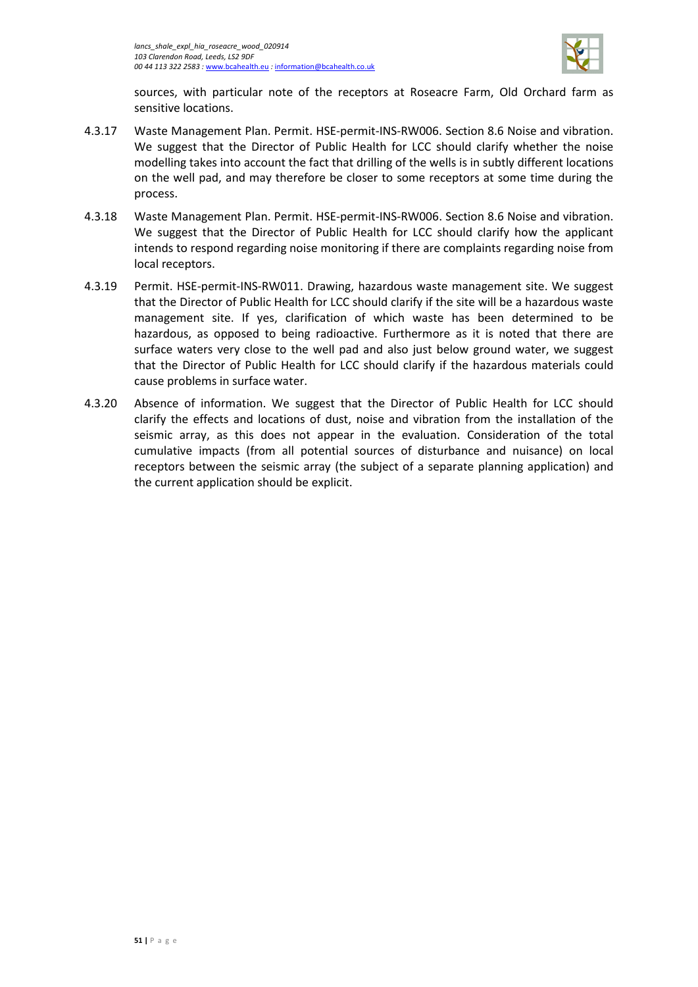

sources, with particular note of the receptors at Roseacre Farm, Old Orchard farm as sensitive locations.

- 4.3.17 Waste Management Plan. Permit. HSE-permit-INS-RW006. Section 8.6 Noise and vibration. We suggest that the Director of Public Health for LCC should clarify whether the noise modelling takes into account the fact that drilling of the wells is in subtly different locations on the well pad, and may therefore be closer to some receptors at some time during the process.
- 4.3.18 Waste Management Plan. Permit. HSE-permit-INS-RW006. Section 8.6 Noise and vibration. We suggest that the Director of Public Health for LCC should clarify how the applicant intends to respond regarding noise monitoring if there are complaints regarding noise from local receptors.
- 4.3.19 Permit. HSE-permit-INS-RW011. Drawing, hazardous waste management site. We suggest that the Director of Public Health for LCC should clarify if the site will be a hazardous waste management site. If yes, clarification of which waste has been determined to be hazardous, as opposed to being radioactive. Furthermore as it is noted that there are surface waters very close to the well pad and also just below ground water, we suggest that the Director of Public Health for LCC should clarify if the hazardous materials could cause problems in surface water.
- 4.3.20 Absence of information. We suggest that the Director of Public Health for LCC should clarify the effects and locations of dust, noise and vibration from the installation of the seismic array, as this does not appear in the evaluation. Consideration of the total cumulative impacts (from all potential sources of disturbance and nuisance) on local receptors between the seismic array (the subject of a separate planning application) and the current application should be explicit.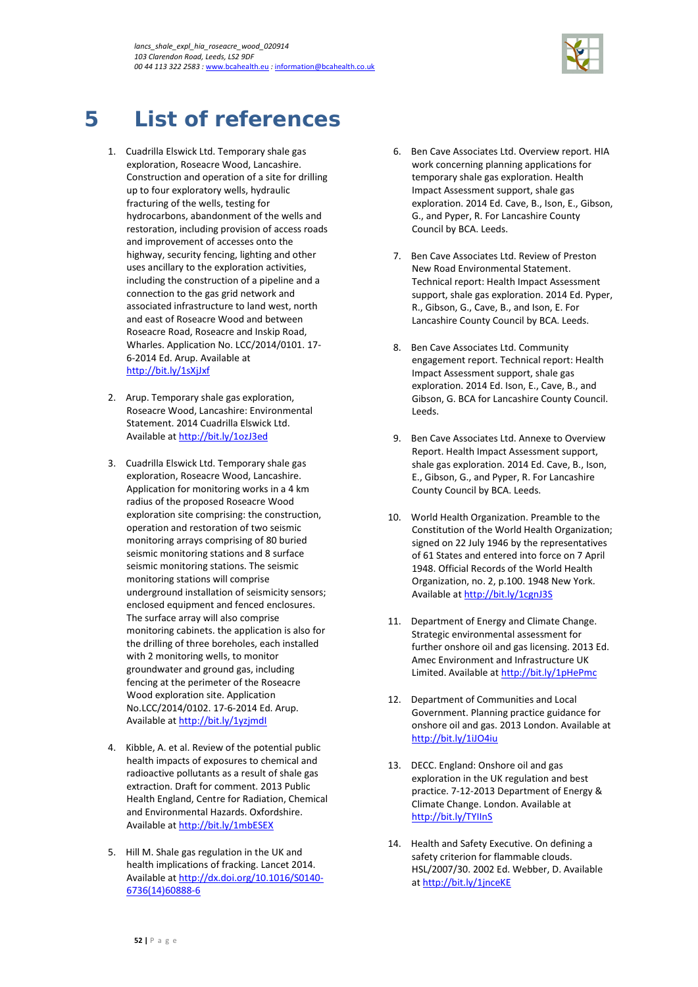

# <span id="page-55-0"></span>**5 List of references**

- 1. Cuadrilla Elswick Ltd. Temporary shale gas exploration, Roseacre Wood, Lancashire. Construction and operation of a site for drilling up to four exploratory wells, hydraulic fracturing of the wells, testing for hydrocarbons, abandonment of the wells and restoration, including provision of access roads and improvement of accesses onto the highway, security fencing, lighting and other uses ancillary to the exploration activities, including the construction of a pipeline and a connection to the gas grid network and associated infrastructure to land west, north and east of Roseacre Wood and between Roseacre Road, Roseacre and Inskip Road, Wharles. Application No. LCC/2014/0101. 17- 6-2014 Ed. Arup. Available at <http://bit.ly/1sXjJxf>
- 2. Arup. Temporary shale gas exploration, Roseacre Wood, Lancashire: Environmental Statement. 2014 Cuadrilla Elswick Ltd. Available a[t http://bit.ly/1ozJ3ed](http://bit.ly/1ozJ3ed)
- 3. Cuadrilla Elswick Ltd. Temporary shale gas exploration, Roseacre Wood, Lancashire. Application for monitoring works in a 4 km radius of the proposed Roseacre Wood exploration site comprising: the construction, operation and restoration of two seismic monitoring arrays comprising of 80 buried seismic monitoring stations and 8 surface seismic monitoring stations. The seismic monitoring stations will comprise underground installation of seismicity sensors; enclosed equipment and fenced enclosures. The surface array will also comprise monitoring cabinets. the application is also for the drilling of three boreholes, each installed with 2 monitoring wells, to monitor groundwater and ground gas, including fencing at the perimeter of the Roseacre Wood exploration site. Application No.LCC/2014/0102. 17-6-2014 Ed. Arup. Available a[t http://bit.ly/1yzjmdI](http://bit.ly/1yzjmdI)
- 4. Kibble, A. et al. Review of the potential public health impacts of exposures to chemical and radioactive pollutants as a result of shale gas extraction. Draft for comment. 2013 Public Health England, Centre for Radiation, Chemical and Environmental Hazards. Oxfordshire. Available a[t http://bit.ly/1mbESEX](http://bit.ly/1mbESEX)
- 5. Hill M. Shale gas regulation in the UK and health implications of fracking. Lancet 2014. Available a[t http://dx.doi.org/10.1016/S0140-](http://dx.doi.org/10.1016/S0140-6736(14)60888-6) [6736\(14\)60888-6](http://dx.doi.org/10.1016/S0140-6736(14)60888-6)
- 6. Ben Cave Associates Ltd. Overview report. HIA work concerning planning applications for temporary shale gas exploration. Health Impact Assessment support, shale gas exploration. 2014 Ed. Cave, B., Ison, E., Gibson, G., and Pyper, R. For Lancashire County Council by BCA. Leeds.
- 7. Ben Cave Associates Ltd. Review of Preston New Road Environmental Statement. Technical report: Health Impact Assessment support, shale gas exploration. 2014 Ed. Pyper, R., Gibson, G., Cave, B., and Ison, E. For Lancashire County Council by BCA. Leeds.
- 8. Ben Cave Associates Ltd. Community engagement report. Technical report: Health Impact Assessment support, shale gas exploration. 2014 Ed. Ison, E., Cave, B., and Gibson, G. BCA for Lancashire County Council. Leeds.
- 9. Ben Cave Associates Ltd. Annexe to Overview Report. Health Impact Assessment support, shale gas exploration. 2014 Ed. Cave, B., Ison, E., Gibson, G., and Pyper, R. For Lancashire County Council by BCA. Leeds.
- 10. World Health Organization. Preamble to the Constitution of the World Health Organization; signed on 22 July 1946 by the representatives of 61 States and entered into force on 7 April 1948. Official Records of the World Health Organization, no. 2, p.100. 1948 New York. Available a[t http://bit.ly/1cgnJ3S](http://bit.ly/1cgnJ3S)
- 11. Department of Energy and Climate Change. Strategic environmental assessment for further onshore oil and gas licensing. 2013 Ed. Amec Environment and Infrastructure UK Limited. Available a[t http://bit.ly/1pHePmc](http://bit.ly/1pHePmc)
- 12. Department of Communities and Local Government. Planning practice guidance for onshore oil and gas. 2013 London. Available at <http://bit.ly/1iJO4iu>
- 13. DECC. England: Onshore oil and gas exploration in the UK regulation and best practice. 7-12-2013 Department of Energy & Climate Change. London. Available at <http://bit.ly/TYIInS>
- 14. Health and Safety Executive. On defining a safety criterion for flammable clouds. HSL/2007/30. 2002 Ed. Webber, D. Available a[t http://bit.ly/1jnceKE](http://bit.ly/1jnceKE)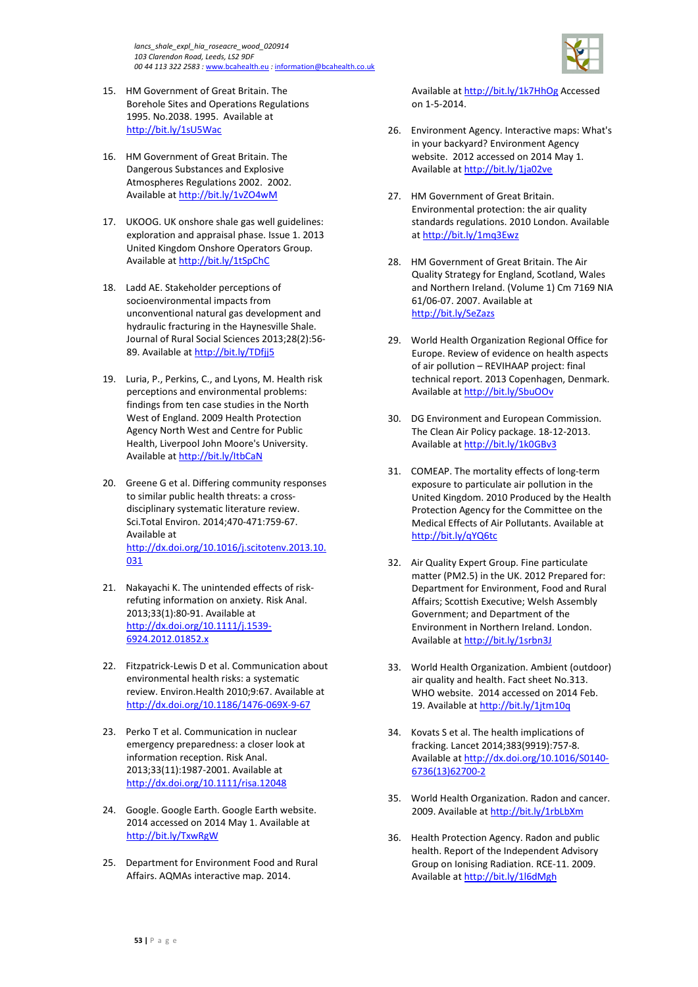

- 15. HM Government of Great Britain. The Borehole Sites and Operations Regulations 1995. No.2038. 1995. Available at <http://bit.ly/1sU5Wac>
- 16. HM Government of Great Britain. The Dangerous Substances and Explosive Atmospheres Regulations 2002. 2002. Available a[t http://bit.ly/1vZO4wM](http://bit.ly/1vZO4wM)
- 17. UKOOG. UK onshore shale gas well guidelines: exploration and appraisal phase. Issue 1. 2013 United Kingdom Onshore Operators Group. Available a[t http://bit.ly/1tSpChC](http://bit.ly/1tSpChC)
- 18. Ladd AE. Stakeholder perceptions of socioenvironmental impacts from unconventional natural gas development and hydraulic fracturing in the Haynesville Shale. Journal of Rural Social Sciences 2013;28(2):56- 89. Available at<http://bit.ly/TDfjj5>
- 19. Luria, P., Perkins, C., and Lyons, M. Health risk perceptions and environmental problems: findings from ten case studies in the North West of England. 2009 Health Protection Agency North West and Centre for Public Health, Liverpool John Moore's University. Available a[t http://bit.ly/ItbCaN](http://bit.ly/ItbCaN)
- 20. Greene G et al. Differing community responses to similar public health threats: a crossdisciplinary systematic literature review. Sci.Total Environ. 2014;470-471:759-67. Available at [http://dx.doi.org/10.1016/j.scitotenv.2013.10.](http://dx.doi.org/10.1016/j.scitotenv.2013.10.031) [031](http://dx.doi.org/10.1016/j.scitotenv.2013.10.031)
- 21. Nakayachi K. The unintended effects of riskrefuting information on anxiety. Risk Anal. 2013;33(1):80-91. Available at [http://dx.doi.org/10.1111/j.1539-](http://dx.doi.org/10.1111/j.1539-6924.2012.01852.x) [6924.2012.01852.x](http://dx.doi.org/10.1111/j.1539-6924.2012.01852.x)
- 22. Fitzpatrick-Lewis D et al. Communication about environmental health risks: a systematic review. Environ.Health 2010;9:67. Available at <http://dx.doi.org/10.1186/1476-069X-9-67>
- 23. Perko T et al. Communication in nuclear emergency preparedness: a closer look at information reception. Risk Anal. 2013;33(11):1987-2001. Available at <http://dx.doi.org/10.1111/risa.12048>
- 24. Google. Google Earth. Google Earth website. 2014 accessed on 2014 May 1. Available at <http://bit.ly/TxwRgW>
- 25. Department for Environment Food and Rural Affairs. AQMAs interactive map. 2014.

Available at<http://bit.ly/1k7HhOg> Accessed on 1-5-2014.

- 26. Environment Agency. Interactive maps: What's in your backyard? Environment Agency website. 2012 accessed on 2014 May 1. Available at<http://bit.ly/1ja02ve>
- 27. HM Government of Great Britain. Environmental protection: the air quality standards regulations. 2010 London. Available a[t http://bit.ly/1mq3Ewz](http://bit.ly/1mq3Ewz)
- 28. HM Government of Great Britain. The Air Quality Strategy for England, Scotland, Wales and Northern Ireland. (Volume 1) Cm 7169 NIA 61/06-07. 2007. Available at <http://bit.ly/SeZazs>
- 29. World Health Organization Regional Office for Europe. Review of evidence on health aspects of air pollution – REVIHAAP project: final technical report. 2013 Copenhagen, Denmark. Available at<http://bit.ly/SbuOOv>
- 30. DG Environment and European Commission. The Clean Air Policy package. 18-12-2013. Available at<http://bit.ly/1k0GBv3>
- 31. COMEAP. The mortality effects of long-term exposure to particulate air pollution in the United Kingdom. 2010 Produced by the Health Protection Agency for the Committee on the Medical Effects of Air Pollutants. Available at <http://bit.ly/qYQ6tc>
- 32. Air Quality Expert Group. Fine particulate matter (PM2.5) in the UK. 2012 Prepared for: Department for Environment, Food and Rural Affairs; Scottish Executive; Welsh Assembly Government; and Department of the Environment in Northern Ireland. London. Available at<http://bit.ly/1srbn3J>
- 33. World Health Organization. Ambient (outdoor) air quality and health. Fact sheet No.313. WHO website. 2014 accessed on 2014 Feb. 19. Available a[t http://bit.ly/1jtm10q](http://bit.ly/1jtm10q)
- 34. Kovats S et al. The health implications of fracking. Lancet 2014;383(9919):757-8. Available at [http://dx.doi.org/10.1016/S0140-](http://dx.doi.org/10.1016/S0140-6736(13)62700-2) [6736\(13\)62700-2](http://dx.doi.org/10.1016/S0140-6736(13)62700-2)
- 35. World Health Organization. Radon and cancer. 2009. Available a[t http://bit.ly/1rbLbXm](http://bit.ly/1rbLbXm)
- 36. Health Protection Agency. Radon and public health. Report of the Independent Advisory Group on Ionising Radiation. RCE-11. 2009. Available at<http://bit.ly/1l6dMgh>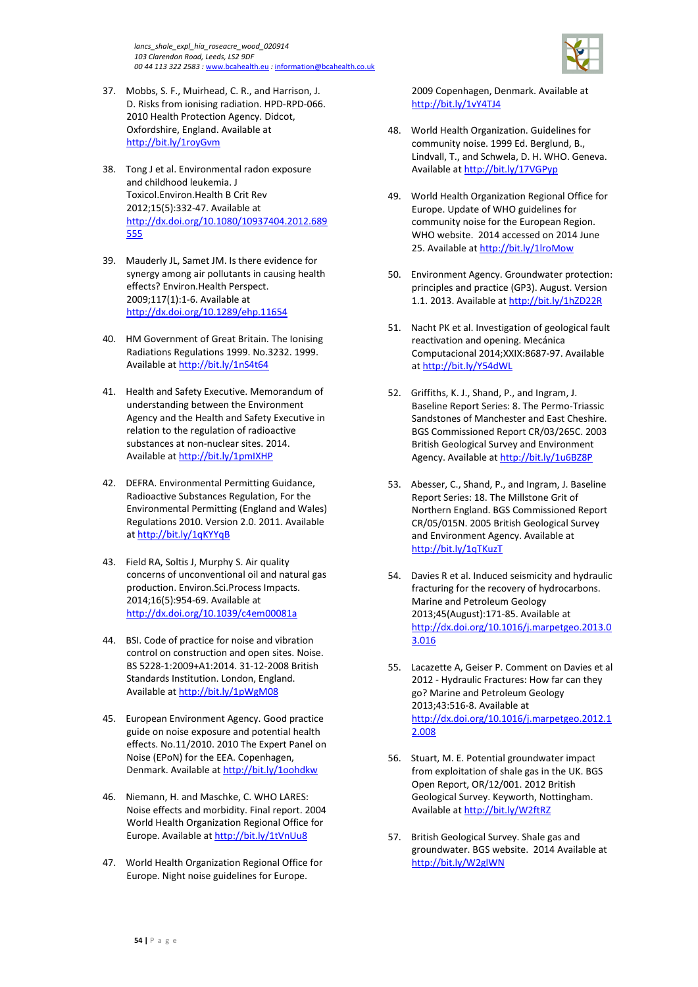*lancs\_shale\_expl\_hia\_roseacre\_wood\_020914 103 Clarendon Road, Leeds, LS2 9DF 00 44 113 322 2583 :* [www.bcahealth.eu](http://www.bcahealth.eu/) *:* [information@bcahealth.co.uk](mailto:information@bcahealth.co.uk)



- 37. Mobbs, S. F., Muirhead, C. R., and Harrison, J. D. Risks from ionising radiation. HPD-RPD-066. 2010 Health Protection Agency. Didcot, Oxfordshire, England. Available at <http://bit.ly/1royGvm>
- 38. Tong J et al. Environmental radon exposure and childhood leukemia. J Toxicol.Environ.Health B Crit Rev 2012;15(5):332-47. Available at [http://dx.doi.org/10.1080/10937404.2012.689](http://dx.doi.org/10.1080/10937404.2012.689555) [555](http://dx.doi.org/10.1080/10937404.2012.689555)
- 39. Mauderly JL, Samet JM. Is there evidence for synergy among air pollutants in causing health effects? Environ.Health Perspect. 2009;117(1):1-6. Available at <http://dx.doi.org/10.1289/ehp.11654>
- 40. HM Government of Great Britain. The Ionising Radiations Regulations 1999. No.3232. 1999. Available a[t http://bit.ly/1nS4t64](http://bit.ly/1nS4t64)
- 41. Health and Safety Executive. Memorandum of understanding between the Environment Agency and the Health and Safety Executive in relation to the regulation of radioactive substances at non-nuclear sites. 2014. Available a[t http://bit.ly/1pmIXHP](http://bit.ly/1pmIXHP)
- 42. DEFRA. Environmental Permitting Guidance, Radioactive Substances Regulation, For the Environmental Permitting (England and Wales) Regulations 2010. Version 2.0. 2011. Available a[t http://bit.ly/1qKYYqB](http://bit.ly/1qKYYqB)
- 43. Field RA, Soltis J, Murphy S. Air quality concerns of unconventional oil and natural gas production. Environ.Sci.Process Impacts. 2014;16(5):954-69. Available at <http://dx.doi.org/10.1039/c4em00081a>
- 44. BSI. Code of practice for noise and vibration control on construction and open sites. Noise. BS 5228-1:2009+A1:2014. 31-12-2008 British Standards Institution. London, England. Available a[t http://bit.ly/1pWgM08](http://bit.ly/1pWgM08)
- 45. European Environment Agency. Good practice guide on noise exposure and potential health effects. No.11/2010. 2010 The Expert Panel on Noise (EPoN) for the EEA. Copenhagen, Denmark. Available a[t http://bit.ly/1oohdkw](http://bit.ly/1oohdkw)
- 46. Niemann, H. and Maschke, C. WHO LARES: Noise effects and morbidity. Final report. 2004 World Health Organization Regional Office for Europe. Available a[t http://bit.ly/1tVnUu8](http://bit.ly/1tVnUu8)
- 47. World Health Organization Regional Office for Europe. Night noise guidelines for Europe.

2009 Copenhagen, Denmark. Available at <http://bit.ly/1vY4TJ4>

- 48. World Health Organization. Guidelines for community noise. 1999 Ed. Berglund, B., Lindvall, T., and Schwela, D. H. WHO. Geneva. Available at<http://bit.ly/17VGPyp>
- 49. World Health Organization Regional Office for Europe. Update of WHO guidelines for community noise for the European Region. WHO website. 2014 accessed on 2014 June 25. Available a[t http://bit.ly/1lroMow](http://bit.ly/1lroMow)
- 50. Environment Agency. Groundwater protection: principles and practice (GP3). August. Version 1.1. 2013. Available a[t http://bit.ly/1hZD22R](http://bit.ly/1hZD22R)
- 51. Nacht PK et al. Investigation of geological fault reactivation and opening. Mecánica Computacional 2014;XXIX:8687-97. Available a[t http://bit.ly/Y54dWL](http://bit.ly/Y54dWL)
- 52. Griffiths, K. J., Shand, P., and Ingram, J. Baseline Report Series: 8. The Permo-Triassic Sandstones of Manchester and East Cheshire. BGS Commissioned Report CR/03/265C. 2003 British Geological Survey and Environment Agency. Available at<http://bit.ly/1u6BZ8P>
- 53. Abesser, C., Shand, P., and Ingram, J. Baseline Report Series: 18. The Millstone Grit of Northern England. BGS Commissioned Report CR/05/015N. 2005 British Geological Survey and Environment Agency. Available at <http://bit.ly/1qTKuzT>
- 54. Davies R et al. Induced seismicity and hydraulic fracturing for the recovery of hydrocarbons. Marine and Petroleum Geology 2013;45(August):171-85. Available at [http://dx.doi.org/10.1016/j.marpetgeo.2013.0](http://dx.doi.org/10.1016/j.marpetgeo.2013.03.016) [3.016](http://dx.doi.org/10.1016/j.marpetgeo.2013.03.016)
- 55. Lacazette A, Geiser P. Comment on Davies et al 2012 - Hydraulic Fractures: How far can they go? Marine and Petroleum Geology 2013;43:516-8. Available at [http://dx.doi.org/10.1016/j.marpetgeo.2012.1](http://dx.doi.org/10.1016/j.marpetgeo.2012.12.008) [2.008](http://dx.doi.org/10.1016/j.marpetgeo.2012.12.008)
- 56. Stuart, M. E. Potential groundwater impact from exploitation of shale gas in the UK. BGS Open Report, OR/12/001. 2012 British Geological Survey. Keyworth, Nottingham. Available at<http://bit.ly/W2ftRZ>
- 57. British Geological Survey. Shale gas and groundwater. BGS website. 2014 Available at <http://bit.ly/W2glWN>